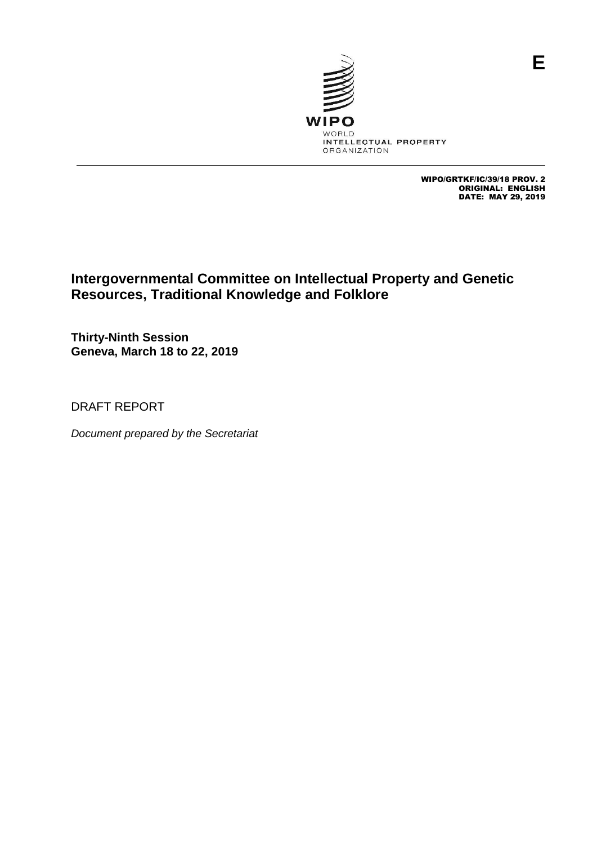

WIPO/GRTKF/IC/39/18 PROV. 2 ORIGINAL: ENGLISH DATE: MAY 29, 2019

# **Intergovernmental Committee on Intellectual Property and Genetic Resources, Traditional Knowledge and Folklore**

**Thirty-Ninth Session Geneva, March 18 to 22, 2019**

DRAFT REPORT

*Document prepared by the Secretariat*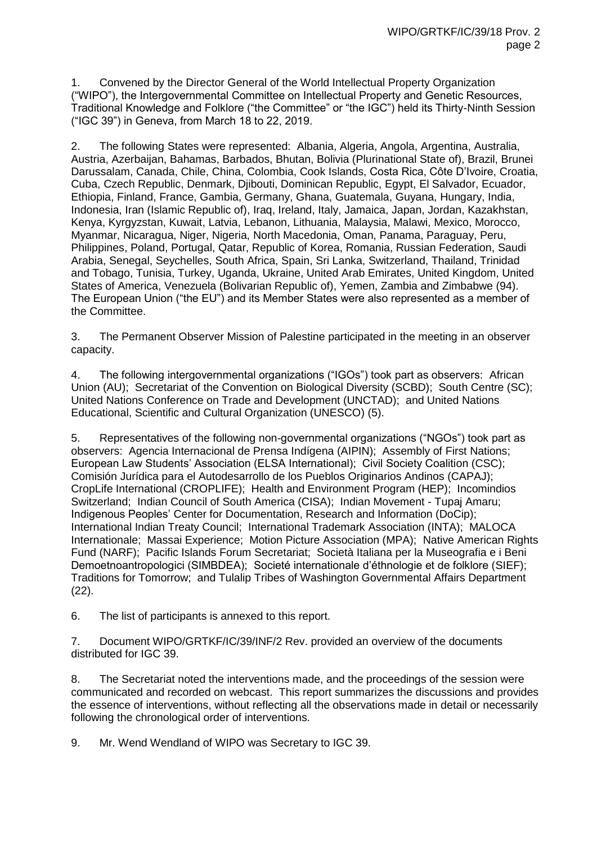1. Convened by the Director General of the World Intellectual Property Organization ("WIPO"), the Intergovernmental Committee on Intellectual Property and Genetic Resources, Traditional Knowledge and Folklore ("the Committee" or "the IGC") held its Thirty-Ninth Session ("IGC 39") in Geneva, from March 18 to 22, 2019.

2. The following States were represented: Albania, Algeria, Angola, Argentina, Australia, Austria, Azerbaijan, Bahamas, Barbados, Bhutan, Bolivia (Plurinational State of), Brazil, Brunei Darussalam, Canada, Chile, China, Colombia, Cook Islands, Costa Rica, Côte D'Ivoire, Croatia, Cuba, Czech Republic, Denmark, Djibouti, Dominican Republic, Egypt, El Salvador, Ecuador, Ethiopia, Finland, France, Gambia, Germany, Ghana, Guatemala, Guyana, Hungary, India, Indonesia, Iran (Islamic Republic of), Iraq, Ireland, Italy, Jamaica, Japan, Jordan, Kazakhstan, Kenya, Kyrgyzstan, Kuwait, Latvia, Lebanon, Lithuania, Malaysia, Malawi, Mexico, Morocco, Myanmar, Nicaragua, Niger, Nigeria, North Macedonia, Oman, Panama, Paraguay, Peru, Philippines, Poland, Portugal, Qatar, Republic of Korea, Romania, Russian Federation, Saudi Arabia, Senegal, Seychelles, South Africa, Spain, Sri Lanka, Switzerland, Thailand, Trinidad and Tobago, Tunisia, Turkey, Uganda, Ukraine, United Arab Emirates, United Kingdom, United States of America, Venezuela (Bolivarian Republic of), Yemen, Zambia and Zimbabwe (94). The European Union ("the EU") and its Member States were also represented as a member of the Committee.

3. The Permanent Observer Mission of Palestine participated in the meeting in an observer capacity.

4. The following intergovernmental organizations ("IGOs") took part as observers: African Union (AU); Secretariat of the Convention on Biological Diversity (SCBD); South Centre (SC); United Nations Conference on Trade and Development (UNCTAD); and United Nations Educational, Scientific and Cultural Organization (UNESCO) (5).

5. Representatives of the following non-governmental organizations ("NGOs") took part as observers: Agencia Internacional de Prensa Indígena (AIPIN); Assembly of First Nations; European Law Students' Association (ELSA International); Civil Society Coalition (CSC); Comisión Jurídica para el Autodesarrollo de los Pueblos Originarios Andinos (CAPAJ); CropLife International (CROPLIFE); Health and Environment Program (HEP); Incomindios Switzerland; Indian Council of South America (CISA); Indian Movement - Tupaj Amaru; Indigenous Peoples' Center for Documentation, Research and Information (DoCip); International Indian Treaty Council; International Trademark Association (INTA); MALOCA Internationale; Massai Experience; Motion Picture Association (MPA); Native American Rights Fund (NARF); Pacific Islands Forum Secretariat; Società Italiana per la Museografia e i Beni Demoetnoantropologici (SIMBDEA); Societé internationale d'éthnologie et de folklore (SIEF); Traditions for Tomorrow; and Tulalip Tribes of Washington Governmental Affairs Department (22).

6. The list of participants is annexed to this report.

7. Document WIPO/GRTKF/IC/39/INF/2 Rev. provided an overview of the documents distributed for IGC 39.

8. The Secretariat noted the interventions made, and the proceedings of the session were communicated and recorded on webcast. This report summarizes the discussions and provides the essence of interventions, without reflecting all the observations made in detail or necessarily following the chronological order of interventions.

9. Mr. Wend Wendland of WIPO was Secretary to IGC 39.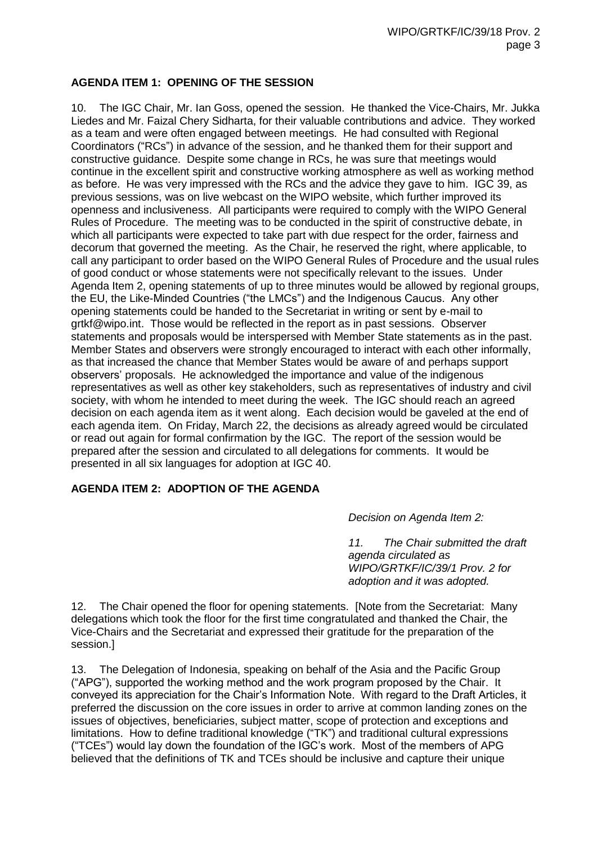## **AGENDA ITEM 1: OPENING OF THE SESSION**

10. The IGC Chair, Mr. Ian Goss, opened the session. He thanked the Vice-Chairs, Mr. Jukka Liedes and Mr. Faizal Chery Sidharta, for their valuable contributions and advice. They worked as a team and were often engaged between meetings. He had consulted with Regional Coordinators ("RCs") in advance of the session, and he thanked them for their support and constructive guidance. Despite some change in RCs, he was sure that meetings would continue in the excellent spirit and constructive working atmosphere as well as working method as before. He was very impressed with the RCs and the advice they gave to him. IGC 39, as previous sessions, was on live webcast on the WIPO website, which further improved its openness and inclusiveness. All participants were required to comply with the WIPO General Rules of Procedure. The meeting was to be conducted in the spirit of constructive debate, in which all participants were expected to take part with due respect for the order, fairness and decorum that governed the meeting. As the Chair, he reserved the right, where applicable, to call any participant to order based on the WIPO General Rules of Procedure and the usual rules of good conduct or whose statements were not specifically relevant to the issues. Under Agenda Item 2, opening statements of up to three minutes would be allowed by regional groups, the EU, the Like-Minded Countries ("the LMCs") and the Indigenous Caucus. Any other opening statements could be handed to the Secretariat in writing or sent by e-mail to grtkf@wipo.int. Those would be reflected in the report as in past sessions. Observer statements and proposals would be interspersed with Member State statements as in the past. Member States and observers were strongly encouraged to interact with each other informally, as that increased the chance that Member States would be aware of and perhaps support observers' proposals. He acknowledged the importance and value of the indigenous representatives as well as other key stakeholders, such as representatives of industry and civil society, with whom he intended to meet during the week. The IGC should reach an agreed decision on each agenda item as it went along. Each decision would be gaveled at the end of each agenda item. On Friday, March 22, the decisions as already agreed would be circulated or read out again for formal confirmation by the IGC. The report of the session would be prepared after the session and circulated to all delegations for comments. It would be presented in all six languages for adoption at IGC 40.

## **AGENDA ITEM 2: ADOPTION OF THE AGENDA**

*Decision on Agenda Item 2:*

*11. The Chair submitted the draft agenda circulated as WIPO/GRTKF/IC/39/1 Prov. 2 for adoption and it was adopted.* 

12. The Chair opened the floor for opening statements. [Note from the Secretariat: Many delegations which took the floor for the first time congratulated and thanked the Chair, the Vice-Chairs and the Secretariat and expressed their gratitude for the preparation of the session.]

13. The Delegation of Indonesia, speaking on behalf of the Asia and the Pacific Group ("APG"), supported the working method and the work program proposed by the Chair. It conveyed its appreciation for the Chair's Information Note. With regard to the Draft Articles, it preferred the discussion on the core issues in order to arrive at common landing zones on the issues of objectives, beneficiaries, subject matter, scope of protection and exceptions and limitations. How to define traditional knowledge ("TK") and traditional cultural expressions ("TCEs") would lay down the foundation of the IGC's work. Most of the members of APG believed that the definitions of TK and TCEs should be inclusive and capture their unique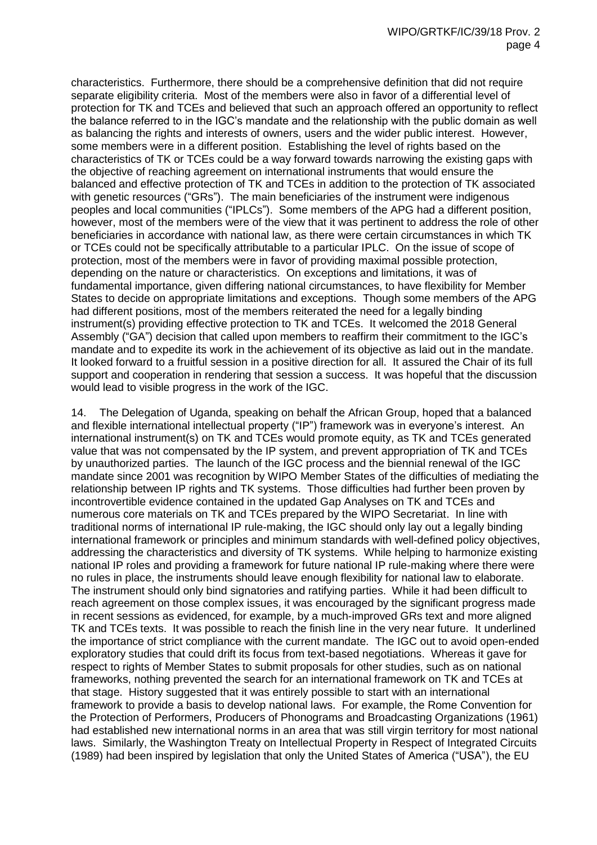characteristics. Furthermore, there should be a comprehensive definition that did not require separate eligibility criteria. Most of the members were also in favor of a differential level of protection for TK and TCEs and believed that such an approach offered an opportunity to reflect the balance referred to in the IGC's mandate and the relationship with the public domain as well as balancing the rights and interests of owners, users and the wider public interest. However, some members were in a different position. Establishing the level of rights based on the characteristics of TK or TCEs could be a way forward towards narrowing the existing gaps with the objective of reaching agreement on international instruments that would ensure the balanced and effective protection of TK and TCEs in addition to the protection of TK associated with genetic resources ("GRs"). The main beneficiaries of the instrument were indigenous peoples and local communities ("IPLCs"). Some members of the APG had a different position, however, most of the members were of the view that it was pertinent to address the role of other beneficiaries in accordance with national law, as there were certain circumstances in which TK or TCEs could not be specifically attributable to a particular IPLC. On the issue of scope of protection, most of the members were in favor of providing maximal possible protection, depending on the nature or characteristics. On exceptions and limitations, it was of fundamental importance, given differing national circumstances, to have flexibility for Member States to decide on appropriate limitations and exceptions. Though some members of the APG had different positions, most of the members reiterated the need for a legally binding instrument(s) providing effective protection to TK and TCEs. It welcomed the 2018 General Assembly ("GA") decision that called upon members to reaffirm their commitment to the IGC's mandate and to expedite its work in the achievement of its objective as laid out in the mandate. It looked forward to a fruitful session in a positive direction for all. It assured the Chair of its full support and cooperation in rendering that session a success. It was hopeful that the discussion would lead to visible progress in the work of the IGC.

14. The Delegation of Uganda, speaking on behalf the African Group, hoped that a balanced and flexible international intellectual property ("IP") framework was in everyone's interest. An international instrument(s) on TK and TCEs would promote equity, as TK and TCEs generated value that was not compensated by the IP system, and prevent appropriation of TK and TCEs by unauthorized parties. The launch of the IGC process and the biennial renewal of the IGC mandate since 2001 was recognition by WIPO Member States of the difficulties of mediating the relationship between IP rights and TK systems. Those difficulties had further been proven by incontrovertible evidence contained in the updated Gap Analyses on TK and TCEs and numerous core materials on TK and TCEs prepared by the WIPO Secretariat. In line with traditional norms of international IP rule-making, the IGC should only lay out a legally binding international framework or principles and minimum standards with well-defined policy objectives, addressing the characteristics and diversity of TK systems. While helping to harmonize existing national IP roles and providing a framework for future national IP rule-making where there were no rules in place, the instruments should leave enough flexibility for national law to elaborate. The instrument should only bind signatories and ratifying parties. While it had been difficult to reach agreement on those complex issues, it was encouraged by the significant progress made in recent sessions as evidenced, for example, by a much-improved GRs text and more aligned TK and TCEs texts. It was possible to reach the finish line in the very near future. It underlined the importance of strict compliance with the current mandate. The IGC out to avoid open-ended exploratory studies that could drift its focus from text-based negotiations. Whereas it gave for respect to rights of Member States to submit proposals for other studies, such as on national frameworks, nothing prevented the search for an international framework on TK and TCEs at that stage. History suggested that it was entirely possible to start with an international framework to provide a basis to develop national laws. For example, the Rome Convention for the Protection of Performers, Producers of Phonograms and Broadcasting Organizations (1961) had established new international norms in an area that was still virgin territory for most national laws. Similarly, the Washington Treaty on Intellectual Property in Respect of Integrated Circuits (1989) had been inspired by legislation that only the United States of America ("USA"), the EU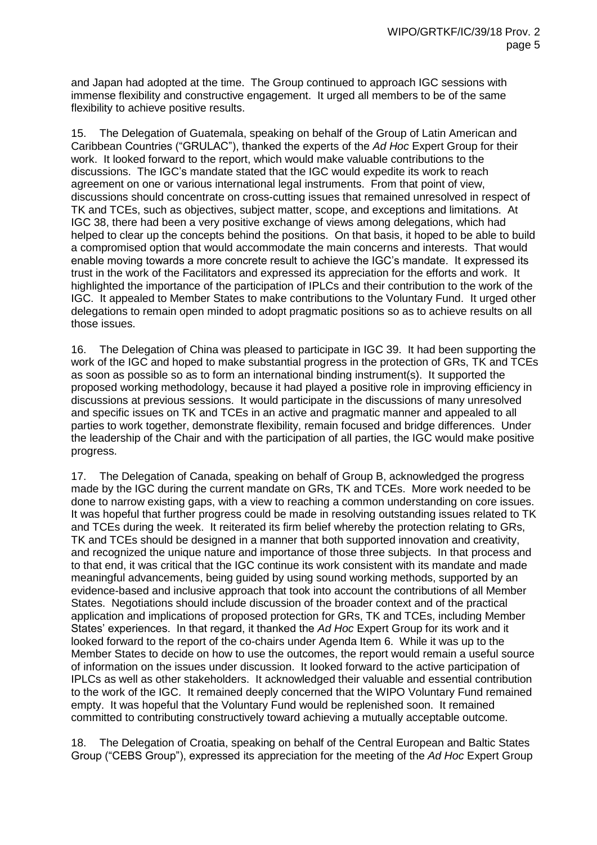and Japan had adopted at the time. The Group continued to approach IGC sessions with immense flexibility and constructive engagement. It urged all members to be of the same flexibility to achieve positive results.

15. The Delegation of Guatemala, speaking on behalf of the Group of Latin American and Caribbean Countries ("GRULAC"), thanked the experts of the *Ad Hoc* Expert Group for their work. It looked forward to the report, which would make valuable contributions to the discussions. The IGC's mandate stated that the IGC would expedite its work to reach agreement on one or various international legal instruments. From that point of view, discussions should concentrate on cross-cutting issues that remained unresolved in respect of TK and TCEs, such as objectives, subject matter, scope, and exceptions and limitations. At IGC 38, there had been a very positive exchange of views among delegations, which had helped to clear up the concepts behind the positions. On that basis, it hoped to be able to build a compromised option that would accommodate the main concerns and interests. That would enable moving towards a more concrete result to achieve the IGC's mandate. It expressed its trust in the work of the Facilitators and expressed its appreciation for the efforts and work. It highlighted the importance of the participation of IPLCs and their contribution to the work of the IGC. It appealed to Member States to make contributions to the Voluntary Fund. It urged other delegations to remain open minded to adopt pragmatic positions so as to achieve results on all those issues.

16. The Delegation of China was pleased to participate in IGC 39. It had been supporting the work of the IGC and hoped to make substantial progress in the protection of GRs, TK and TCEs as soon as possible so as to form an international binding instrument(s). It supported the proposed working methodology, because it had played a positive role in improving efficiency in discussions at previous sessions. It would participate in the discussions of many unresolved and specific issues on TK and TCEs in an active and pragmatic manner and appealed to all parties to work together, demonstrate flexibility, remain focused and bridge differences. Under the leadership of the Chair and with the participation of all parties, the IGC would make positive progress.

17. The Delegation of Canada, speaking on behalf of Group B, acknowledged the progress made by the IGC during the current mandate on GRs, TK and TCEs. More work needed to be done to narrow existing gaps, with a view to reaching a common understanding on core issues. It was hopeful that further progress could be made in resolving outstanding issues related to TK and TCEs during the week. It reiterated its firm belief whereby the protection relating to GRs, TK and TCEs should be designed in a manner that both supported innovation and creativity, and recognized the unique nature and importance of those three subjects. In that process and to that end, it was critical that the IGC continue its work consistent with its mandate and made meaningful advancements, being guided by using sound working methods, supported by an evidence-based and inclusive approach that took into account the contributions of all Member States. Negotiations should include discussion of the broader context and of the practical application and implications of proposed protection for GRs, TK and TCEs, including Member States' experiences. In that regard, it thanked the *Ad Hoc* Expert Group for its work and it looked forward to the report of the co-chairs under Agenda Item 6. While it was up to the Member States to decide on how to use the outcomes, the report would remain a useful source of information on the issues under discussion. It looked forward to the active participation of IPLCs as well as other stakeholders. It acknowledged their valuable and essential contribution to the work of the IGC. It remained deeply concerned that the WIPO Voluntary Fund remained empty. It was hopeful that the Voluntary Fund would be replenished soon. It remained committed to contributing constructively toward achieving a mutually acceptable outcome.

18. The Delegation of Croatia, speaking on behalf of the Central European and Baltic States Group ("CEBS Group"), expressed its appreciation for the meeting of the *Ad Hoc* Expert Group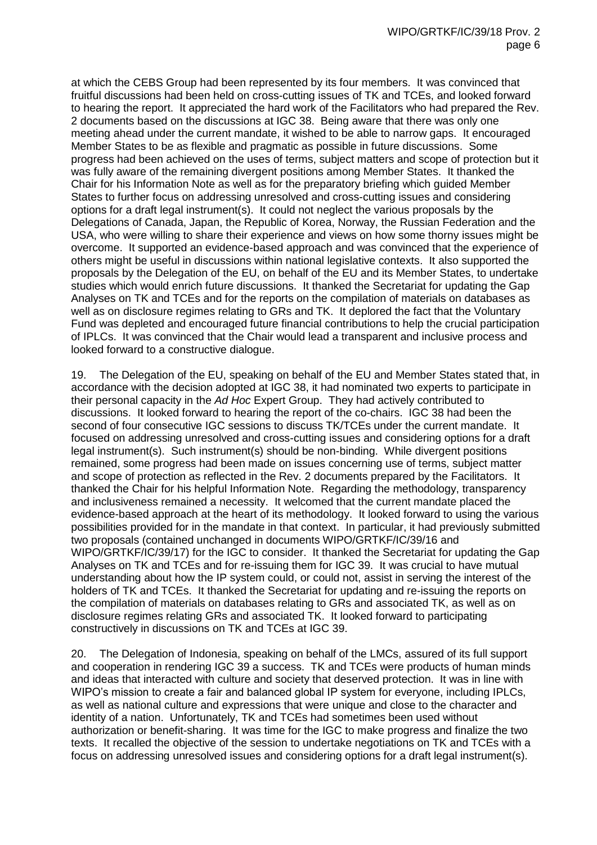at which the CEBS Group had been represented by its four members. It was convinced that fruitful discussions had been held on cross-cutting issues of TK and TCEs, and looked forward to hearing the report. It appreciated the hard work of the Facilitators who had prepared the Rev. 2 documents based on the discussions at IGC 38. Being aware that there was only one meeting ahead under the current mandate, it wished to be able to narrow gaps. It encouraged Member States to be as flexible and pragmatic as possible in future discussions. Some progress had been achieved on the uses of terms, subject matters and scope of protection but it was fully aware of the remaining divergent positions among Member States. It thanked the Chair for his Information Note as well as for the preparatory briefing which guided Member States to further focus on addressing unresolved and cross-cutting issues and considering options for a draft legal instrument(s). It could not neglect the various proposals by the Delegations of Canada, Japan, the Republic of Korea, Norway, the Russian Federation and the USA, who were willing to share their experience and views on how some thorny issues might be overcome. It supported an evidence-based approach and was convinced that the experience of others might be useful in discussions within national legislative contexts. It also supported the proposals by the Delegation of the EU, on behalf of the EU and its Member States, to undertake studies which would enrich future discussions. It thanked the Secretariat for updating the Gap Analyses on TK and TCEs and for the reports on the compilation of materials on databases as well as on disclosure regimes relating to GRs and TK. It deplored the fact that the Voluntary Fund was depleted and encouraged future financial contributions to help the crucial participation of IPLCs. It was convinced that the Chair would lead a transparent and inclusive process and looked forward to a constructive dialogue.

19. The Delegation of the EU, speaking on behalf of the EU and Member States stated that, in accordance with the decision adopted at IGC 38, it had nominated two experts to participate in their personal capacity in the *Ad Hoc* Expert Group. They had actively contributed to discussions. It looked forward to hearing the report of the co-chairs. IGC 38 had been the second of four consecutive IGC sessions to discuss TK/TCEs under the current mandate. It focused on addressing unresolved and cross-cutting issues and considering options for a draft legal instrument(s). Such instrument(s) should be non-binding. While divergent positions remained, some progress had been made on issues concerning use of terms, subject matter and scope of protection as reflected in the Rev. 2 documents prepared by the Facilitators. It thanked the Chair for his helpful Information Note. Regarding the methodology, transparency and inclusiveness remained a necessity. It welcomed that the current mandate placed the evidence-based approach at the heart of its methodology. It looked forward to using the various possibilities provided for in the mandate in that context. In particular, it had previously submitted two proposals (contained unchanged in documents WIPO/GRTKF/IC/39/16 and WIPO/GRTKF/IC/39/17) for the IGC to consider. It thanked the Secretariat for updating the Gap Analyses on TK and TCEs and for re-issuing them for IGC 39. It was crucial to have mutual understanding about how the IP system could, or could not, assist in serving the interest of the holders of TK and TCEs. It thanked the Secretariat for updating and re-issuing the reports on the compilation of materials on databases relating to GRs and associated TK, as well as on disclosure regimes relating GRs and associated TK. It looked forward to participating constructively in discussions on TK and TCEs at IGC 39.

20. The Delegation of Indonesia, speaking on behalf of the LMCs, assured of its full support and cooperation in rendering IGC 39 a success. TK and TCEs were products of human minds and ideas that interacted with culture and society that deserved protection. It was in line with WIPO's mission to create a fair and balanced global IP system for everyone, including IPLCs, as well as national culture and expressions that were unique and close to the character and identity of a nation. Unfortunately, TK and TCEs had sometimes been used without authorization or benefit-sharing. It was time for the IGC to make progress and finalize the two texts. It recalled the objective of the session to undertake negotiations on TK and TCEs with a focus on addressing unresolved issues and considering options for a draft legal instrument(s).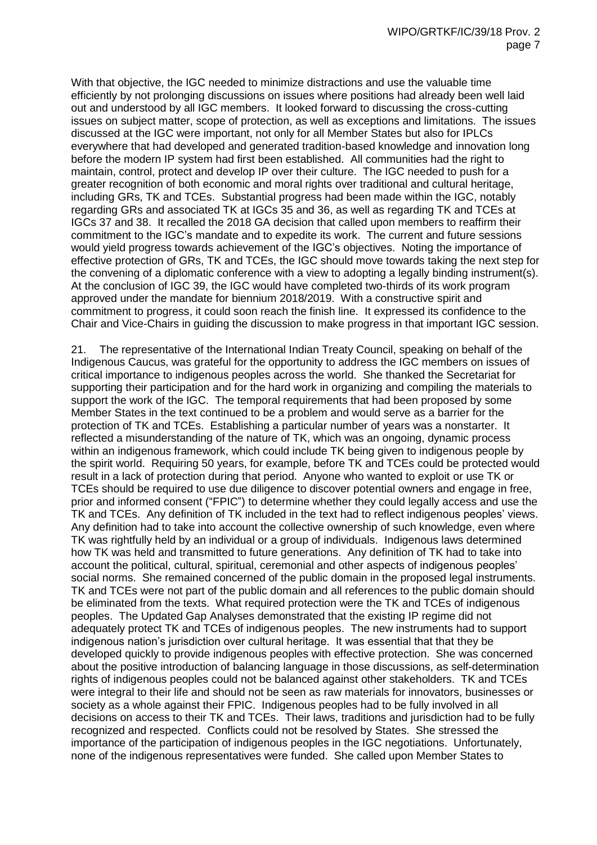With that objective, the IGC needed to minimize distractions and use the valuable time efficiently by not prolonging discussions on issues where positions had already been well laid out and understood by all IGC members. It looked forward to discussing the cross-cutting issues on subject matter, scope of protection, as well as exceptions and limitations. The issues discussed at the IGC were important, not only for all Member States but also for IPLCs everywhere that had developed and generated tradition-based knowledge and innovation long before the modern IP system had first been established. All communities had the right to maintain, control, protect and develop IP over their culture. The IGC needed to push for a greater recognition of both economic and moral rights over traditional and cultural heritage, including GRs, TK and TCEs. Substantial progress had been made within the IGC, notably regarding GRs and associated TK at IGCs 35 and 36, as well as regarding TK and TCEs at IGCs 37 and 38. It recalled the 2018 GA decision that called upon members to reaffirm their commitment to the IGC's mandate and to expedite its work. The current and future sessions would yield progress towards achievement of the IGC's objectives. Noting the importance of effective protection of GRs, TK and TCEs, the IGC should move towards taking the next step for the convening of a diplomatic conference with a view to adopting a legally binding instrument(s). At the conclusion of IGC 39, the IGC would have completed two-thirds of its work program approved under the mandate for biennium 2018/2019. With a constructive spirit and commitment to progress, it could soon reach the finish line. It expressed its confidence to the Chair and Vice-Chairs in guiding the discussion to make progress in that important IGC session.

21. The representative of the International Indian Treaty Council, speaking on behalf of the Indigenous Caucus, was grateful for the opportunity to address the IGC members on issues of critical importance to indigenous peoples across the world. She thanked the Secretariat for supporting their participation and for the hard work in organizing and compiling the materials to support the work of the IGC. The temporal requirements that had been proposed by some Member States in the text continued to be a problem and would serve as a barrier for the protection of TK and TCEs. Establishing a particular number of years was a nonstarter. It reflected a misunderstanding of the nature of TK, which was an ongoing, dynamic process within an indigenous framework, which could include TK being given to indigenous people by the spirit world. Requiring 50 years, for example, before TK and TCEs could be protected would result in a lack of protection during that period. Anyone who wanted to exploit or use TK or TCEs should be required to use due diligence to discover potential owners and engage in free, prior and informed consent ("FPIC") to determine whether they could legally access and use the TK and TCEs. Any definition of TK included in the text had to reflect indigenous peoples' views. Any definition had to take into account the collective ownership of such knowledge, even where TK was rightfully held by an individual or a group of individuals. Indigenous laws determined how TK was held and transmitted to future generations. Any definition of TK had to take into account the political, cultural, spiritual, ceremonial and other aspects of indigenous peoples' social norms. She remained concerned of the public domain in the proposed legal instruments. TK and TCEs were not part of the public domain and all references to the public domain should be eliminated from the texts. What required protection were the TK and TCEs of indigenous peoples. The Updated Gap Analyses demonstrated that the existing IP regime did not adequately protect TK and TCEs of indigenous peoples. The new instruments had to support indigenous nation's jurisdiction over cultural heritage. It was essential that that they be developed quickly to provide indigenous peoples with effective protection. She was concerned about the positive introduction of balancing language in those discussions, as self-determination rights of indigenous peoples could not be balanced against other stakeholders. TK and TCEs were integral to their life and should not be seen as raw materials for innovators, businesses or society as a whole against their FPIC. Indigenous peoples had to be fully involved in all decisions on access to their TK and TCEs. Their laws, traditions and jurisdiction had to be fully recognized and respected. Conflicts could not be resolved by States. She stressed the importance of the participation of indigenous peoples in the IGC negotiations. Unfortunately, none of the indigenous representatives were funded. She called upon Member States to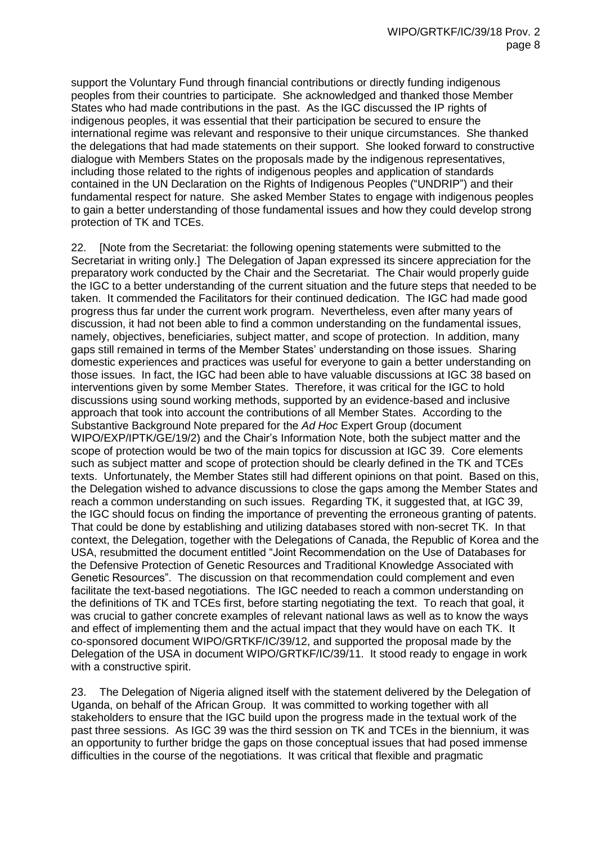support the Voluntary Fund through financial contributions or directly funding indigenous peoples from their countries to participate. She acknowledged and thanked those Member States who had made contributions in the past. As the IGC discussed the IP rights of indigenous peoples, it was essential that their participation be secured to ensure the international regime was relevant and responsive to their unique circumstances. She thanked the delegations that had made statements on their support. She looked forward to constructive dialogue with Members States on the proposals made by the indigenous representatives, including those related to the rights of indigenous peoples and application of standards contained in the UN Declaration on the Rights of Indigenous Peoples ("UNDRIP") and their fundamental respect for nature. She asked Member States to engage with indigenous peoples to gain a better understanding of those fundamental issues and how they could develop strong protection of TK and TCEs.

22. [Note from the Secretariat: the following opening statements were submitted to the Secretariat in writing only.] The Delegation of Japan expressed its sincere appreciation for the preparatory work conducted by the Chair and the Secretariat. The Chair would properly guide the IGC to a better understanding of the current situation and the future steps that needed to be taken. It commended the Facilitators for their continued dedication. The IGC had made good progress thus far under the current work program. Nevertheless, even after many years of discussion, it had not been able to find a common understanding on the fundamental issues, namely, objectives, beneficiaries, subject matter, and scope of protection. In addition, many gaps still remained in terms of the Member States' understanding on those issues. Sharing domestic experiences and practices was useful for everyone to gain a better understanding on those issues. In fact, the IGC had been able to have valuable discussions at IGC 38 based on interventions given by some Member States. Therefore, it was critical for the IGC to hold discussions using sound working methods, supported by an evidence-based and inclusive approach that took into account the contributions of all Member States. According to the Substantive Background Note prepared for the *Ad Hoc* Expert Group (document WIPO/EXP/IPTK/GE/19/2) and the Chair's Information Note, both the subject matter and the scope of protection would be two of the main topics for discussion at IGC 39. Core elements such as subject matter and scope of protection should be clearly defined in the TK and TCEs texts. Unfortunately, the Member States still had different opinions on that point. Based on this, the Delegation wished to advance discussions to close the gaps among the Member States and reach a common understanding on such issues. Regarding TK, it suggested that, at IGC 39, the IGC should focus on finding the importance of preventing the erroneous granting of patents. That could be done by establishing and utilizing databases stored with non-secret TK. In that context, the Delegation, together with the Delegations of Canada, the Republic of Korea and the USA, resubmitted the document entitled "Joint Recommendation on the Use of Databases for the Defensive Protection of Genetic Resources and Traditional Knowledge Associated with Genetic Resources". The discussion on that recommendation could complement and even facilitate the text-based negotiations. The IGC needed to reach a common understanding on the definitions of TK and TCEs first, before starting negotiating the text. To reach that goal, it was crucial to gather concrete examples of relevant national laws as well as to know the ways and effect of implementing them and the actual impact that they would have on each TK. It co-sponsored document WIPO/GRTKF/IC/39/12, and supported the proposal made by the Delegation of the USA in document WIPO/GRTKF/IC/39/11. It stood ready to engage in work with a constructive spirit.

23. The Delegation of Nigeria aligned itself with the statement delivered by the Delegation of Uganda, on behalf of the African Group. It was committed to working together with all stakeholders to ensure that the IGC build upon the progress made in the textual work of the past three sessions. As IGC 39 was the third session on TK and TCEs in the biennium, it was an opportunity to further bridge the gaps on those conceptual issues that had posed immense difficulties in the course of the negotiations. It was critical that flexible and pragmatic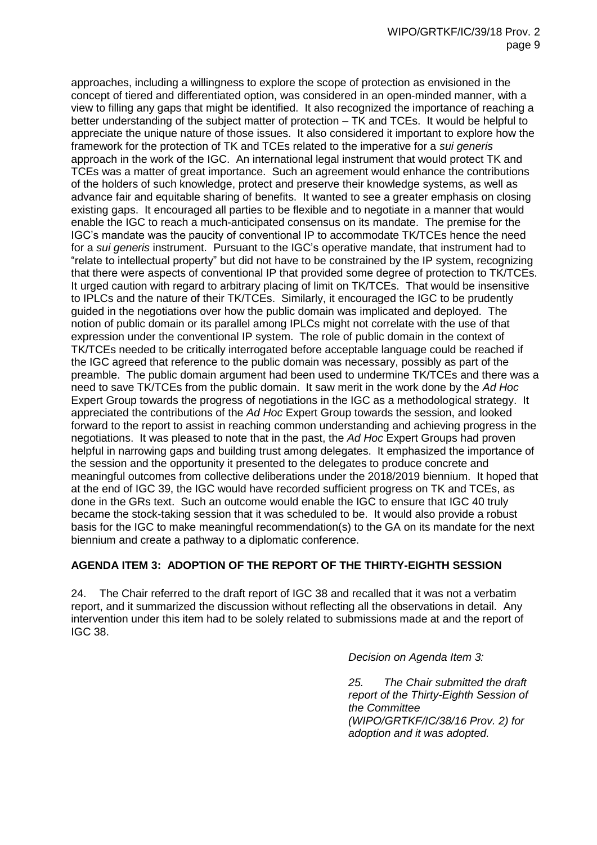approaches, including a willingness to explore the scope of protection as envisioned in the concept of tiered and differentiated option, was considered in an open-minded manner, with a view to filling any gaps that might be identified. It also recognized the importance of reaching a better understanding of the subject matter of protection – TK and TCEs. It would be helpful to appreciate the unique nature of those issues. It also considered it important to explore how the framework for the protection of TK and TCEs related to the imperative for a *sui generis* approach in the work of the IGC. An international legal instrument that would protect TK and TCEs was a matter of great importance. Such an agreement would enhance the contributions of the holders of such knowledge, protect and preserve their knowledge systems, as well as advance fair and equitable sharing of benefits. It wanted to see a greater emphasis on closing existing gaps. It encouraged all parties to be flexible and to negotiate in a manner that would enable the IGC to reach a much-anticipated consensus on its mandate. The premise for the IGC's mandate was the paucity of conventional IP to accommodate TK/TCEs hence the need for a *sui generis* instrument. Pursuant to the IGC's operative mandate, that instrument had to "relate to intellectual property" but did not have to be constrained by the IP system, recognizing that there were aspects of conventional IP that provided some degree of protection to TK/TCEs. It urged caution with regard to arbitrary placing of limit on TK/TCEs. That would be insensitive to IPLCs and the nature of their TK/TCEs. Similarly, it encouraged the IGC to be prudently guided in the negotiations over how the public domain was implicated and deployed. The notion of public domain or its parallel among IPLCs might not correlate with the use of that expression under the conventional IP system. The role of public domain in the context of TK/TCEs needed to be critically interrogated before acceptable language could be reached if the IGC agreed that reference to the public domain was necessary, possibly as part of the preamble. The public domain argument had been used to undermine TK/TCEs and there was a need to save TK/TCEs from the public domain. It saw merit in the work done by the *Ad Hoc* Expert Group towards the progress of negotiations in the IGC as a methodological strategy. It appreciated the contributions of the *Ad Hoc* Expert Group towards the session, and looked forward to the report to assist in reaching common understanding and achieving progress in the negotiations. It was pleased to note that in the past, the *Ad Hoc* Expert Groups had proven helpful in narrowing gaps and building trust among delegates. It emphasized the importance of the session and the opportunity it presented to the delegates to produce concrete and meaningful outcomes from collective deliberations under the 2018/2019 biennium. It hoped that at the end of IGC 39, the IGC would have recorded sufficient progress on TK and TCEs, as done in the GRs text. Such an outcome would enable the IGC to ensure that IGC 40 truly became the stock-taking session that it was scheduled to be. It would also provide a robust basis for the IGC to make meaningful recommendation(s) to the GA on its mandate for the next biennium and create a pathway to a diplomatic conference.

# **AGENDA ITEM 3: ADOPTION OF THE REPORT OF THE THIRTY-EIGHTH SESSION**

24. The Chair referred to the draft report of IGC 38 and recalled that it was not a verbatim report, and it summarized the discussion without reflecting all the observations in detail. Any intervention under this item had to be solely related to submissions made at and the report of IGC 38.

*Decision on Agenda Item 3:*

*25. The Chair submitted the draft report of the Thirty-Eighth Session of the Committee (WIPO/GRTKF/IC/38/16 Prov. 2) for adoption and it was adopted.*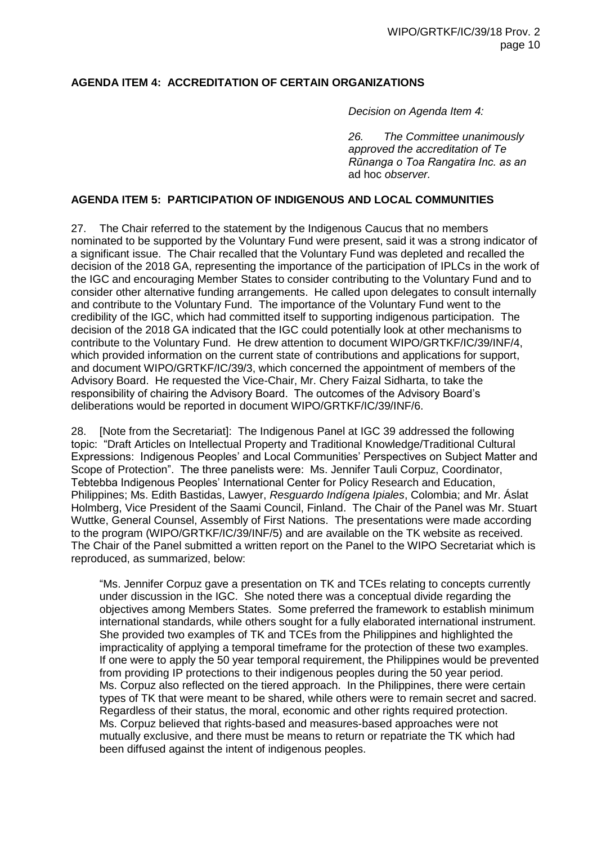## **AGENDA ITEM 4: ACCREDITATION OF CERTAIN ORGANIZATIONS**

*Decision on Agenda Item 4:*

*26. The Committee unanimously approved the accreditation of Te Rūnanga o Toa Rangatira Inc. as an*  ad hoc *observer.*

#### **AGENDA ITEM 5: PARTICIPATION OF INDIGENOUS AND LOCAL COMMUNITIES**

27. The Chair referred to the statement by the Indigenous Caucus that no members nominated to be supported by the Voluntary Fund were present, said it was a strong indicator of a significant issue. The Chair recalled that the Voluntary Fund was depleted and recalled the decision of the 2018 GA, representing the importance of the participation of IPLCs in the work of the IGC and encouraging Member States to consider contributing to the Voluntary Fund and to consider other alternative funding arrangements. He called upon delegates to consult internally and contribute to the Voluntary Fund. The importance of the Voluntary Fund went to the credibility of the IGC, which had committed itself to supporting indigenous participation. The decision of the 2018 GA indicated that the IGC could potentially look at other mechanisms to contribute to the Voluntary Fund. He drew attention to document WIPO/GRTKF/IC/39/INF/4, which provided information on the current state of contributions and applications for support, and document WIPO/GRTKF/IC/39/3, which concerned the appointment of members of the Advisory Board. He requested the Vice-Chair, Mr. Chery Faizal Sidharta, to take the responsibility of chairing the Advisory Board. The outcomes of the Advisory Board's deliberations would be reported in document WIPO/GRTKF/IC/39/INF/6.

28. [Note from the Secretariat]: The Indigenous Panel at IGC 39 addressed the following topic: "Draft Articles on Intellectual Property and Traditional Knowledge/Traditional Cultural Expressions: Indigenous Peoples' and Local Communities' Perspectives on Subject Matter and Scope of Protection". The three panelists were: Ms. Jennifer Tauli Corpuz, Coordinator, Tebtebba Indigenous Peoples' International Center for Policy Research and Education, Philippines; Ms. Edith Bastidas, Lawyer, *Resguardo Indígena Ipiales*, Colombia; and Mr. Áslat Holmberg, Vice President of the Saami Council, Finland. The Chair of the Panel was Mr. Stuart Wuttke, General Counsel, Assembly of First Nations. The presentations were made according to the program (WIPO/GRTKF/IC/39/INF/5) and are available on the TK website as received. The Chair of the Panel submitted a written report on the Panel to the WIPO Secretariat which is reproduced, as summarized, below:

"Ms. Jennifer Corpuz gave a presentation on TK and TCEs relating to concepts currently under discussion in the IGC. She noted there was a conceptual divide regarding the objectives among Members States. Some preferred the framework to establish minimum international standards, while others sought for a fully elaborated international instrument. She provided two examples of TK and TCEs from the Philippines and highlighted the impracticality of applying a temporal timeframe for the protection of these two examples. If one were to apply the 50 year temporal requirement, the Philippines would be prevented from providing IP protections to their indigenous peoples during the 50 year period. Ms. Corpuz also reflected on the tiered approach. In the Philippines, there were certain types of TK that were meant to be shared, while others were to remain secret and sacred. Regardless of their status, the moral, economic and other rights required protection. Ms. Corpuz believed that rights-based and measures-based approaches were not mutually exclusive, and there must be means to return or repatriate the TK which had been diffused against the intent of indigenous peoples.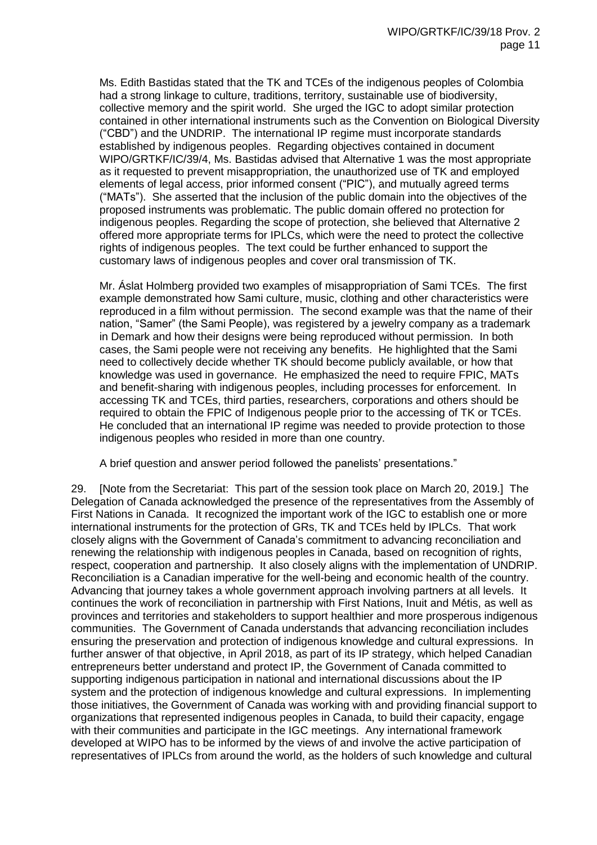Ms. Edith Bastidas stated that the TK and TCEs of the indigenous peoples of Colombia had a strong linkage to culture, traditions, territory, sustainable use of biodiversity, collective memory and the spirit world. She urged the IGC to adopt similar protection contained in other international instruments such as the Convention on Biological Diversity ("CBD") and the UNDRIP. The international IP regime must incorporate standards established by indigenous peoples. Regarding objectives contained in document WIPO/GRTKF/IC/39/4, Ms. Bastidas advised that Alternative 1 was the most appropriate as it requested to prevent misappropriation, the unauthorized use of TK and employed elements of legal access, prior informed consent ("PIC"), and mutually agreed terms ("MATs"). She asserted that the inclusion of the public domain into the objectives of the proposed instruments was problematic. The public domain offered no protection for indigenous peoples. Regarding the scope of protection, she believed that Alternative 2 offered more appropriate terms for IPLCs, which were the need to protect the collective rights of indigenous peoples. The text could be further enhanced to support the customary laws of indigenous peoples and cover oral transmission of TK.

Mr. Áslat Holmberg provided two examples of misappropriation of Sami TCEs. The first example demonstrated how Sami culture, music, clothing and other characteristics were reproduced in a film without permission. The second example was that the name of their nation, "Samer" (the Sami People), was registered by a jewelry company as a trademark in Demark and how their designs were being reproduced without permission. In both cases, the Sami people were not receiving any benefits. He highlighted that the Sami need to collectively decide whether TK should become publicly available, or how that knowledge was used in governance. He emphasized the need to require FPIC, MATs and benefit-sharing with indigenous peoples, including processes for enforcement. In accessing TK and TCEs, third parties, researchers, corporations and others should be required to obtain the FPIC of Indigenous people prior to the accessing of TK or TCEs. He concluded that an international IP regime was needed to provide protection to those indigenous peoples who resided in more than one country.

A brief question and answer period followed the panelists' presentations."

29. [Note from the Secretariat: This part of the session took place on March 20, 2019.] The Delegation of Canada acknowledged the presence of the representatives from the Assembly of First Nations in Canada. It recognized the important work of the IGC to establish one or more international instruments for the protection of GRs, TK and TCEs held by IPLCs. That work closely aligns with the Government of Canada's commitment to advancing reconciliation and renewing the relationship with indigenous peoples in Canada, based on recognition of rights, respect, cooperation and partnership. It also closely aligns with the implementation of UNDRIP. Reconciliation is a Canadian imperative for the well-being and economic health of the country. Advancing that journey takes a whole government approach involving partners at all levels. It continues the work of reconciliation in partnership with First Nations, Inuit and Métis, as well as provinces and territories and stakeholders to support healthier and more prosperous indigenous communities. The Government of Canada understands that advancing reconciliation includes ensuring the preservation and protection of indigenous knowledge and cultural expressions. In further answer of that objective, in April 2018, as part of its IP strategy, which helped Canadian entrepreneurs better understand and protect IP, the Government of Canada committed to supporting indigenous participation in national and international discussions about the IP system and the protection of indigenous knowledge and cultural expressions. In implementing those initiatives, the Government of Canada was working with and providing financial support to organizations that represented indigenous peoples in Canada, to build their capacity, engage with their communities and participate in the IGC meetings. Any international framework developed at WIPO has to be informed by the views of and involve the active participation of representatives of IPLCs from around the world, as the holders of such knowledge and cultural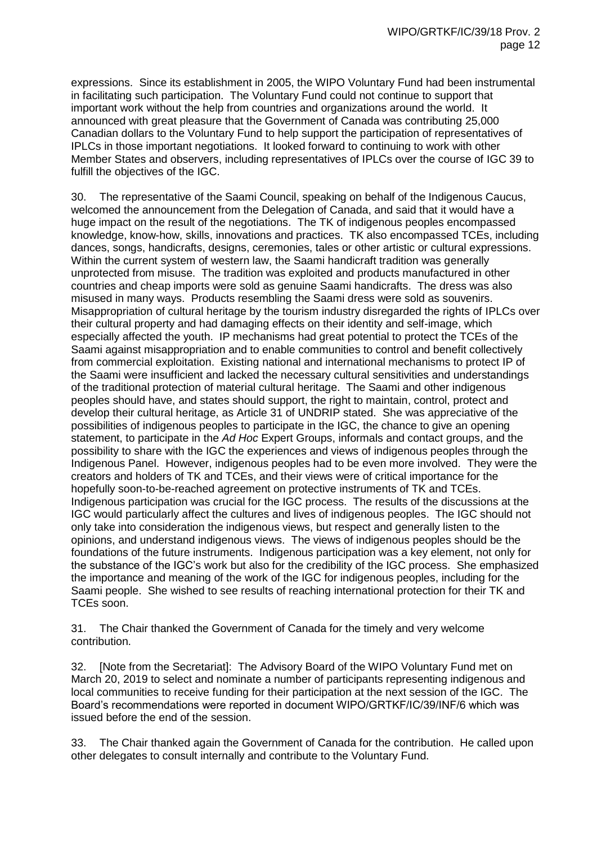expressions. Since its establishment in 2005, the WIPO Voluntary Fund had been instrumental in facilitating such participation. The Voluntary Fund could not continue to support that important work without the help from countries and organizations around the world. It announced with great pleasure that the Government of Canada was contributing 25,000 Canadian dollars to the Voluntary Fund to help support the participation of representatives of IPLCs in those important negotiations. It looked forward to continuing to work with other Member States and observers, including representatives of IPLCs over the course of IGC 39 to fulfill the objectives of the IGC.

30. The representative of the Saami Council, speaking on behalf of the Indigenous Caucus, welcomed the announcement from the Delegation of Canada, and said that it would have a huge impact on the result of the negotiations. The TK of indigenous peoples encompassed knowledge, know-how, skills, innovations and practices. TK also encompassed TCEs, including dances, songs, handicrafts, designs, ceremonies, tales or other artistic or cultural expressions. Within the current system of western law, the Saami handicraft tradition was generally unprotected from misuse. The tradition was exploited and products manufactured in other countries and cheap imports were sold as genuine Saami handicrafts. The dress was also misused in many ways. Products resembling the Saami dress were sold as souvenirs. Misappropriation of cultural heritage by the tourism industry disregarded the rights of IPLCs over their cultural property and had damaging effects on their identity and self-image, which especially affected the youth. IP mechanisms had great potential to protect the TCEs of the Saami against misappropriation and to enable communities to control and benefit collectively from commercial exploitation. Existing national and international mechanisms to protect IP of the Saami were insufficient and lacked the necessary cultural sensitivities and understandings of the traditional protection of material cultural heritage. The Saami and other indigenous peoples should have, and states should support, the right to maintain, control, protect and develop their cultural heritage, as Article 31 of UNDRIP stated. She was appreciative of the possibilities of indigenous peoples to participate in the IGC, the chance to give an opening statement, to participate in the *Ad Hoc* Expert Groups, informals and contact groups, and the possibility to share with the IGC the experiences and views of indigenous peoples through the Indigenous Panel. However, indigenous peoples had to be even more involved. They were the creators and holders of TK and TCEs, and their views were of critical importance for the hopefully soon-to-be-reached agreement on protective instruments of TK and TCEs. Indigenous participation was crucial for the IGC process. The results of the discussions at the IGC would particularly affect the cultures and lives of indigenous peoples. The IGC should not only take into consideration the indigenous views, but respect and generally listen to the opinions, and understand indigenous views. The views of indigenous peoples should be the foundations of the future instruments. Indigenous participation was a key element, not only for the substance of the IGC's work but also for the credibility of the IGC process. She emphasized the importance and meaning of the work of the IGC for indigenous peoples, including for the Saami people. She wished to see results of reaching international protection for their TK and TCEs soon.

31. The Chair thanked the Government of Canada for the timely and very welcome contribution.

32. [Note from the Secretariat]: The Advisory Board of the WIPO Voluntary Fund met on March 20, 2019 to select and nominate a number of participants representing indigenous and local communities to receive funding for their participation at the next session of the IGC. The Board's recommendations were reported in document WIPO/GRTKF/IC/39/INF/6 which was issued before the end of the session.

33. The Chair thanked again the Government of Canada for the contribution. He called upon other delegates to consult internally and contribute to the Voluntary Fund.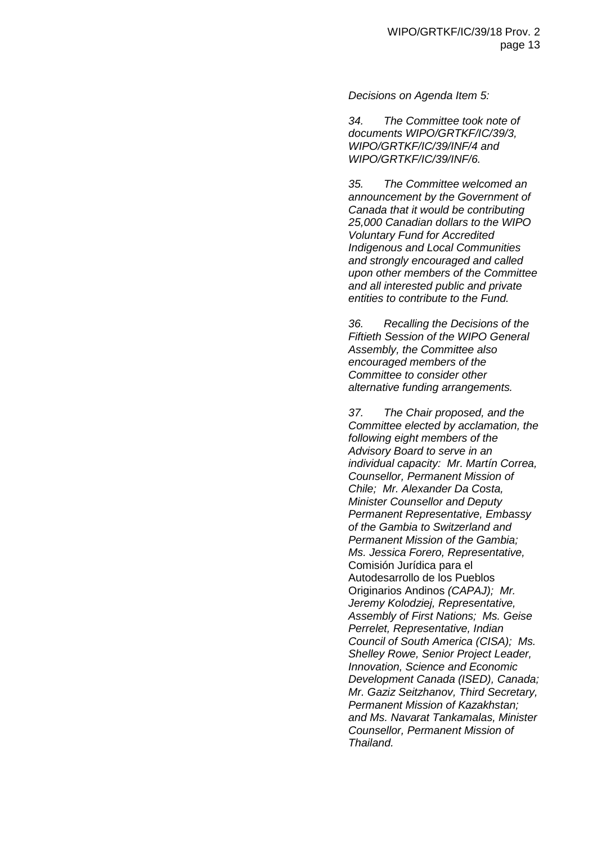*Decisions on Agenda Item 5:*

*34. The Committee took note of documents WIPO/GRTKF/IC/39/3, WIPO/GRTKF/IC/39/INF/4 and WIPO/GRTKF/IC/39/INF/6.*

*35. The Committee welcomed an announcement by the Government of Canada that it would be contributing 25,000 Canadian dollars to the WIPO Voluntary Fund for Accredited Indigenous and Local Communities and strongly encouraged and called upon other members of the Committee and all interested public and private entities to contribute to the Fund.* 

*36. Recalling the Decisions of the Fiftieth Session of the WIPO General Assembly, the Committee also encouraged members of the Committee to consider other alternative funding arrangements.* 

*37. The Chair proposed, and the Committee elected by acclamation, the following eight members of the Advisory Board to serve in an individual capacity: Mr. Martín Correa, Counsellor, Permanent Mission of Chile; Mr. Alexander Da Costa, Minister Counsellor and Deputy Permanent Representative, Embassy of the Gambia to Switzerland and Permanent Mission of the Gambia; Ms. Jessica Forero, Representative,*  Comisión Jurídica para el Autodesarrollo de los Pueblos Originarios Andinos *(CAPAJ); Mr. Jeremy Kolodziej, Representative, Assembly of First Nations; Ms. Geise Perrelet, Representative, Indian Council of South America (CISA); Ms. Shelley Rowe, Senior Project Leader, Innovation, Science and Economic Development Canada (ISED), Canada; Mr. Gaziz Seitzhanov, Third Secretary, Permanent Mission of Kazakhstan; and Ms. Navarat Tankamalas, Minister Counsellor, Permanent Mission of Thailand.*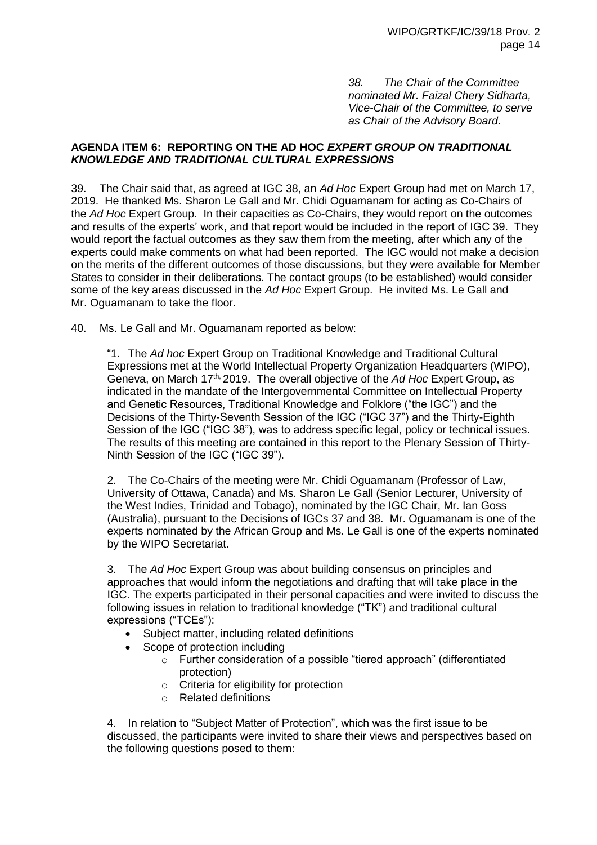*38. The Chair of the Committee nominated Mr. Faizal Chery Sidharta, Vice-Chair of the Committee, to serve as Chair of the Advisory Board.*

#### **AGENDA ITEM 6: REPORTING ON THE AD HOC** *EXPERT GROUP ON TRADITIONAL KNOWLEDGE AND TRADITIONAL CULTURAL EXPRESSIONS*

39. The Chair said that, as agreed at IGC 38, an *Ad Hoc* Expert Group had met on March 17, 2019. He thanked Ms. Sharon Le Gall and Mr. Chidi Oguamanam for acting as Co-Chairs of the *Ad Hoc* Expert Group. In their capacities as Co-Chairs, they would report on the outcomes and results of the experts' work, and that report would be included in the report of IGC 39. They would report the factual outcomes as they saw them from the meeting, after which any of the experts could make comments on what had been reported. The IGC would not make a decision on the merits of the different outcomes of those discussions, but they were available for Member States to consider in their deliberations. The contact groups (to be established) would consider some of the key areas discussed in the *Ad Hoc* Expert Group. He invited Ms. Le Gall and Mr. Oguamanam to take the floor.

40. Ms. Le Gall and Mr. Oguamanam reported as below:

"1. The *Ad hoc* Expert Group on Traditional Knowledge and Traditional Cultural Expressions met at the World Intellectual Property Organization Headquarters (WIPO), Geneva, on March 17th, 2019. The overall objective of the *Ad Hoc* Expert Group, as indicated in the mandate of the Intergovernmental Committee on Intellectual Property and Genetic Resources, Traditional Knowledge and Folklore ("the IGC") and the Decisions of the Thirty-Seventh Session of the IGC ("IGC 37") and the Thirty-Eighth Session of the IGC ("IGC 38"), was to address specific legal, policy or technical issues. The results of this meeting are contained in this report to the Plenary Session of Thirty-Ninth Session of the IGC ("IGC 39").

2. The Co-Chairs of the meeting were Mr. Chidi Oguamanam (Professor of Law, University of Ottawa, Canada) and Ms. Sharon Le Gall (Senior Lecturer, University of the West Indies, Trinidad and Tobago), nominated by the IGC Chair, Mr. Ian Goss (Australia), pursuant to the Decisions of IGCs 37 and 38. Mr. Oguamanam is one of the experts nominated by the African Group and Ms. Le Gall is one of the experts nominated by the WIPO Secretariat.

3. The *Ad Hoc* Expert Group was about building consensus on principles and approaches that would inform the negotiations and drafting that will take place in the IGC. The experts participated in their personal capacities and were invited to discuss the following issues in relation to traditional knowledge ("TK") and traditional cultural expressions ("TCEs"):

- Subject matter, including related definitions
- Scope of protection including
	- o Further consideration of a possible "tiered approach" (differentiated protection)
	- o Criteria for eligibility for protection
	- o Related definitions

4. In relation to "Subject Matter of Protection", which was the first issue to be discussed, the participants were invited to share their views and perspectives based on the following questions posed to them: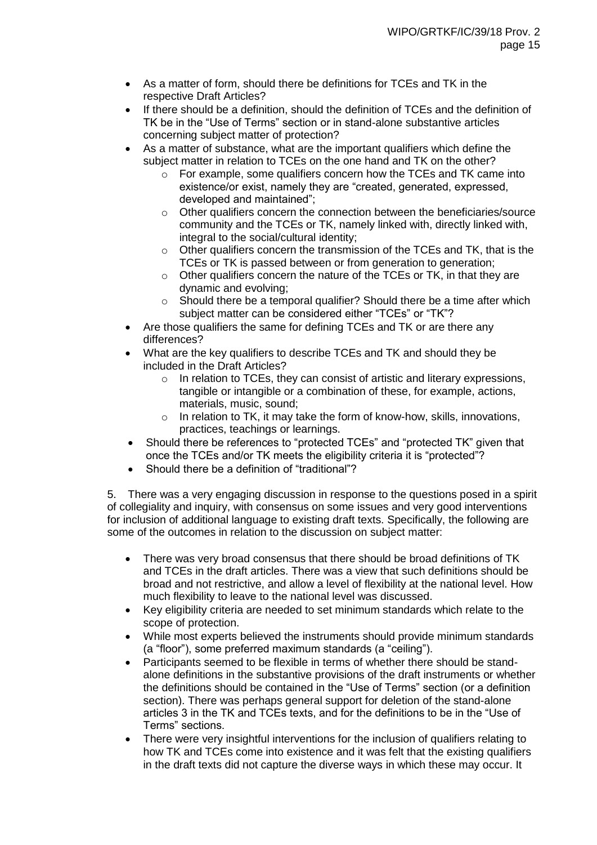- As a matter of form, should there be definitions for TCEs and TK in the respective Draft Articles?
- If there should be a definition, should the definition of TCEs and the definition of TK be in the "Use of Terms" section or in stand-alone substantive articles concerning subject matter of protection?
- As a matter of substance, what are the important qualifiers which define the subject matter in relation to TCEs on the one hand and TK on the other?
	- $\circ$  For example, some qualifiers concern how the TCEs and TK came into existence/or exist, namely they are "created, generated, expressed, developed and maintained";
	- o Other qualifiers concern the connection between the beneficiaries/source community and the TCEs or TK, namely linked with, directly linked with, integral to the social/cultural identity;
	- o Other qualifiers concern the transmission of the TCEs and TK, that is the TCEs or TK is passed between or from generation to generation;
	- o Other qualifiers concern the nature of the TCEs or TK, in that they are dynamic and evolving;
	- o Should there be a temporal qualifier? Should there be a time after which subject matter can be considered either "TCEs" or "TK"?
- Are those qualifiers the same for defining TCEs and TK or are there any differences?
- What are the key qualifiers to describe TCEs and TK and should they be included in the Draft Articles?
	- o In relation to TCEs, they can consist of artistic and literary expressions, tangible or intangible or a combination of these, for example, actions, materials, music, sound;
	- o In relation to TK, it may take the form of know-how, skills, innovations, practices, teachings or learnings.
- Should there be references to "protected TCEs" and "protected TK" given that once the TCEs and/or TK meets the eligibility criteria it is "protected"?
- Should there be a definition of "traditional"?

5. There was a very engaging discussion in response to the questions posed in a spirit of collegiality and inquiry, with consensus on some issues and very good interventions for inclusion of additional language to existing draft texts. Specifically, the following are some of the outcomes in relation to the discussion on subject matter:

- There was very broad consensus that there should be broad definitions of TK and TCEs in the draft articles. There was a view that such definitions should be broad and not restrictive, and allow a level of flexibility at the national level. How much flexibility to leave to the national level was discussed.
- Key eligibility criteria are needed to set minimum standards which relate to the scope of protection.
- While most experts believed the instruments should provide minimum standards (a "floor"), some preferred maximum standards (a "ceiling").
- Participants seemed to be flexible in terms of whether there should be standalone definitions in the substantive provisions of the draft instruments or whether the definitions should be contained in the "Use of Terms" section (or a definition section). There was perhaps general support for deletion of the stand-alone articles 3 in the TK and TCEs texts, and for the definitions to be in the "Use of Terms" sections.
- There were very insightful interventions for the inclusion of qualifiers relating to how TK and TCEs come into existence and it was felt that the existing qualifiers in the draft texts did not capture the diverse ways in which these may occur. It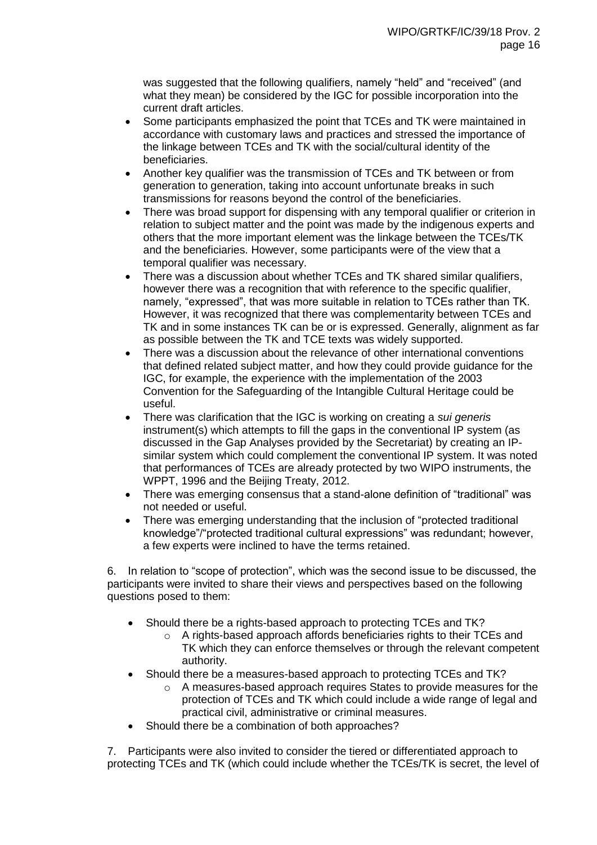was suggested that the following qualifiers, namely "held" and "received" (and what they mean) be considered by the IGC for possible incorporation into the current draft articles.

- Some participants emphasized the point that TCEs and TK were maintained in accordance with customary laws and practices and stressed the importance of the linkage between TCEs and TK with the social/cultural identity of the beneficiaries.
- Another key qualifier was the transmission of TCEs and TK between or from generation to generation, taking into account unfortunate breaks in such transmissions for reasons beyond the control of the beneficiaries.
- There was broad support for dispensing with any temporal qualifier or criterion in relation to subject matter and the point was made by the indigenous experts and others that the more important element was the linkage between the TCEs/TK and the beneficiaries. However, some participants were of the view that a temporal qualifier was necessary.
- There was a discussion about whether TCEs and TK shared similar qualifiers, however there was a recognition that with reference to the specific qualifier, namely, "expressed", that was more suitable in relation to TCEs rather than TK. However, it was recognized that there was complementarity between TCEs and TK and in some instances TK can be or is expressed. Generally, alignment as far as possible between the TK and TCE texts was widely supported.
- There was a discussion about the relevance of other international conventions that defined related subject matter, and how they could provide guidance for the IGC, for example, the experience with the implementation of the 2003 Convention for the Safeguarding of the Intangible Cultural Heritage could be useful.
- There was clarification that the IGC is working on creating a *sui generis* instrument(s) which attempts to fill the gaps in the conventional IP system (as discussed in the Gap Analyses provided by the Secretariat) by creating an IPsimilar system which could complement the conventional IP system. It was noted that performances of TCEs are already protected by two WIPO instruments, the WPPT, 1996 and the Beijing Treaty, 2012.
- There was emerging consensus that a stand-alone definition of "traditional" was not needed or useful.
- There was emerging understanding that the inclusion of "protected traditional knowledge"/"protected traditional cultural expressions" was redundant; however, a few experts were inclined to have the terms retained.

6. In relation to "scope of protection", which was the second issue to be discussed, the participants were invited to share their views and perspectives based on the following questions posed to them:

- Should there be a rights-based approach to protecting TCEs and TK?
	- o A rights-based approach affords beneficiaries rights to their TCEs and TK which they can enforce themselves or through the relevant competent authority.
- Should there be a measures-based approach to protecting TCEs and TK?
	- o A measures-based approach requires States to provide measures for the protection of TCEs and TK which could include a wide range of legal and practical civil, administrative or criminal measures.
- Should there be a combination of both approaches?

7. Participants were also invited to consider the tiered or differentiated approach to protecting TCEs and TK (which could include whether the TCEs/TK is secret, the level of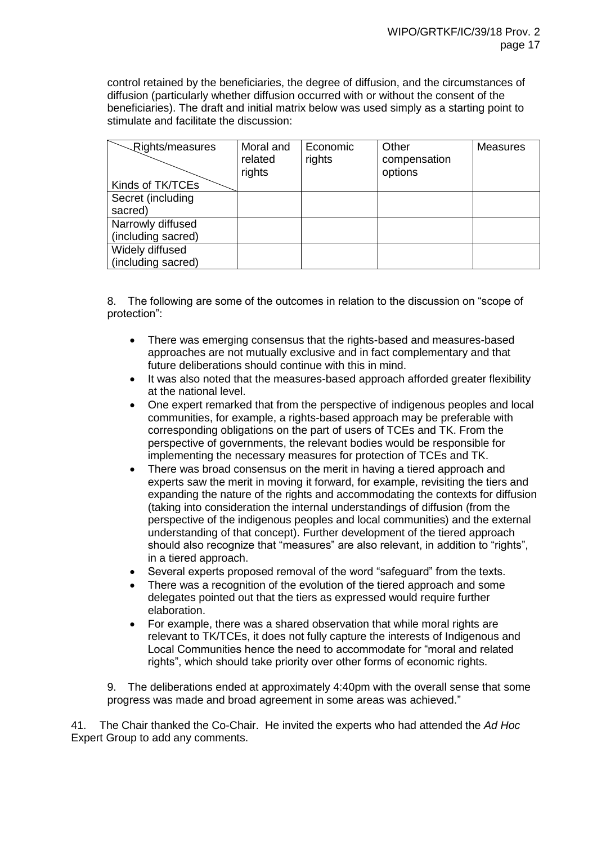control retained by the beneficiaries, the degree of diffusion, and the circumstances of diffusion (particularly whether diffusion occurred with or without the consent of the beneficiaries). The draft and initial matrix below was used simply as a starting point to stimulate and facilitate the discussion:

| Rights/measures    | Moral and<br>related<br>rights | Economic<br>rights | Other<br>compensation<br>options | <b>Measures</b> |
|--------------------|--------------------------------|--------------------|----------------------------------|-----------------|
| Kinds of TK/TCEs   |                                |                    |                                  |                 |
| Secret (including  |                                |                    |                                  |                 |
| sacred)            |                                |                    |                                  |                 |
| Narrowly diffused  |                                |                    |                                  |                 |
| (including sacred) |                                |                    |                                  |                 |
| Widely diffused    |                                |                    |                                  |                 |
| (including sacred) |                                |                    |                                  |                 |

8. The following are some of the outcomes in relation to the discussion on "scope of protection":

- There was emerging consensus that the rights-based and measures-based approaches are not mutually exclusive and in fact complementary and that future deliberations should continue with this in mind.
- It was also noted that the measures-based approach afforded greater flexibility at the national level.
- One expert remarked that from the perspective of indigenous peoples and local communities, for example, a rights-based approach may be preferable with corresponding obligations on the part of users of TCEs and TK. From the perspective of governments, the relevant bodies would be responsible for implementing the necessary measures for protection of TCEs and TK.
- There was broad consensus on the merit in having a tiered approach and experts saw the merit in moving it forward, for example, revisiting the tiers and expanding the nature of the rights and accommodating the contexts for diffusion (taking into consideration the internal understandings of diffusion (from the perspective of the indigenous peoples and local communities) and the external understanding of that concept). Further development of the tiered approach should also recognize that "measures" are also relevant, in addition to "rights", in a tiered approach.
- Several experts proposed removal of the word "safeguard" from the texts.
- There was a recognition of the evolution of the tiered approach and some delegates pointed out that the tiers as expressed would require further elaboration.
- For example, there was a shared observation that while moral rights are relevant to TK/TCEs, it does not fully capture the interests of Indigenous and Local Communities hence the need to accommodate for "moral and related rights", which should take priority over other forms of economic rights.

9. The deliberations ended at approximately 4:40pm with the overall sense that some progress was made and broad agreement in some areas was achieved."

41. The Chair thanked the Co-Chair. He invited the experts who had attended the *Ad Hoc* Expert Group to add any comments.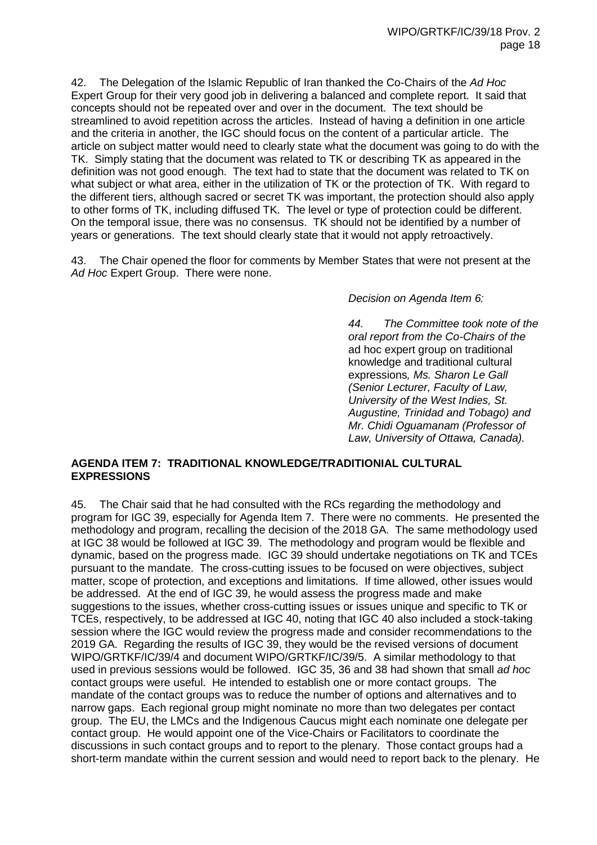42. The Delegation of the Islamic Republic of Iran thanked the Co-Chairs of the *Ad Hoc* Expert Group for their very good job in delivering a balanced and complete report. It said that concepts should not be repeated over and over in the document. The text should be streamlined to avoid repetition across the articles. Instead of having a definition in one article and the criteria in another, the IGC should focus on the content of a particular article. The article on subject matter would need to clearly state what the document was going to do with the TK. Simply stating that the document was related to TK or describing TK as appeared in the definition was not good enough. The text had to state that the document was related to TK on what subject or what area, either in the utilization of TK or the protection of TK. With regard to the different tiers, although sacred or secret TK was important, the protection should also apply to other forms of TK, including diffused TK. The level or type of protection could be different. On the temporal issue, there was no consensus. TK should not be identified by a number of years or generations. The text should clearly state that it would not apply retroactively.

43. The Chair opened the floor for comments by Member States that were not present at the *Ad Hoc* Expert Group. There were none.

*Decision on Agenda Item 6:*

*44. The Committee took note of the oral report from the Co-Chairs of the*  ad hoc expert group on traditional knowledge and traditional cultural expressions*, Ms. Sharon Le Gall (Senior Lecturer, Faculty of Law, University of the West Indies, St. Augustine, Trinidad and Tobago) and Mr. Chidi Oguamanam (Professor of Law, University of Ottawa, Canada).*

## **AGENDA ITEM 7: TRADITIONAL KNOWLEDGE/TRADITIONIAL CULTURAL EXPRESSIONS**

45. The Chair said that he had consulted with the RCs regarding the methodology and program for IGC 39, especially for Agenda Item 7. There were no comments. He presented the methodology and program, recalling the decision of the 2018 GA. The same methodology used at IGC 38 would be followed at IGC 39. The methodology and program would be flexible and dynamic, based on the progress made. IGC 39 should undertake negotiations on TK and TCEs pursuant to the mandate. The cross-cutting issues to be focused on were objectives, subject matter, scope of protection, and exceptions and limitations. If time allowed, other issues would be addressed. At the end of IGC 39, he would assess the progress made and make suggestions to the issues, whether cross-cutting issues or issues unique and specific to TK or TCEs, respectively, to be addressed at IGC 40, noting that IGC 40 also included a stock-taking session where the IGC would review the progress made and consider recommendations to the 2019 GA. Regarding the results of IGC 39, they would be the revised versions of document WIPO/GRTKF/IC/39/4 and document WIPO/GRTKF/IC/39/5. A similar methodology to that used in previous sessions would be followed. IGC 35, 36 and 38 had shown that small *ad hoc* contact groups were useful. He intended to establish one or more contact groups. The mandate of the contact groups was to reduce the number of options and alternatives and to narrow gaps. Each regional group might nominate no more than two delegates per contact group. The EU, the LMCs and the Indigenous Caucus might each nominate one delegate per contact group. He would appoint one of the Vice-Chairs or Facilitators to coordinate the discussions in such contact groups and to report to the plenary. Those contact groups had a short-term mandate within the current session and would need to report back to the plenary. He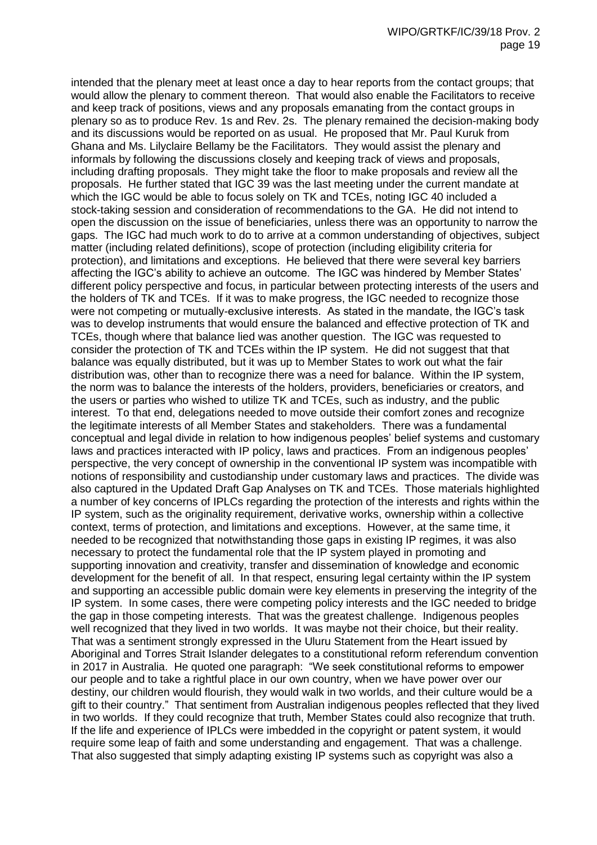intended that the plenary meet at least once a day to hear reports from the contact groups; that would allow the plenary to comment thereon. That would also enable the Facilitators to receive and keep track of positions, views and any proposals emanating from the contact groups in plenary so as to produce Rev. 1s and Rev. 2s. The plenary remained the decision-making body and its discussions would be reported on as usual. He proposed that Mr. Paul Kuruk from Ghana and Ms. Lilyclaire Bellamy be the Facilitators. They would assist the plenary and informals by following the discussions closely and keeping track of views and proposals, including drafting proposals. They might take the floor to make proposals and review all the proposals. He further stated that IGC 39 was the last meeting under the current mandate at which the IGC would be able to focus solely on TK and TCEs, noting IGC 40 included a stock-taking session and consideration of recommendations to the GA. He did not intend to open the discussion on the issue of beneficiaries, unless there was an opportunity to narrow the gaps. The IGC had much work to do to arrive at a common understanding of objectives, subject matter (including related definitions), scope of protection (including eligibility criteria for protection), and limitations and exceptions. He believed that there were several key barriers affecting the IGC's ability to achieve an outcome. The IGC was hindered by Member States' different policy perspective and focus, in particular between protecting interests of the users and the holders of TK and TCEs. If it was to make progress, the IGC needed to recognize those were not competing or mutually-exclusive interests. As stated in the mandate, the IGC's task was to develop instruments that would ensure the balanced and effective protection of TK and TCEs, though where that balance lied was another question. The IGC was requested to consider the protection of TK and TCEs within the IP system. He did not suggest that that balance was equally distributed, but it was up to Member States to work out what the fair distribution was, other than to recognize there was a need for balance. Within the IP system, the norm was to balance the interests of the holders, providers, beneficiaries or creators, and the users or parties who wished to utilize TK and TCEs, such as industry, and the public interest. To that end, delegations needed to move outside their comfort zones and recognize the legitimate interests of all Member States and stakeholders. There was a fundamental conceptual and legal divide in relation to how indigenous peoples' belief systems and customary laws and practices interacted with IP policy, laws and practices. From an indigenous peoples' perspective, the very concept of ownership in the conventional IP system was incompatible with notions of responsibility and custodianship under customary laws and practices. The divide was also captured in the Updated Draft Gap Analyses on TK and TCEs. Those materials highlighted a number of key concerns of IPLCs regarding the protection of the interests and rights within the IP system, such as the originality requirement, derivative works, ownership within a collective context, terms of protection, and limitations and exceptions. However, at the same time, it needed to be recognized that notwithstanding those gaps in existing IP regimes, it was also necessary to protect the fundamental role that the IP system played in promoting and supporting innovation and creativity, transfer and dissemination of knowledge and economic development for the benefit of all. In that respect, ensuring legal certainty within the IP system and supporting an accessible public domain were key elements in preserving the integrity of the IP system. In some cases, there were competing policy interests and the IGC needed to bridge the gap in those competing interests. That was the greatest challenge. Indigenous peoples well recognized that they lived in two worlds. It was maybe not their choice, but their reality. That was a sentiment strongly expressed in the Uluru Statement from the Heart issued by Aboriginal and Torres Strait Islander delegates to a constitutional reform referendum convention in 2017 in Australia. He quoted one paragraph: "We seek constitutional reforms to empower our people and to take a rightful place in our own country, when we have power over our destiny, our children would flourish, they would walk in two worlds, and their culture would be a gift to their country." That sentiment from Australian indigenous peoples reflected that they lived in two worlds. If they could recognize that truth, Member States could also recognize that truth. If the life and experience of IPLCs were imbedded in the copyright or patent system, it would require some leap of faith and some understanding and engagement. That was a challenge. That also suggested that simply adapting existing IP systems such as copyright was also a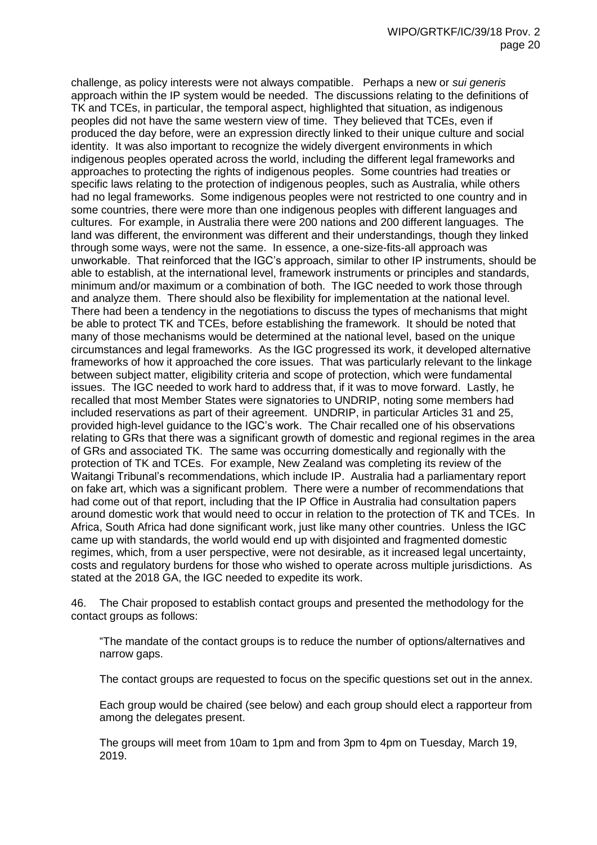challenge, as policy interests were not always compatible. Perhaps a new or *sui generis* approach within the IP system would be needed. The discussions relating to the definitions of TK and TCEs, in particular, the temporal aspect, highlighted that situation, as indigenous peoples did not have the same western view of time. They believed that TCEs, even if produced the day before, were an expression directly linked to their unique culture and social identity. It was also important to recognize the widely divergent environments in which indigenous peoples operated across the world, including the different legal frameworks and approaches to protecting the rights of indigenous peoples. Some countries had treaties or specific laws relating to the protection of indigenous peoples, such as Australia, while others had no legal frameworks. Some indigenous peoples were not restricted to one country and in some countries, there were more than one indigenous peoples with different languages and cultures. For example, in Australia there were 200 nations and 200 different languages. The land was different, the environment was different and their understandings, though they linked through some ways, were not the same. In essence, a one-size-fits-all approach was unworkable. That reinforced that the IGC's approach, similar to other IP instruments, should be able to establish, at the international level, framework instruments or principles and standards, minimum and/or maximum or a combination of both. The IGC needed to work those through and analyze them. There should also be flexibility for implementation at the national level. There had been a tendency in the negotiations to discuss the types of mechanisms that might be able to protect TK and TCEs, before establishing the framework. It should be noted that many of those mechanisms would be determined at the national level, based on the unique circumstances and legal frameworks. As the IGC progressed its work, it developed alternative frameworks of how it approached the core issues. That was particularly relevant to the linkage between subject matter, eligibility criteria and scope of protection, which were fundamental issues. The IGC needed to work hard to address that, if it was to move forward. Lastly, he recalled that most Member States were signatories to UNDRIP, noting some members had included reservations as part of their agreement. UNDRIP, in particular Articles 31 and 25, provided high-level guidance to the IGC's work. The Chair recalled one of his observations relating to GRs that there was a significant growth of domestic and regional regimes in the area of GRs and associated TK. The same was occurring domestically and regionally with the protection of TK and TCEs. For example, New Zealand was completing its review of the Waitangi Tribunal's recommendations, which include IP. Australia had a parliamentary report on fake art, which was a significant problem. There were a number of recommendations that had come out of that report, including that the IP Office in Australia had consultation papers around domestic work that would need to occur in relation to the protection of TK and TCEs. In Africa, South Africa had done significant work, just like many other countries. Unless the IGC came up with standards, the world would end up with disjointed and fragmented domestic regimes, which, from a user perspective, were not desirable, as it increased legal uncertainty, costs and regulatory burdens for those who wished to operate across multiple jurisdictions. As stated at the 2018 GA, the IGC needed to expedite its work.

46. The Chair proposed to establish contact groups and presented the methodology for the contact groups as follows:

"The mandate of the contact groups is to reduce the number of options/alternatives and narrow gaps.

The contact groups are requested to focus on the specific questions set out in the annex.

Each group would be chaired (see below) and each group should elect a rapporteur from among the delegates present.

The groups will meet from 10am to 1pm and from 3pm to 4pm on Tuesday, March 19, 2019.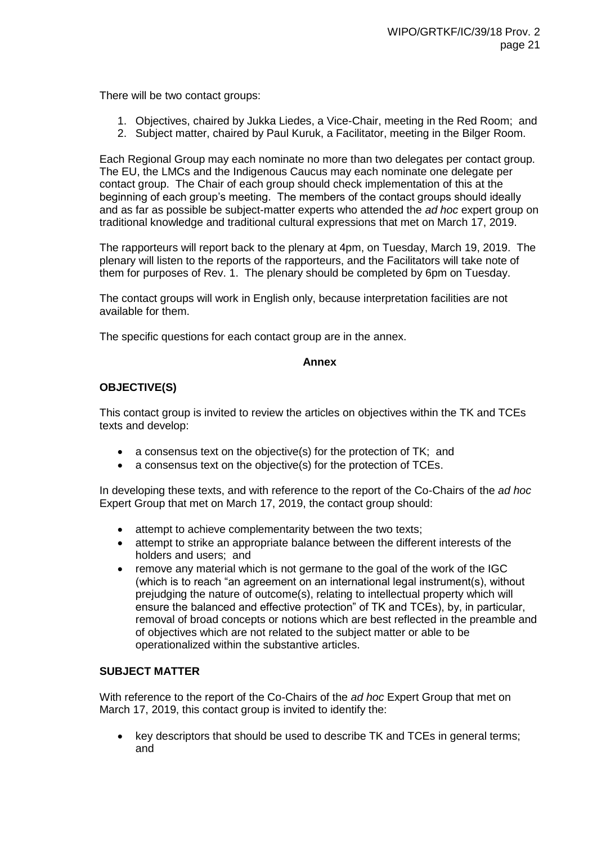There will be two contact groups:

- 1. Objectives, chaired by Jukka Liedes, a Vice-Chair, meeting in the Red Room; and
- 2. Subject matter, chaired by Paul Kuruk, a Facilitator, meeting in the Bilger Room.

Each Regional Group may each nominate no more than two delegates per contact group. The EU, the LMCs and the Indigenous Caucus may each nominate one delegate per contact group. The Chair of each group should check implementation of this at the beginning of each group's meeting. The members of the contact groups should ideally and as far as possible be subject-matter experts who attended the *ad hoc* expert group on traditional knowledge and traditional cultural expressions that met on March 17, 2019.

The rapporteurs will report back to the plenary at 4pm, on Tuesday, March 19, 2019. The plenary will listen to the reports of the rapporteurs, and the Facilitators will take note of them for purposes of Rev. 1. The plenary should be completed by 6pm on Tuesday.

The contact groups will work in English only, because interpretation facilities are not available for them.

The specific questions for each contact group are in the annex.

#### **Annex**

## **OBJECTIVE(S)**

This contact group is invited to review the articles on objectives within the TK and TCEs texts and develop:

- a consensus text on the objective(s) for the protection of TK; and
- a consensus text on the objective(s) for the protection of TCEs.

In developing these texts, and with reference to the report of the Co-Chairs of the *ad hoc* Expert Group that met on March 17, 2019, the contact group should:

- attempt to achieve complementarity between the two texts;
- attempt to strike an appropriate balance between the different interests of the holders and users; and
- remove any material which is not germane to the goal of the work of the IGC (which is to reach "an agreement on an international legal instrument(s), without prejudging the nature of outcome(s), relating to intellectual property which will ensure the balanced and effective protection" of TK and TCEs), by, in particular, removal of broad concepts or notions which are best reflected in the preamble and of objectives which are not related to the subject matter or able to be operationalized within the substantive articles.

#### **SUBJECT MATTER**

With reference to the report of the Co-Chairs of the *ad hoc* Expert Group that met on March 17, 2019, this contact group is invited to identify the:

 key descriptors that should be used to describe TK and TCEs in general terms; and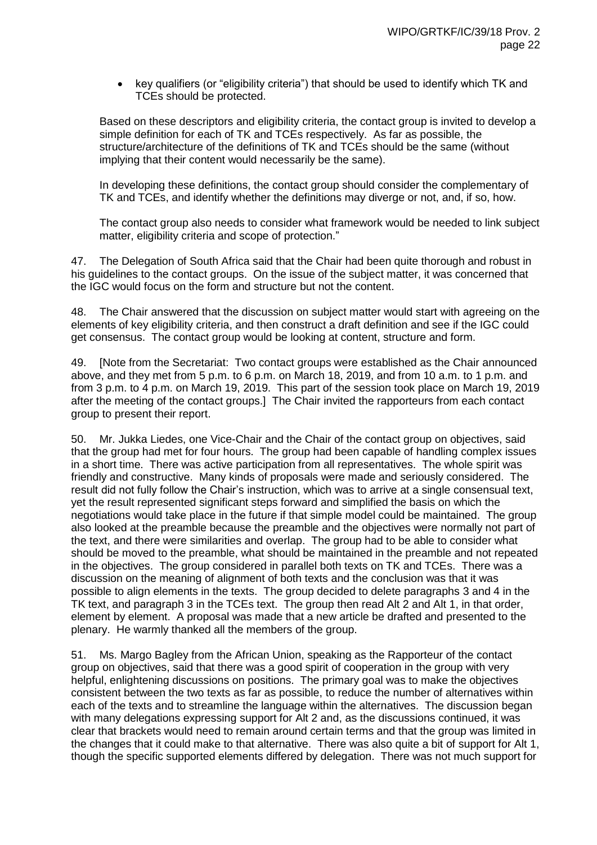• key qualifiers (or "eligibility criteria") that should be used to identify which TK and TCEs should be protected.

Based on these descriptors and eligibility criteria, the contact group is invited to develop a simple definition for each of TK and TCEs respectively. As far as possible, the structure/architecture of the definitions of TK and TCEs should be the same (without implying that their content would necessarily be the same).

In developing these definitions, the contact group should consider the complementary of TK and TCEs, and identify whether the definitions may diverge or not, and, if so, how.

The contact group also needs to consider what framework would be needed to link subject matter, eligibility criteria and scope of protection."

47. The Delegation of South Africa said that the Chair had been quite thorough and robust in his guidelines to the contact groups. On the issue of the subject matter, it was concerned that the IGC would focus on the form and structure but not the content.

48. The Chair answered that the discussion on subject matter would start with agreeing on the elements of key eligibility criteria, and then construct a draft definition and see if the IGC could get consensus. The contact group would be looking at content, structure and form.

49. [Note from the Secretariat: Two contact groups were established as the Chair announced above, and they met from 5 p.m. to 6 p.m. on March 18, 2019, and from 10 a.m. to 1 p.m. and from 3 p.m. to 4 p.m. on March 19, 2019. This part of the session took place on March 19, 2019 after the meeting of the contact groups.] The Chair invited the rapporteurs from each contact group to present their report.

50. Mr. Jukka Liedes, one Vice-Chair and the Chair of the contact group on objectives, said that the group had met for four hours. The group had been capable of handling complex issues in a short time. There was active participation from all representatives. The whole spirit was friendly and constructive. Many kinds of proposals were made and seriously considered. The result did not fully follow the Chair's instruction, which was to arrive at a single consensual text, yet the result represented significant steps forward and simplified the basis on which the negotiations would take place in the future if that simple model could be maintained. The group also looked at the preamble because the preamble and the objectives were normally not part of the text, and there were similarities and overlap. The group had to be able to consider what should be moved to the preamble, what should be maintained in the preamble and not repeated in the objectives. The group considered in parallel both texts on TK and TCEs. There was a discussion on the meaning of alignment of both texts and the conclusion was that it was possible to align elements in the texts. The group decided to delete paragraphs 3 and 4 in the TK text, and paragraph 3 in the TCEs text. The group then read Alt 2 and Alt 1, in that order, element by element. A proposal was made that a new article be drafted and presented to the plenary. He warmly thanked all the members of the group.

51. Ms. Margo Bagley from the African Union, speaking as the Rapporteur of the contact group on objectives, said that there was a good spirit of cooperation in the group with very helpful, enlightening discussions on positions. The primary goal was to make the objectives consistent between the two texts as far as possible, to reduce the number of alternatives within each of the texts and to streamline the language within the alternatives. The discussion began with many delegations expressing support for Alt 2 and, as the discussions continued, it was clear that brackets would need to remain around certain terms and that the group was limited in the changes that it could make to that alternative. There was also quite a bit of support for Alt 1, though the specific supported elements differed by delegation. There was not much support for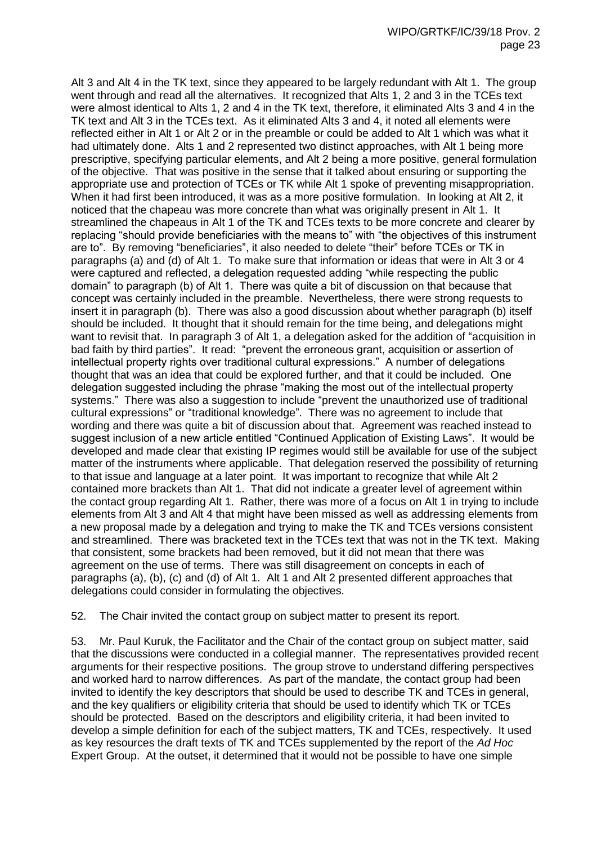Alt 3 and Alt 4 in the TK text, since they appeared to be largely redundant with Alt 1. The group went through and read all the alternatives. It recognized that Alts 1, 2 and 3 in the TCEs text were almost identical to Alts 1, 2 and 4 in the TK text, therefore, it eliminated Alts 3 and 4 in the TK text and Alt 3 in the TCEs text. As it eliminated Alts 3 and 4, it noted all elements were reflected either in Alt 1 or Alt 2 or in the preamble or could be added to Alt 1 which was what it had ultimately done. Alts 1 and 2 represented two distinct approaches, with Alt 1 being more prescriptive, specifying particular elements, and Alt 2 being a more positive, general formulation of the objective. That was positive in the sense that it talked about ensuring or supporting the appropriate use and protection of TCEs or TK while Alt 1 spoke of preventing misappropriation. When it had first been introduced, it was as a more positive formulation. In looking at Alt 2, it noticed that the chapeau was more concrete than what was originally present in Alt 1. It streamlined the chapeaus in Alt 1 of the TK and TCEs texts to be more concrete and clearer by replacing "should provide beneficiaries with the means to" with "the objectives of this instrument are to". By removing "beneficiaries", it also needed to delete "their" before TCEs or TK in paragraphs (a) and (d) of Alt 1. To make sure that information or ideas that were in Alt 3 or 4 were captured and reflected, a delegation requested adding "while respecting the public domain" to paragraph (b) of Alt 1. There was quite a bit of discussion on that because that concept was certainly included in the preamble. Nevertheless, there were strong requests to insert it in paragraph (b). There was also a good discussion about whether paragraph (b) itself should be included. It thought that it should remain for the time being, and delegations might want to revisit that. In paragraph 3 of Alt 1, a delegation asked for the addition of "acquisition in bad faith by third parties". It read: "prevent the erroneous grant, acquisition or assertion of intellectual property rights over traditional cultural expressions." A number of delegations thought that was an idea that could be explored further, and that it could be included. One delegation suggested including the phrase "making the most out of the intellectual property systems." There was also a suggestion to include "prevent the unauthorized use of traditional cultural expressions" or "traditional knowledge". There was no agreement to include that wording and there was quite a bit of discussion about that. Agreement was reached instead to suggest inclusion of a new article entitled "Continued Application of Existing Laws". It would be developed and made clear that existing IP regimes would still be available for use of the subject matter of the instruments where applicable. That delegation reserved the possibility of returning to that issue and language at a later point. It was important to recognize that while Alt 2 contained more brackets than Alt 1. That did not indicate a greater level of agreement within the contact group regarding Alt 1. Rather, there was more of a focus on Alt 1 in trying to include elements from Alt 3 and Alt 4 that might have been missed as well as addressing elements from a new proposal made by a delegation and trying to make the TK and TCEs versions consistent and streamlined. There was bracketed text in the TCEs text that was not in the TK text. Making that consistent, some brackets had been removed, but it did not mean that there was agreement on the use of terms. There was still disagreement on concepts in each of paragraphs (a), (b), (c) and (d) of Alt 1. Alt 1 and Alt 2 presented different approaches that delegations could consider in formulating the objectives.

52. The Chair invited the contact group on subject matter to present its report.

53. Mr. Paul Kuruk, the Facilitator and the Chair of the contact group on subject matter, said that the discussions were conducted in a collegial manner. The representatives provided recent arguments for their respective positions. The group strove to understand differing perspectives and worked hard to narrow differences. As part of the mandate, the contact group had been invited to identify the key descriptors that should be used to describe TK and TCEs in general, and the key qualifiers or eligibility criteria that should be used to identify which TK or TCEs should be protected. Based on the descriptors and eligibility criteria, it had been invited to develop a simple definition for each of the subject matters, TK and TCEs, respectively. It used as key resources the draft texts of TK and TCEs supplemented by the report of the *Ad Hoc* Expert Group. At the outset, it determined that it would not be possible to have one simple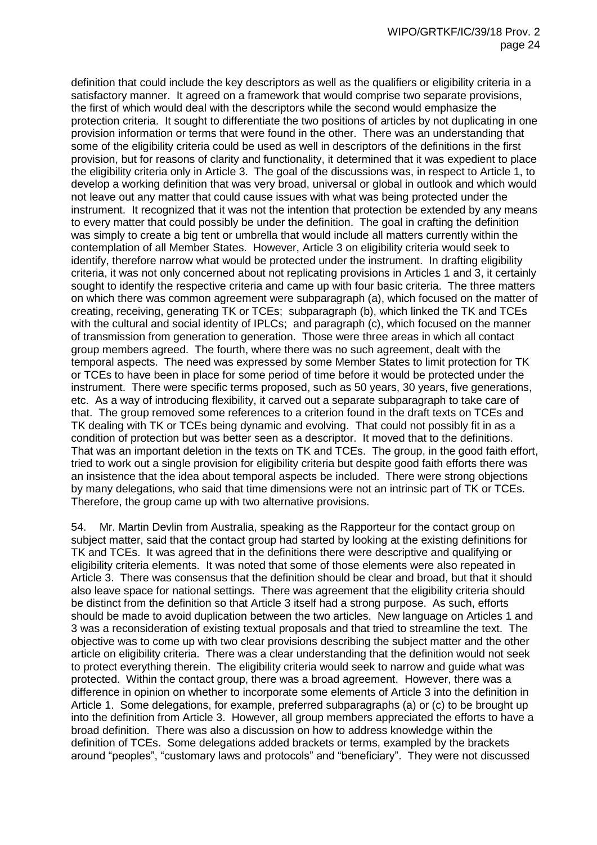definition that could include the key descriptors as well as the qualifiers or eligibility criteria in a satisfactory manner. It agreed on a framework that would comprise two separate provisions, the first of which would deal with the descriptors while the second would emphasize the protection criteria. It sought to differentiate the two positions of articles by not duplicating in one provision information or terms that were found in the other. There was an understanding that some of the eligibility criteria could be used as well in descriptors of the definitions in the first provision, but for reasons of clarity and functionality, it determined that it was expedient to place the eligibility criteria only in Article 3. The goal of the discussions was, in respect to Article 1, to develop a working definition that was very broad, universal or global in outlook and which would not leave out any matter that could cause issues with what was being protected under the instrument. It recognized that it was not the intention that protection be extended by any means to every matter that could possibly be under the definition. The goal in crafting the definition was simply to create a big tent or umbrella that would include all matters currently within the contemplation of all Member States. However, Article 3 on eligibility criteria would seek to identify, therefore narrow what would be protected under the instrument. In drafting eligibility criteria, it was not only concerned about not replicating provisions in Articles 1 and 3, it certainly sought to identify the respective criteria and came up with four basic criteria. The three matters on which there was common agreement were subparagraph (a), which focused on the matter of creating, receiving, generating TK or TCEs; subparagraph (b), which linked the TK and TCEs with the cultural and social identity of IPLCs; and paragraph (c), which focused on the manner of transmission from generation to generation. Those were three areas in which all contact group members agreed. The fourth, where there was no such agreement, dealt with the temporal aspects. The need was expressed by some Member States to limit protection for TK or TCEs to have been in place for some period of time before it would be protected under the instrument. There were specific terms proposed, such as 50 years, 30 years, five generations, etc. As a way of introducing flexibility, it carved out a separate subparagraph to take care of that. The group removed some references to a criterion found in the draft texts on TCEs and TK dealing with TK or TCEs being dynamic and evolving. That could not possibly fit in as a condition of protection but was better seen as a descriptor. It moved that to the definitions. That was an important deletion in the texts on TK and TCEs. The group, in the good faith effort, tried to work out a single provision for eligibility criteria but despite good faith efforts there was an insistence that the idea about temporal aspects be included. There were strong objections by many delegations, who said that time dimensions were not an intrinsic part of TK or TCEs. Therefore, the group came up with two alternative provisions.

54. Mr. Martin Devlin from Australia, speaking as the Rapporteur for the contact group on subject matter, said that the contact group had started by looking at the existing definitions for TK and TCEs. It was agreed that in the definitions there were descriptive and qualifying or eligibility criteria elements. It was noted that some of those elements were also repeated in Article 3. There was consensus that the definition should be clear and broad, but that it should also leave space for national settings. There was agreement that the eligibility criteria should be distinct from the definition so that Article 3 itself had a strong purpose. As such, efforts should be made to avoid duplication between the two articles. New language on Articles 1 and 3 was a reconsideration of existing textual proposals and that tried to streamline the text. The objective was to come up with two clear provisions describing the subject matter and the other article on eligibility criteria. There was a clear understanding that the definition would not seek to protect everything therein. The eligibility criteria would seek to narrow and guide what was protected. Within the contact group, there was a broad agreement. However, there was a difference in opinion on whether to incorporate some elements of Article 3 into the definition in Article 1. Some delegations, for example, preferred subparagraphs (a) or (c) to be brought up into the definition from Article 3. However, all group members appreciated the efforts to have a broad definition. There was also a discussion on how to address knowledge within the definition of TCEs. Some delegations added brackets or terms, exampled by the brackets around "peoples", "customary laws and protocols" and "beneficiary". They were not discussed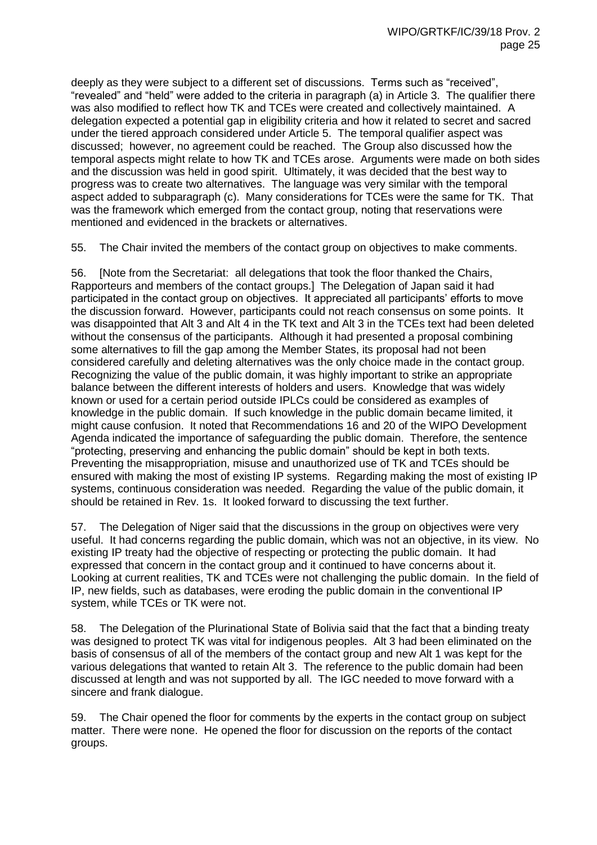deeply as they were subject to a different set of discussions. Terms such as "received", "revealed" and "held" were added to the criteria in paragraph (a) in Article 3. The qualifier there was also modified to reflect how TK and TCEs were created and collectively maintained. A delegation expected a potential gap in eligibility criteria and how it related to secret and sacred under the tiered approach considered under Article 5. The temporal qualifier aspect was discussed; however, no agreement could be reached. The Group also discussed how the temporal aspects might relate to how TK and TCEs arose. Arguments were made on both sides and the discussion was held in good spirit. Ultimately, it was decided that the best way to progress was to create two alternatives. The language was very similar with the temporal aspect added to subparagraph (c). Many considerations for TCEs were the same for TK. That was the framework which emerged from the contact group, noting that reservations were mentioned and evidenced in the brackets or alternatives.

55. The Chair invited the members of the contact group on objectives to make comments.

56. [Note from the Secretariat: all delegations that took the floor thanked the Chairs, Rapporteurs and members of the contact groups.] The Delegation of Japan said it had participated in the contact group on objectives. It appreciated all participants' efforts to move the discussion forward. However, participants could not reach consensus on some points. It was disappointed that Alt 3 and Alt 4 in the TK text and Alt 3 in the TCEs text had been deleted without the consensus of the participants. Although it had presented a proposal combining some alternatives to fill the gap among the Member States, its proposal had not been considered carefully and deleting alternatives was the only choice made in the contact group. Recognizing the value of the public domain, it was highly important to strike an appropriate balance between the different interests of holders and users. Knowledge that was widely known or used for a certain period outside IPLCs could be considered as examples of knowledge in the public domain. If such knowledge in the public domain became limited, it might cause confusion. It noted that Recommendations 16 and 20 of the WIPO Development Agenda indicated the importance of safeguarding the public domain. Therefore, the sentence "protecting, preserving and enhancing the public domain" should be kept in both texts. Preventing the misappropriation, misuse and unauthorized use of TK and TCEs should be ensured with making the most of existing IP systems. Regarding making the most of existing IP systems, continuous consideration was needed. Regarding the value of the public domain, it should be retained in Rev. 1s. It looked forward to discussing the text further.

57. The Delegation of Niger said that the discussions in the group on objectives were very useful. It had concerns regarding the public domain, which was not an objective, in its view. No existing IP treaty had the objective of respecting or protecting the public domain. It had expressed that concern in the contact group and it continued to have concerns about it. Looking at current realities, TK and TCEs were not challenging the public domain. In the field of IP, new fields, such as databases, were eroding the public domain in the conventional IP system, while TCEs or TK were not.

58. The Delegation of the Plurinational State of Bolivia said that the fact that a binding treaty was designed to protect TK was vital for indigenous peoples. Alt 3 had been eliminated on the basis of consensus of all of the members of the contact group and new Alt 1 was kept for the various delegations that wanted to retain Alt 3. The reference to the public domain had been discussed at length and was not supported by all. The IGC needed to move forward with a sincere and frank dialogue.

59. The Chair opened the floor for comments by the experts in the contact group on subject matter. There were none. He opened the floor for discussion on the reports of the contact groups.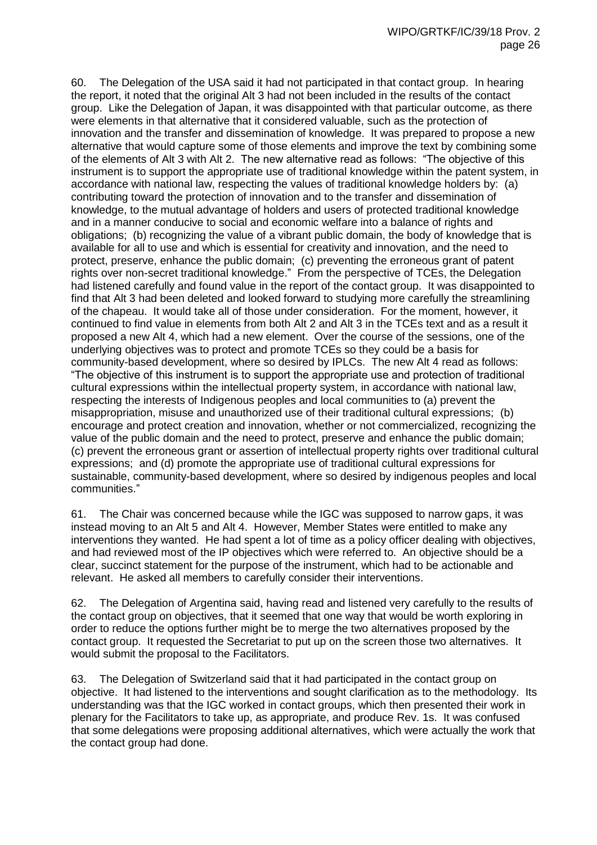60. The Delegation of the USA said it had not participated in that contact group. In hearing the report, it noted that the original Alt 3 had not been included in the results of the contact group. Like the Delegation of Japan, it was disappointed with that particular outcome, as there were elements in that alternative that it considered valuable, such as the protection of innovation and the transfer and dissemination of knowledge. It was prepared to propose a new alternative that would capture some of those elements and improve the text by combining some of the elements of Alt 3 with Alt 2. The new alternative read as follows: "The objective of this instrument is to support the appropriate use of traditional knowledge within the patent system, in accordance with national law, respecting the values of traditional knowledge holders by: (a) contributing toward the protection of innovation and to the transfer and dissemination of knowledge, to the mutual advantage of holders and users of protected traditional knowledge and in a manner conducive to social and economic welfare into a balance of rights and obligations; (b) recognizing the value of a vibrant public domain, the body of knowledge that is available for all to use and which is essential for creativity and innovation, and the need to protect, preserve, enhance the public domain; (c) preventing the erroneous grant of patent rights over non-secret traditional knowledge." From the perspective of TCEs, the Delegation had listened carefully and found value in the report of the contact group. It was disappointed to find that Alt 3 had been deleted and looked forward to studying more carefully the streamlining of the chapeau. It would take all of those under consideration. For the moment, however, it continued to find value in elements from both Alt 2 and Alt 3 in the TCEs text and as a result it proposed a new Alt 4, which had a new element. Over the course of the sessions, one of the underlying objectives was to protect and promote TCEs so they could be a basis for community-based development, where so desired by IPLCs. The new Alt 4 read as follows: "The objective of this instrument is to support the appropriate use and protection of traditional cultural expressions within the intellectual property system, in accordance with national law, respecting the interests of Indigenous peoples and local communities to (a) prevent the misappropriation, misuse and unauthorized use of their traditional cultural expressions; (b) encourage and protect creation and innovation, whether or not commercialized, recognizing the value of the public domain and the need to protect, preserve and enhance the public domain; (c) prevent the erroneous grant or assertion of intellectual property rights over traditional cultural expressions; and (d) promote the appropriate use of traditional cultural expressions for sustainable, community-based development, where so desired by indigenous peoples and local communities."

61. The Chair was concerned because while the IGC was supposed to narrow gaps, it was instead moving to an Alt 5 and Alt 4. However, Member States were entitled to make any interventions they wanted. He had spent a lot of time as a policy officer dealing with objectives, and had reviewed most of the IP objectives which were referred to. An objective should be a clear, succinct statement for the purpose of the instrument, which had to be actionable and relevant. He asked all members to carefully consider their interventions.

62. The Delegation of Argentina said, having read and listened very carefully to the results of the contact group on objectives, that it seemed that one way that would be worth exploring in order to reduce the options further might be to merge the two alternatives proposed by the contact group. It requested the Secretariat to put up on the screen those two alternatives. It would submit the proposal to the Facilitators.

63. The Delegation of Switzerland said that it had participated in the contact group on objective. It had listened to the interventions and sought clarification as to the methodology. Its understanding was that the IGC worked in contact groups, which then presented their work in plenary for the Facilitators to take up, as appropriate, and produce Rev. 1s. It was confused that some delegations were proposing additional alternatives, which were actually the work that the contact group had done.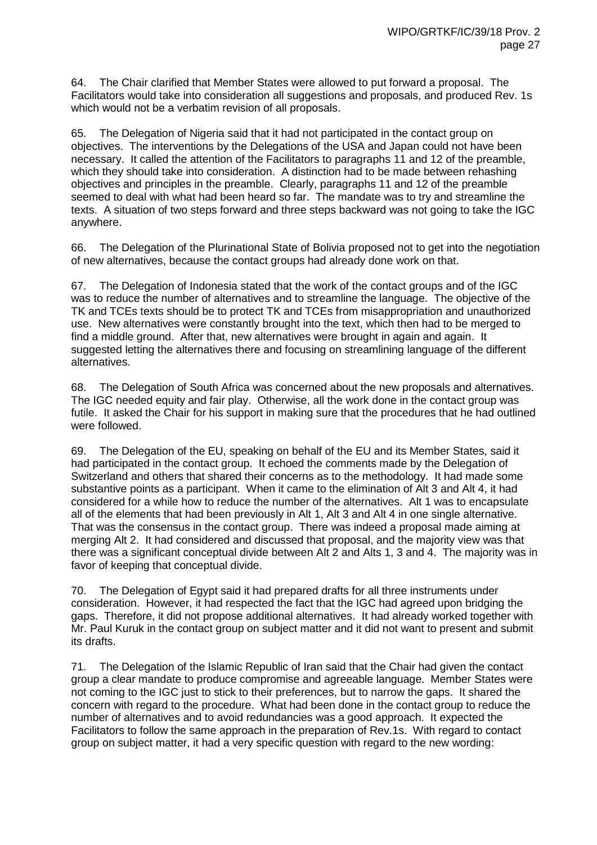64. The Chair clarified that Member States were allowed to put forward a proposal. The Facilitators would take into consideration all suggestions and proposals, and produced Rev. 1s which would not be a verbatim revision of all proposals.

65. The Delegation of Nigeria said that it had not participated in the contact group on objectives. The interventions by the Delegations of the USA and Japan could not have been necessary. It called the attention of the Facilitators to paragraphs 11 and 12 of the preamble, which they should take into consideration. A distinction had to be made between rehashing objectives and principles in the preamble. Clearly, paragraphs 11 and 12 of the preamble seemed to deal with what had been heard so far. The mandate was to try and streamline the texts. A situation of two steps forward and three steps backward was not going to take the IGC anywhere.

66. The Delegation of the Plurinational State of Bolivia proposed not to get into the negotiation of new alternatives, because the contact groups had already done work on that.

67. The Delegation of Indonesia stated that the work of the contact groups and of the IGC was to reduce the number of alternatives and to streamline the language. The objective of the TK and TCEs texts should be to protect TK and TCEs from misappropriation and unauthorized use. New alternatives were constantly brought into the text, which then had to be merged to find a middle ground. After that, new alternatives were brought in again and again. It suggested letting the alternatives there and focusing on streamlining language of the different alternatives.

68. The Delegation of South Africa was concerned about the new proposals and alternatives. The IGC needed equity and fair play. Otherwise, all the work done in the contact group was futile. It asked the Chair for his support in making sure that the procedures that he had outlined were followed.

69. The Delegation of the EU, speaking on behalf of the EU and its Member States, said it had participated in the contact group. It echoed the comments made by the Delegation of Switzerland and others that shared their concerns as to the methodology. It had made some substantive points as a participant. When it came to the elimination of Alt 3 and Alt 4, it had considered for a while how to reduce the number of the alternatives. Alt 1 was to encapsulate all of the elements that had been previously in Alt 1, Alt 3 and Alt 4 in one single alternative. That was the consensus in the contact group. There was indeed a proposal made aiming at merging Alt 2. It had considered and discussed that proposal, and the majority view was that there was a significant conceptual divide between Alt 2 and Alts 1, 3 and 4. The majority was in favor of keeping that conceptual divide.

70. The Delegation of Egypt said it had prepared drafts for all three instruments under consideration. However, it had respected the fact that the IGC had agreed upon bridging the gaps. Therefore, it did not propose additional alternatives. It had already worked together with Mr. Paul Kuruk in the contact group on subject matter and it did not want to present and submit its drafts.

71. The Delegation of the Islamic Republic of Iran said that the Chair had given the contact group a clear mandate to produce compromise and agreeable language. Member States were not coming to the IGC just to stick to their preferences, but to narrow the gaps. It shared the concern with regard to the procedure. What had been done in the contact group to reduce the number of alternatives and to avoid redundancies was a good approach. It expected the Facilitators to follow the same approach in the preparation of Rev.1s. With regard to contact group on subject matter, it had a very specific question with regard to the new wording: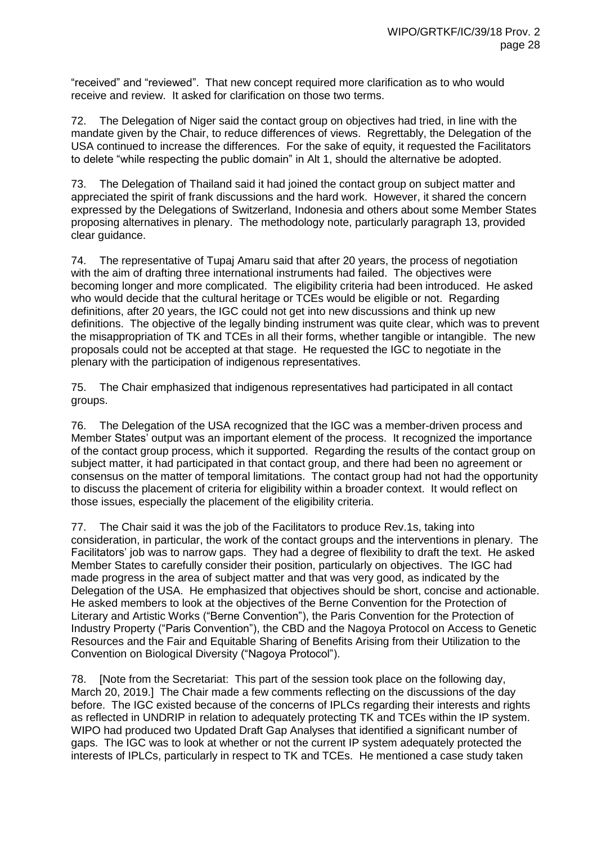"received" and "reviewed". That new concept required more clarification as to who would receive and review. It asked for clarification on those two terms.

72. The Delegation of Niger said the contact group on objectives had tried, in line with the mandate given by the Chair, to reduce differences of views. Regrettably, the Delegation of the USA continued to increase the differences. For the sake of equity, it requested the Facilitators to delete "while respecting the public domain" in Alt 1, should the alternative be adopted.

73. The Delegation of Thailand said it had joined the contact group on subject matter and appreciated the spirit of frank discussions and the hard work. However, it shared the concern expressed by the Delegations of Switzerland, Indonesia and others about some Member States proposing alternatives in plenary. The methodology note, particularly paragraph 13, provided clear guidance.

74. The representative of Tupaj Amaru said that after 20 years, the process of negotiation with the aim of drafting three international instruments had failed. The objectives were becoming longer and more complicated. The eligibility criteria had been introduced. He asked who would decide that the cultural heritage or TCEs would be eligible or not. Regarding definitions, after 20 years, the IGC could not get into new discussions and think up new definitions. The objective of the legally binding instrument was quite clear, which was to prevent the misappropriation of TK and TCEs in all their forms, whether tangible or intangible. The new proposals could not be accepted at that stage. He requested the IGC to negotiate in the plenary with the participation of indigenous representatives.

75. The Chair emphasized that indigenous representatives had participated in all contact groups.

76. The Delegation of the USA recognized that the IGC was a member-driven process and Member States' output was an important element of the process. It recognized the importance of the contact group process, which it supported. Regarding the results of the contact group on subject matter, it had participated in that contact group, and there had been no agreement or consensus on the matter of temporal limitations. The contact group had not had the opportunity to discuss the placement of criteria for eligibility within a broader context. It would reflect on those issues, especially the placement of the eligibility criteria.

77. The Chair said it was the job of the Facilitators to produce Rev.1s, taking into consideration, in particular, the work of the contact groups and the interventions in plenary. The Facilitators' job was to narrow gaps. They had a degree of flexibility to draft the text. He asked Member States to carefully consider their position, particularly on objectives. The IGC had made progress in the area of subject matter and that was very good, as indicated by the Delegation of the USA. He emphasized that objectives should be short, concise and actionable. He asked members to look at the objectives of the Berne Convention for the Protection of Literary and Artistic Works ("Berne Convention"), the Paris Convention for the Protection of Industry Property ("Paris Convention"), the CBD and the Nagoya Protocol on Access to Genetic Resources and the Fair and Equitable Sharing of Benefits Arising from their Utilization to the Convention on Biological Diversity ("Nagoya Protocol").

78. [Note from the Secretariat: This part of the session took place on the following day, March 20, 2019.] The Chair made a few comments reflecting on the discussions of the day before. The IGC existed because of the concerns of IPLCs regarding their interests and rights as reflected in UNDRIP in relation to adequately protecting TK and TCEs within the IP system. WIPO had produced two Updated Draft Gap Analyses that identified a significant number of gaps. The IGC was to look at whether or not the current IP system adequately protected the interests of IPLCs, particularly in respect to TK and TCEs. He mentioned a case study taken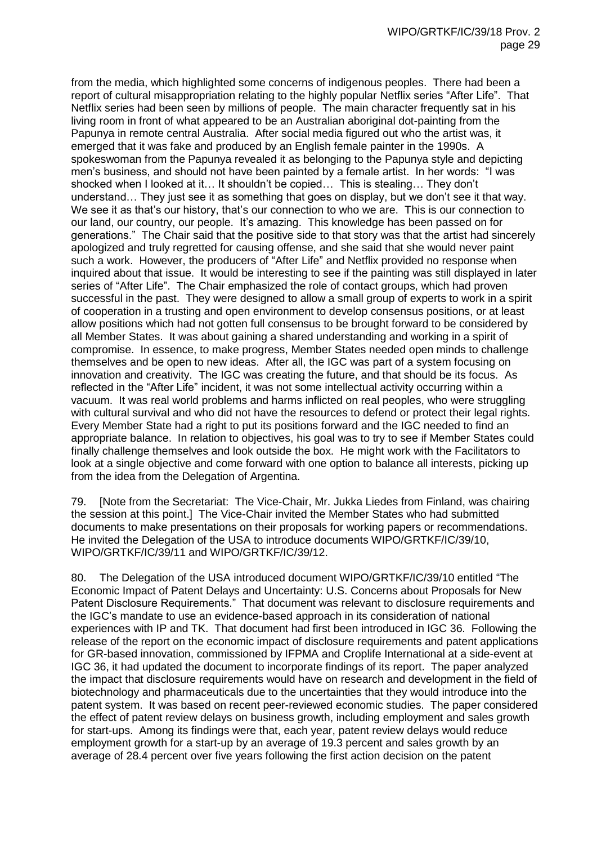from the media, which highlighted some concerns of indigenous peoples. There had been a report of cultural misappropriation relating to the highly popular Netflix series "After Life". That Netflix series had been seen by millions of people. The main character frequently sat in his living room in front of what appeared to be an Australian aboriginal dot-painting from the Papunya in remote central Australia. After social media figured out who the artist was, it emerged that it was fake and produced by an English female painter in the 1990s. A spokeswoman from the Papunya revealed it as belonging to the Papunya style and depicting men's business, and should not have been painted by a female artist. In her words: "I was shocked when I looked at it… It shouldn't be copied… This is stealing… They don't understand… They just see it as something that goes on display, but we don't see it that way. We see it as that's our history, that's our connection to who we are. This is our connection to our land, our country, our people. It's amazing. This knowledge has been passed on for generations." The Chair said that the positive side to that story was that the artist had sincerely apologized and truly regretted for causing offense, and she said that she would never paint such a work. However, the producers of "After Life" and Netflix provided no response when inquired about that issue. It would be interesting to see if the painting was still displayed in later series of "After Life". The Chair emphasized the role of contact groups, which had proven successful in the past. They were designed to allow a small group of experts to work in a spirit of cooperation in a trusting and open environment to develop consensus positions, or at least allow positions which had not gotten full consensus to be brought forward to be considered by all Member States. It was about gaining a shared understanding and working in a spirit of compromise. In essence, to make progress, Member States needed open minds to challenge themselves and be open to new ideas. After all, the IGC was part of a system focusing on innovation and creativity. The IGC was creating the future, and that should be its focus. As reflected in the "After Life" incident, it was not some intellectual activity occurring within a vacuum. It was real world problems and harms inflicted on real peoples, who were struggling with cultural survival and who did not have the resources to defend or protect their legal rights. Every Member State had a right to put its positions forward and the IGC needed to find an appropriate balance. In relation to objectives, his goal was to try to see if Member States could finally challenge themselves and look outside the box. He might work with the Facilitators to look at a single objective and come forward with one option to balance all interests, picking up from the idea from the Delegation of Argentina.

79. [Note from the Secretariat: The Vice-Chair, Mr. Jukka Liedes from Finland, was chairing the session at this point.] The Vice-Chair invited the Member States who had submitted documents to make presentations on their proposals for working papers or recommendations. He invited the Delegation of the USA to introduce documents WIPO/GRTKF/IC/39/10, WIPO/GRTKF/IC/39/11 and WIPO/GRTKF/IC/39/12.

80. The Delegation of the USA introduced document WIPO/GRTKF/IC/39/10 entitled "The Economic Impact of Patent Delays and Uncertainty: U.S. Concerns about Proposals for New Patent Disclosure Requirements." That document was relevant to disclosure requirements and the IGC's mandate to use an evidence-based approach in its consideration of national experiences with IP and TK. That document had first been introduced in IGC 36. Following the release of the report on the economic impact of disclosure requirements and patent applications for GR-based innovation, commissioned by IFPMA and Croplife International at a side-event at IGC 36, it had updated the document to incorporate findings of its report. The paper analyzed the impact that disclosure requirements would have on research and development in the field of biotechnology and pharmaceuticals due to the uncertainties that they would introduce into the patent system. It was based on recent peer-reviewed economic studies. The paper considered the effect of patent review delays on business growth, including employment and sales growth for start-ups. Among its findings were that, each year, patent review delays would reduce employment growth for a start-up by an average of 19.3 percent and sales growth by an average of 28.4 percent over five years following the first action decision on the patent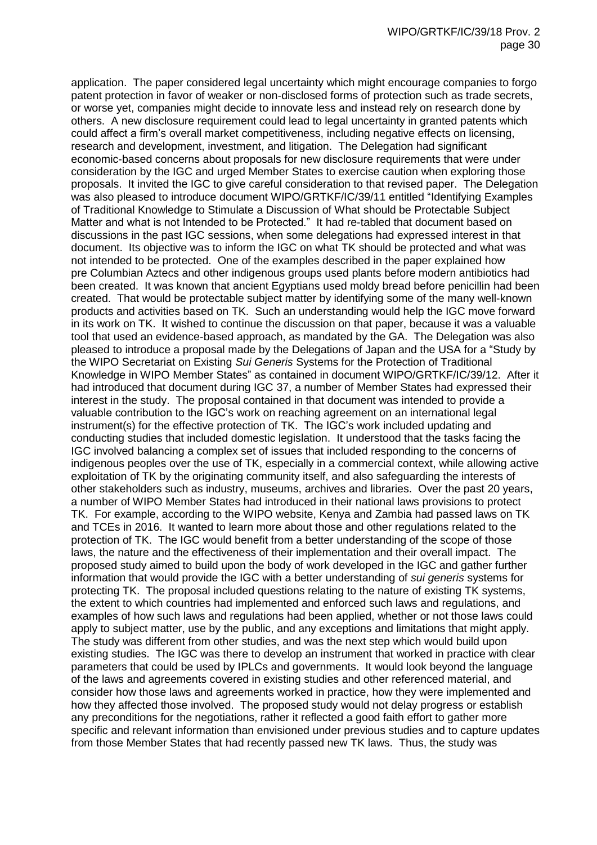application. The paper considered legal uncertainty which might encourage companies to forgo patent protection in favor of weaker or non-disclosed forms of protection such as trade secrets, or worse yet, companies might decide to innovate less and instead rely on research done by others. A new disclosure requirement could lead to legal uncertainty in granted patents which could affect a firm's overall market competitiveness, including negative effects on licensing, research and development, investment, and litigation. The Delegation had significant economic-based concerns about proposals for new disclosure requirements that were under consideration by the IGC and urged Member States to exercise caution when exploring those proposals. It invited the IGC to give careful consideration to that revised paper. The Delegation was also pleased to introduce document WIPO/GRTKF/IC/39/11 entitled "Identifying Examples of Traditional Knowledge to Stimulate a Discussion of What should be Protectable Subject Matter and what is not Intended to be Protected." It had re-tabled that document based on discussions in the past IGC sessions, when some delegations had expressed interest in that document. Its objective was to inform the IGC on what TK should be protected and what was not intended to be protected. One of the examples described in the paper explained how pre Columbian Aztecs and other indigenous groups used plants before modern antibiotics had been created. It was known that ancient Egyptians used moldy bread before penicillin had been created. That would be protectable subject matter by identifying some of the many well-known products and activities based on TK. Such an understanding would help the IGC move forward in its work on TK. It wished to continue the discussion on that paper, because it was a valuable tool that used an evidence-based approach, as mandated by the GA. The Delegation was also pleased to introduce a proposal made by the Delegations of Japan and the USA for a "Study by the WIPO Secretariat on Existing *Sui Generis* Systems for the Protection of Traditional Knowledge in WIPO Member States" as contained in document WIPO/GRTKF/IC/39/12. After it had introduced that document during IGC 37, a number of Member States had expressed their interest in the study. The proposal contained in that document was intended to provide a valuable contribution to the IGC's work on reaching agreement on an international legal instrument(s) for the effective protection of TK. The IGC's work included updating and conducting studies that included domestic legislation. It understood that the tasks facing the IGC involved balancing a complex set of issues that included responding to the concerns of indigenous peoples over the use of TK, especially in a commercial context, while allowing active exploitation of TK by the originating community itself, and also safeguarding the interests of other stakeholders such as industry, museums, archives and libraries. Over the past 20 years, a number of WIPO Member States had introduced in their national laws provisions to protect TK. For example, according to the WIPO website, Kenya and Zambia had passed laws on TK and TCEs in 2016. It wanted to learn more about those and other regulations related to the protection of TK. The IGC would benefit from a better understanding of the scope of those laws, the nature and the effectiveness of their implementation and their overall impact. The proposed study aimed to build upon the body of work developed in the IGC and gather further information that would provide the IGC with a better understanding of *sui generis* systems for protecting TK. The proposal included questions relating to the nature of existing TK systems, the extent to which countries had implemented and enforced such laws and regulations, and examples of how such laws and regulations had been applied, whether or not those laws could apply to subject matter, use by the public, and any exceptions and limitations that might apply. The study was different from other studies, and was the next step which would build upon existing studies. The IGC was there to develop an instrument that worked in practice with clear parameters that could be used by IPLCs and governments. It would look beyond the language of the laws and agreements covered in existing studies and other referenced material, and consider how those laws and agreements worked in practice, how they were implemented and how they affected those involved. The proposed study would not delay progress or establish any preconditions for the negotiations, rather it reflected a good faith effort to gather more specific and relevant information than envisioned under previous studies and to capture updates from those Member States that had recently passed new TK laws. Thus, the study was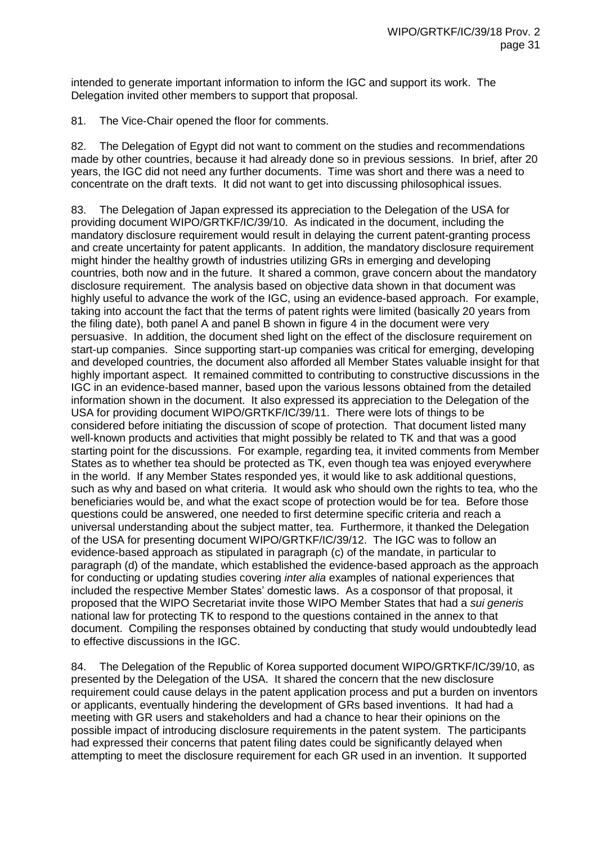intended to generate important information to inform the IGC and support its work. The Delegation invited other members to support that proposal.

81. The Vice-Chair opened the floor for comments.

82. The Delegation of Egypt did not want to comment on the studies and recommendations made by other countries, because it had already done so in previous sessions. In brief, after 20 years, the IGC did not need any further documents. Time was short and there was a need to concentrate on the draft texts. It did not want to get into discussing philosophical issues.

83. The Delegation of Japan expressed its appreciation to the Delegation of the USA for providing document WIPO/GRTKF/IC/39/10. As indicated in the document, including the mandatory disclosure requirement would result in delaying the current patent-granting process and create uncertainty for patent applicants. In addition, the mandatory disclosure requirement might hinder the healthy growth of industries utilizing GRs in emerging and developing countries, both now and in the future. It shared a common, grave concern about the mandatory disclosure requirement. The analysis based on objective data shown in that document was highly useful to advance the work of the IGC, using an evidence-based approach. For example, taking into account the fact that the terms of patent rights were limited (basically 20 years from the filing date), both panel A and panel B shown in figure 4 in the document were very persuasive. In addition, the document shed light on the effect of the disclosure requirement on start-up companies. Since supporting start-up companies was critical for emerging, developing and developed countries, the document also afforded all Member States valuable insight for that highly important aspect. It remained committed to contributing to constructive discussions in the IGC in an evidence-based manner, based upon the various lessons obtained from the detailed information shown in the document. It also expressed its appreciation to the Delegation of the USA for providing document WIPO/GRTKF/IC/39/11. There were lots of things to be considered before initiating the discussion of scope of protection. That document listed many well-known products and activities that might possibly be related to TK and that was a good starting point for the discussions. For example, regarding tea, it invited comments from Member States as to whether tea should be protected as TK, even though tea was enjoyed everywhere in the world. If any Member States responded yes, it would like to ask additional questions, such as why and based on what criteria. It would ask who should own the rights to tea, who the beneficiaries would be, and what the exact scope of protection would be for tea. Before those questions could be answered, one needed to first determine specific criteria and reach a universal understanding about the subject matter, tea. Furthermore, it thanked the Delegation of the USA for presenting document WIPO/GRTKF/IC/39/12. The IGC was to follow an evidence-based approach as stipulated in paragraph (c) of the mandate, in particular to paragraph (d) of the mandate, which established the evidence-based approach as the approach for conducting or updating studies covering *inter alia* examples of national experiences that included the respective Member States' domestic laws. As a cosponsor of that proposal, it proposed that the WIPO Secretariat invite those WIPO Member States that had a *sui generis* national law for protecting TK to respond to the questions contained in the annex to that document. Compiling the responses obtained by conducting that study would undoubtedly lead to effective discussions in the IGC.

84. The Delegation of the Republic of Korea supported document WIPO/GRTKF/IC/39/10, as presented by the Delegation of the USA. It shared the concern that the new disclosure requirement could cause delays in the patent application process and put a burden on inventors or applicants, eventually hindering the development of GRs based inventions. It had had a meeting with GR users and stakeholders and had a chance to hear their opinions on the possible impact of introducing disclosure requirements in the patent system. The participants had expressed their concerns that patent filing dates could be significantly delayed when attempting to meet the disclosure requirement for each GR used in an invention. It supported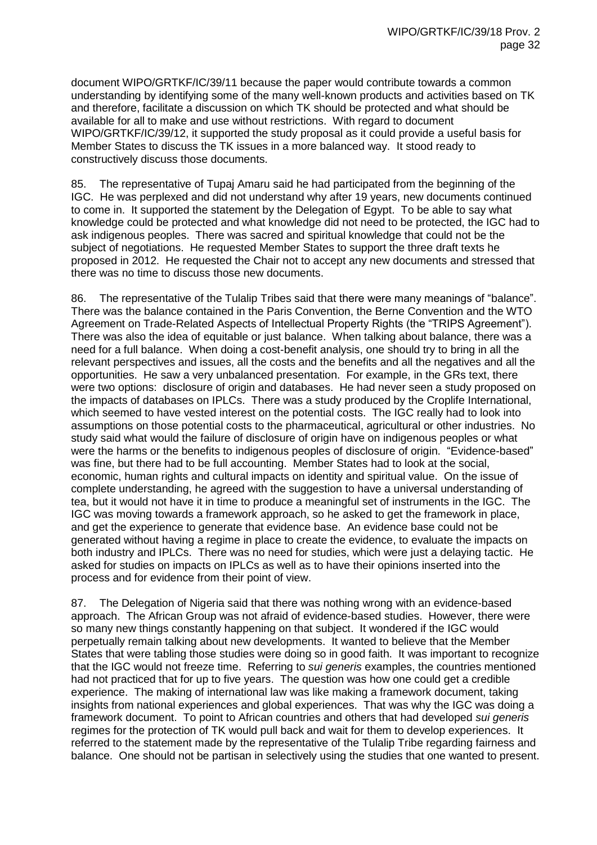document WIPO/GRTKF/IC/39/11 because the paper would contribute towards a common understanding by identifying some of the many well-known products and activities based on TK and therefore, facilitate a discussion on which TK should be protected and what should be available for all to make and use without restrictions. With regard to document WIPO/GRTKF/IC/39/12, it supported the study proposal as it could provide a useful basis for Member States to discuss the TK issues in a more balanced way. It stood ready to constructively discuss those documents.

85. The representative of Tupaj Amaru said he had participated from the beginning of the IGC. He was perplexed and did not understand why after 19 years, new documents continued to come in. It supported the statement by the Delegation of Egypt. To be able to say what knowledge could be protected and what knowledge did not need to be protected, the IGC had to ask indigenous peoples. There was sacred and spiritual knowledge that could not be the subject of negotiations. He requested Member States to support the three draft texts he proposed in 2012. He requested the Chair not to accept any new documents and stressed that there was no time to discuss those new documents.

86. The representative of the Tulalip Tribes said that there were many meanings of "balance". There was the balance contained in the Paris Convention, the Berne Convention and the WTO Agreement on Trade-Related Aspects of Intellectual Property Rights (the "TRIPS Agreement"). There was also the idea of equitable or just balance. When talking about balance, there was a need for a full balance. When doing a cost-benefit analysis, one should try to bring in all the relevant perspectives and issues, all the costs and the benefits and all the negatives and all the opportunities. He saw a very unbalanced presentation. For example, in the GRs text, there were two options: disclosure of origin and databases. He had never seen a study proposed on the impacts of databases on IPLCs. There was a study produced by the Croplife International, which seemed to have vested interest on the potential costs. The IGC really had to look into assumptions on those potential costs to the pharmaceutical, agricultural or other industries. No study said what would the failure of disclosure of origin have on indigenous peoples or what were the harms or the benefits to indigenous peoples of disclosure of origin. "Evidence-based" was fine, but there had to be full accounting. Member States had to look at the social, economic, human rights and cultural impacts on identity and spiritual value. On the issue of complete understanding, he agreed with the suggestion to have a universal understanding of tea, but it would not have it in time to produce a meaningful set of instruments in the IGC. The IGC was moving towards a framework approach, so he asked to get the framework in place, and get the experience to generate that evidence base. An evidence base could not be generated without having a regime in place to create the evidence, to evaluate the impacts on both industry and IPLCs. There was no need for studies, which were just a delaying tactic. He asked for studies on impacts on IPLCs as well as to have their opinions inserted into the process and for evidence from their point of view.

87. The Delegation of Nigeria said that there was nothing wrong with an evidence-based approach. The African Group was not afraid of evidence-based studies. However, there were so many new things constantly happening on that subject. It wondered if the IGC would perpetually remain talking about new developments. It wanted to believe that the Member States that were tabling those studies were doing so in good faith. It was important to recognize that the IGC would not freeze time. Referring to *sui generis* examples, the countries mentioned had not practiced that for up to five years. The question was how one could get a credible experience. The making of international law was like making a framework document, taking insights from national experiences and global experiences. That was why the IGC was doing a framework document. To point to African countries and others that had developed *sui generis* regimes for the protection of TK would pull back and wait for them to develop experiences. It referred to the statement made by the representative of the Tulalip Tribe regarding fairness and balance. One should not be partisan in selectively using the studies that one wanted to present.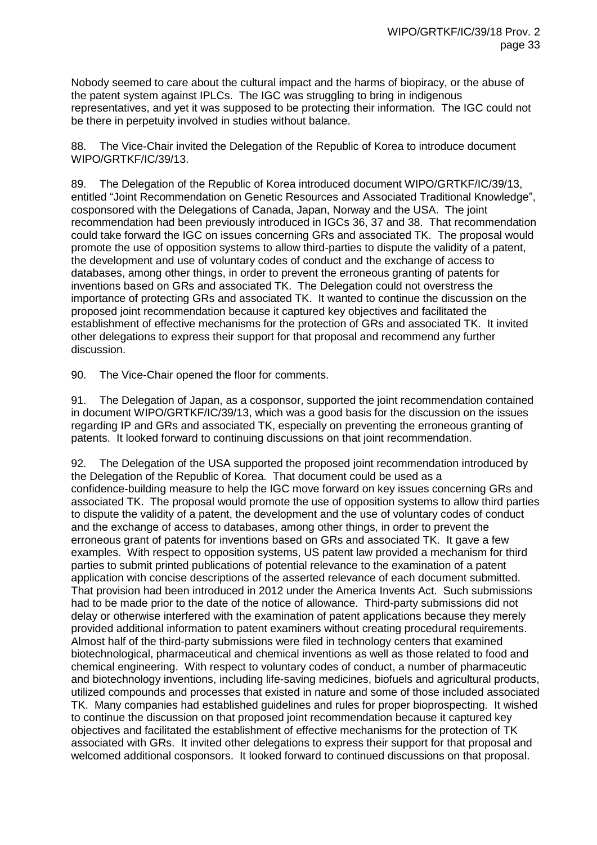Nobody seemed to care about the cultural impact and the harms of biopiracy, or the abuse of the patent system against IPLCs. The IGC was struggling to bring in indigenous representatives, and yet it was supposed to be protecting their information. The IGC could not be there in perpetuity involved in studies without balance.

88. The Vice-Chair invited the Delegation of the Republic of Korea to introduce document WIPO/GRTKF/IC/39/13.

89. The Delegation of the Republic of Korea introduced document WIPO/GRTKF/IC/39/13, entitled "Joint Recommendation on Genetic Resources and Associated Traditional Knowledge", cosponsored with the Delegations of Canada, Japan, Norway and the USA. The joint recommendation had been previously introduced in IGCs 36, 37 and 38. That recommendation could take forward the IGC on issues concerning GRs and associated TK. The proposal would promote the use of opposition systems to allow third-parties to dispute the validity of a patent, the development and use of voluntary codes of conduct and the exchange of access to databases, among other things, in order to prevent the erroneous granting of patents for inventions based on GRs and associated TK. The Delegation could not overstress the importance of protecting GRs and associated TK. It wanted to continue the discussion on the proposed joint recommendation because it captured key objectives and facilitated the establishment of effective mechanisms for the protection of GRs and associated TK. It invited other delegations to express their support for that proposal and recommend any further discussion.

90. The Vice-Chair opened the floor for comments.

91. The Delegation of Japan, as a cosponsor, supported the joint recommendation contained in document WIPO/GRTKF/IC/39/13, which was a good basis for the discussion on the issues regarding IP and GRs and associated TK, especially on preventing the erroneous granting of patents. It looked forward to continuing discussions on that joint recommendation.

92. The Delegation of the USA supported the proposed joint recommendation introduced by the Delegation of the Republic of Korea. That document could be used as a confidence-building measure to help the IGC move forward on key issues concerning GRs and associated TK. The proposal would promote the use of opposition systems to allow third parties to dispute the validity of a patent, the development and the use of voluntary codes of conduct and the exchange of access to databases, among other things, in order to prevent the erroneous grant of patents for inventions based on GRs and associated TK. It gave a few examples. With respect to opposition systems, US patent law provided a mechanism for third parties to submit printed publications of potential relevance to the examination of a patent application with concise descriptions of the asserted relevance of each document submitted. That provision had been introduced in 2012 under the America Invents Act. Such submissions had to be made prior to the date of the notice of allowance. Third-party submissions did not delay or otherwise interfered with the examination of patent applications because they merely provided additional information to patent examiners without creating procedural requirements. Almost half of the third-party submissions were filed in technology centers that examined biotechnological, pharmaceutical and chemical inventions as well as those related to food and chemical engineering. With respect to voluntary codes of conduct, a number of pharmaceutic and biotechnology inventions, including life-saving medicines, biofuels and agricultural products, utilized compounds and processes that existed in nature and some of those included associated TK. Many companies had established guidelines and rules for proper bioprospecting. It wished to continue the discussion on that proposed joint recommendation because it captured key objectives and facilitated the establishment of effective mechanisms for the protection of TK associated with GRs. It invited other delegations to express their support for that proposal and welcomed additional cosponsors. It looked forward to continued discussions on that proposal.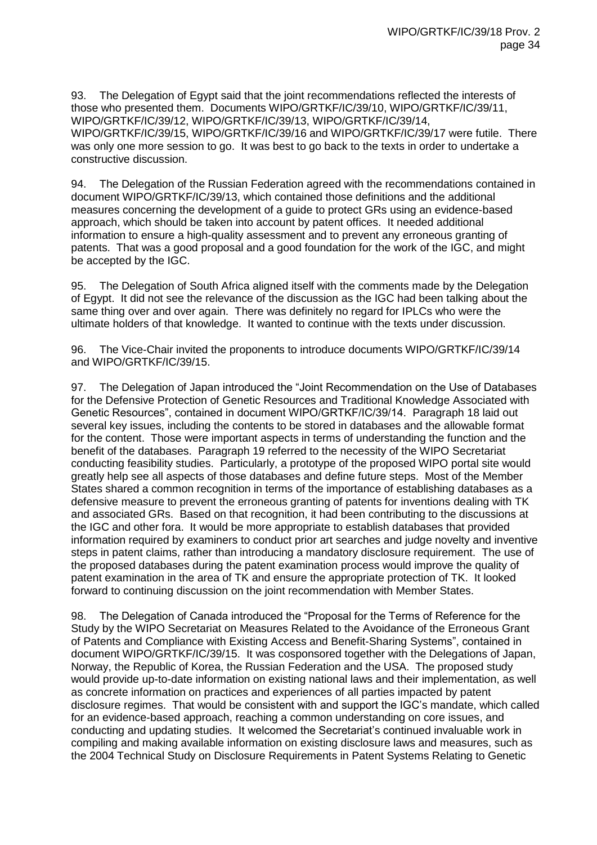93. The Delegation of Egypt said that the joint recommendations reflected the interests of those who presented them. Documents WIPO/GRTKF/IC/39/10, WIPO/GRTKF/IC/39/11, WIPO/GRTKF/IC/39/12, WIPO/GRTKF/IC/39/13, WIPO/GRTKF/IC/39/14, WIPO/GRTKF/IC/39/15, WIPO/GRTKF/IC/39/16 and WIPO/GRTKF/IC/39/17 were futile. There was only one more session to go. It was best to go back to the texts in order to undertake a constructive discussion.

94. The Delegation of the Russian Federation agreed with the recommendations contained in document WIPO/GRTKF/IC/39/13, which contained those definitions and the additional measures concerning the development of a guide to protect GRs using an evidence-based approach, which should be taken into account by patent offices. It needed additional information to ensure a high-quality assessment and to prevent any erroneous granting of patents. That was a good proposal and a good foundation for the work of the IGC, and might be accepted by the IGC.

95. The Delegation of South Africa aligned itself with the comments made by the Delegation of Egypt. It did not see the relevance of the discussion as the IGC had been talking about the same thing over and over again. There was definitely no regard for IPLCs who were the ultimate holders of that knowledge. It wanted to continue with the texts under discussion.

96. The Vice-Chair invited the proponents to introduce documents WIPO/GRTKF/IC/39/14 and WIPO/GRTKF/IC/39/15.

97. The Delegation of Japan introduced the "Joint Recommendation on the Use of Databases for the Defensive Protection of Genetic Resources and Traditional Knowledge Associated with Genetic Resources", contained in document WIPO/GRTKF/IC/39/14. Paragraph 18 laid out several key issues, including the contents to be stored in databases and the allowable format for the content. Those were important aspects in terms of understanding the function and the benefit of the databases. Paragraph 19 referred to the necessity of the WIPO Secretariat conducting feasibility studies. Particularly, a prototype of the proposed WIPO portal site would greatly help see all aspects of those databases and define future steps. Most of the Member States shared a common recognition in terms of the importance of establishing databases as a defensive measure to prevent the erroneous granting of patents for inventions dealing with TK and associated GRs. Based on that recognition, it had been contributing to the discussions at the IGC and other fora. It would be more appropriate to establish databases that provided information required by examiners to conduct prior art searches and judge novelty and inventive steps in patent claims, rather than introducing a mandatory disclosure requirement. The use of the proposed databases during the patent examination process would improve the quality of patent examination in the area of TK and ensure the appropriate protection of TK. It looked forward to continuing discussion on the joint recommendation with Member States.

98. The Delegation of Canada introduced the "Proposal for the Terms of Reference for the Study by the WIPO Secretariat on Measures Related to the Avoidance of the Erroneous Grant of Patents and Compliance with Existing Access and Benefit-Sharing Systems", contained in document WIPO/GRTKF/IC/39/15. It was cosponsored together with the Delegations of Japan, Norway, the Republic of Korea, the Russian Federation and the USA. The proposed study would provide up-to-date information on existing national laws and their implementation, as well as concrete information on practices and experiences of all parties impacted by patent disclosure regimes. That would be consistent with and support the IGC's mandate, which called for an evidence-based approach, reaching a common understanding on core issues, and conducting and updating studies. It welcomed the Secretariat's continued invaluable work in compiling and making available information on existing disclosure laws and measures, such as the 2004 Technical Study on Disclosure Requirements in Patent Systems Relating to Genetic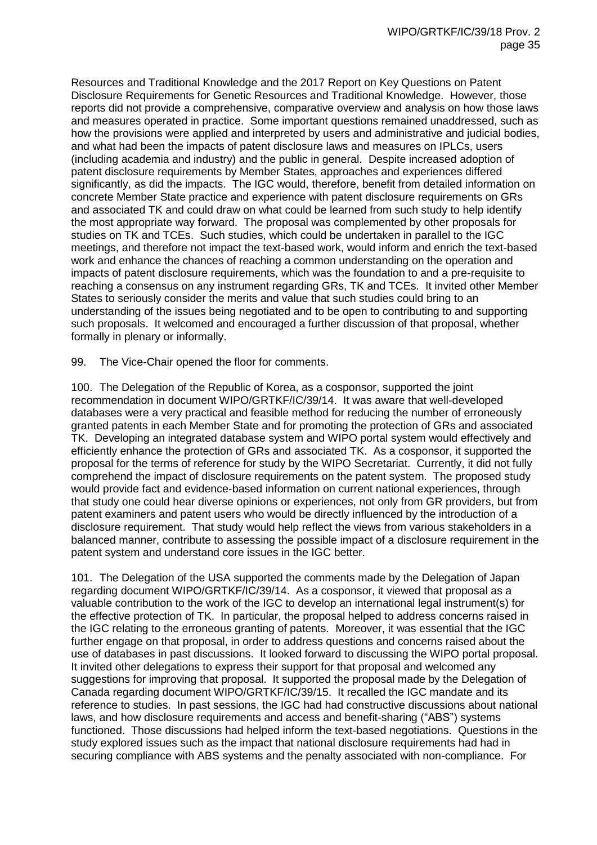Resources and Traditional Knowledge and the 2017 Report on Key Questions on Patent Disclosure Requirements for Genetic Resources and Traditional Knowledge. However, those reports did not provide a comprehensive, comparative overview and analysis on how those laws and measures operated in practice. Some important questions remained unaddressed, such as how the provisions were applied and interpreted by users and administrative and judicial bodies, and what had been the impacts of patent disclosure laws and measures on IPLCs, users (including academia and industry) and the public in general. Despite increased adoption of patent disclosure requirements by Member States, approaches and experiences differed significantly, as did the impacts. The IGC would, therefore, benefit from detailed information on concrete Member State practice and experience with patent disclosure requirements on GRs and associated TK and could draw on what could be learned from such study to help identify the most appropriate way forward. The proposal was complemented by other proposals for studies on TK and TCEs. Such studies, which could be undertaken in parallel to the IGC meetings, and therefore not impact the text-based work, would inform and enrich the text-based work and enhance the chances of reaching a common understanding on the operation and impacts of patent disclosure requirements, which was the foundation to and a pre-requisite to reaching a consensus on any instrument regarding GRs, TK and TCEs. It invited other Member States to seriously consider the merits and value that such studies could bring to an understanding of the issues being negotiated and to be open to contributing to and supporting such proposals. It welcomed and encouraged a further discussion of that proposal, whether formally in plenary or informally.

99. The Vice-Chair opened the floor for comments.

100. The Delegation of the Republic of Korea, as a cosponsor, supported the joint recommendation in document WIPO/GRTKF/IC/39/14. It was aware that well-developed databases were a very practical and feasible method for reducing the number of erroneously granted patents in each Member State and for promoting the protection of GRs and associated TK. Developing an integrated database system and WIPO portal system would effectively and efficiently enhance the protection of GRs and associated TK. As a cosponsor, it supported the proposal for the terms of reference for study by the WIPO Secretariat. Currently, it did not fully comprehend the impact of disclosure requirements on the patent system. The proposed study would provide fact and evidence-based information on current national experiences, through that study one could hear diverse opinions or experiences, not only from GR providers, but from patent examiners and patent users who would be directly influenced by the introduction of a disclosure requirement. That study would help reflect the views from various stakeholders in a balanced manner, contribute to assessing the possible impact of a disclosure requirement in the patent system and understand core issues in the IGC better.

101. The Delegation of the USA supported the comments made by the Delegation of Japan regarding document WIPO/GRTKF/IC/39/14. As a cosponsor, it viewed that proposal as a valuable contribution to the work of the IGC to develop an international legal instrument(s) for the effective protection of TK. In particular, the proposal helped to address concerns raised in the IGC relating to the erroneous granting of patents. Moreover, it was essential that the IGC further engage on that proposal, in order to address questions and concerns raised about the use of databases in past discussions. It looked forward to discussing the WIPO portal proposal. It invited other delegations to express their support for that proposal and welcomed any suggestions for improving that proposal. It supported the proposal made by the Delegation of Canada regarding document WIPO/GRTKF/IC/39/15. It recalled the IGC mandate and its reference to studies. In past sessions, the IGC had had constructive discussions about national laws, and how disclosure requirements and access and benefit-sharing ("ABS") systems functioned. Those discussions had helped inform the text-based negotiations. Questions in the study explored issues such as the impact that national disclosure requirements had had in securing compliance with ABS systems and the penalty associated with non-compliance. For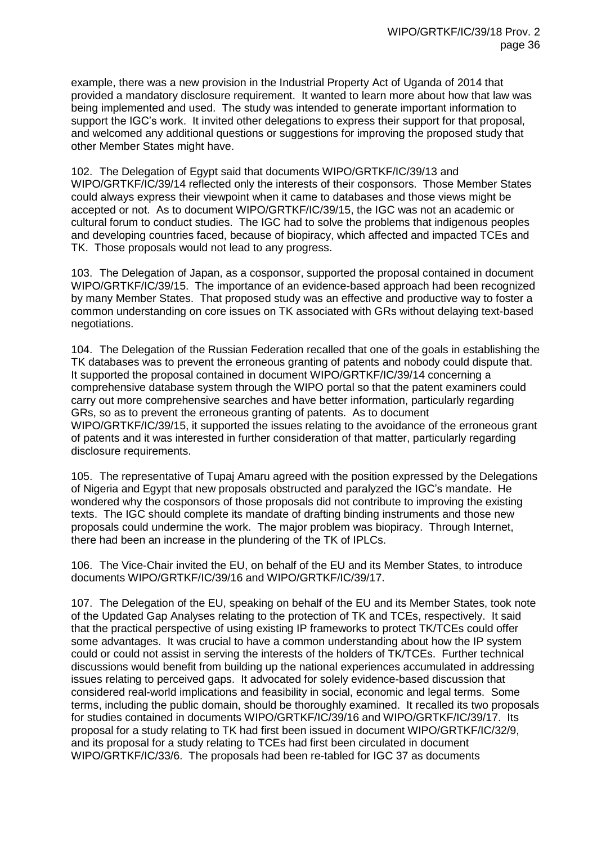example, there was a new provision in the Industrial Property Act of Uganda of 2014 that provided a mandatory disclosure requirement. It wanted to learn more about how that law was being implemented and used. The study was intended to generate important information to support the IGC's work. It invited other delegations to express their support for that proposal, and welcomed any additional questions or suggestions for improving the proposed study that other Member States might have.

102. The Delegation of Egypt said that documents WIPO/GRTKF/IC/39/13 and WIPO/GRTKF/IC/39/14 reflected only the interests of their cosponsors. Those Member States could always express their viewpoint when it came to databases and those views might be accepted or not. As to document WIPO/GRTKF/IC/39/15, the IGC was not an academic or cultural forum to conduct studies. The IGC had to solve the problems that indigenous peoples and developing countries faced, because of biopiracy, which affected and impacted TCEs and TK. Those proposals would not lead to any progress.

103. The Delegation of Japan, as a cosponsor, supported the proposal contained in document WIPO/GRTKF/IC/39/15. The importance of an evidence-based approach had been recognized by many Member States. That proposed study was an effective and productive way to foster a common understanding on core issues on TK associated with GRs without delaying text-based negotiations.

104. The Delegation of the Russian Federation recalled that one of the goals in establishing the TK databases was to prevent the erroneous granting of patents and nobody could dispute that. It supported the proposal contained in document WIPO/GRTKF/IC/39/14 concerning a comprehensive database system through the WIPO portal so that the patent examiners could carry out more comprehensive searches and have better information, particularly regarding GRs, so as to prevent the erroneous granting of patents. As to document WIPO/GRTKF/IC/39/15, it supported the issues relating to the avoidance of the erroneous grant of patents and it was interested in further consideration of that matter, particularly regarding disclosure requirements.

105. The representative of Tupaj Amaru agreed with the position expressed by the Delegations of Nigeria and Egypt that new proposals obstructed and paralyzed the IGC's mandate. He wondered why the cosponsors of those proposals did not contribute to improving the existing texts. The IGC should complete its mandate of drafting binding instruments and those new proposals could undermine the work. The major problem was biopiracy. Through Internet, there had been an increase in the plundering of the TK of IPLCs.

106. The Vice-Chair invited the EU, on behalf of the EU and its Member States, to introduce documents WIPO/GRTKF/IC/39/16 and WIPO/GRTKF/IC/39/17.

107. The Delegation of the EU, speaking on behalf of the EU and its Member States, took note of the Updated Gap Analyses relating to the protection of TK and TCEs, respectively. It said that the practical perspective of using existing IP frameworks to protect TK/TCEs could offer some advantages. It was crucial to have a common understanding about how the IP system could or could not assist in serving the interests of the holders of TK/TCEs. Further technical discussions would benefit from building up the national experiences accumulated in addressing issues relating to perceived gaps. It advocated for solely evidence-based discussion that considered real-world implications and feasibility in social, economic and legal terms. Some terms, including the public domain, should be thoroughly examined. It recalled its two proposals for studies contained in documents WIPO/GRTKF/IC/39/16 and WIPO/GRTKF/IC/39/17. Its proposal for a study relating to TK had first been issued in document WIPO/GRTKF/IC/32/9, and its proposal for a study relating to TCEs had first been circulated in document WIPO/GRTKF/IC/33/6. The proposals had been re-tabled for IGC 37 as documents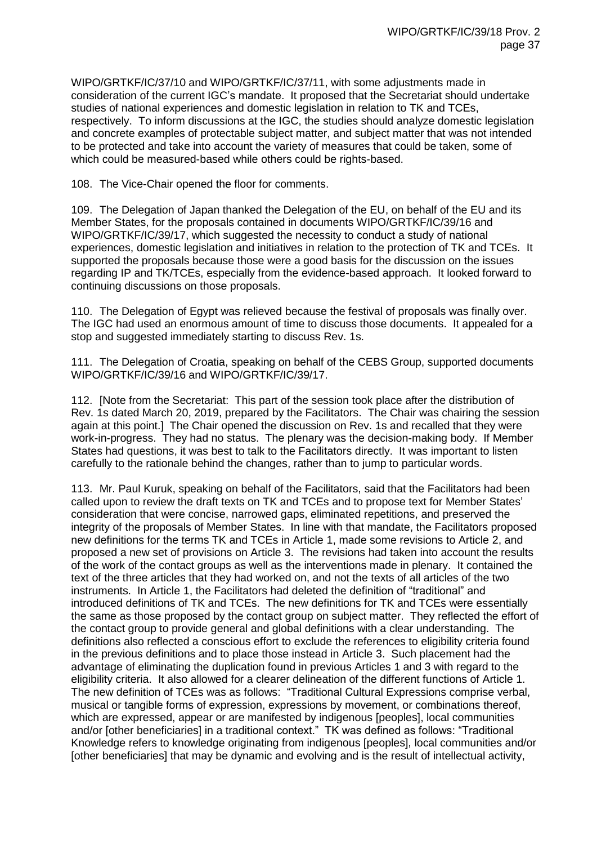WIPO/GRTKF/IC/37/10 and WIPO/GRTKF/IC/37/11, with some adjustments made in consideration of the current IGC's mandate. It proposed that the Secretariat should undertake studies of national experiences and domestic legislation in relation to TK and TCEs, respectively. To inform discussions at the IGC, the studies should analyze domestic legislation and concrete examples of protectable subject matter, and subject matter that was not intended to be protected and take into account the variety of measures that could be taken, some of which could be measured-based while others could be rights-based.

108. The Vice-Chair opened the floor for comments.

109. The Delegation of Japan thanked the Delegation of the EU, on behalf of the EU and its Member States, for the proposals contained in documents WIPO/GRTKF/IC/39/16 and WIPO/GRTKF/IC/39/17, which suggested the necessity to conduct a study of national experiences, domestic legislation and initiatives in relation to the protection of TK and TCEs. It supported the proposals because those were a good basis for the discussion on the issues regarding IP and TK/TCEs, especially from the evidence-based approach. It looked forward to continuing discussions on those proposals.

110. The Delegation of Egypt was relieved because the festival of proposals was finally over. The IGC had used an enormous amount of time to discuss those documents. It appealed for a stop and suggested immediately starting to discuss Rev. 1s.

111. The Delegation of Croatia, speaking on behalf of the CEBS Group, supported documents WIPO/GRTKF/IC/39/16 and WIPO/GRTKF/IC/39/17.

112. [Note from the Secretariat: This part of the session took place after the distribution of Rev. 1s dated March 20, 2019, prepared by the Facilitators. The Chair was chairing the session again at this point.] The Chair opened the discussion on Rev. 1s and recalled that they were work-in-progress. They had no status. The plenary was the decision-making body. If Member States had questions, it was best to talk to the Facilitators directly. It was important to listen carefully to the rationale behind the changes, rather than to jump to particular words.

113. Mr. Paul Kuruk, speaking on behalf of the Facilitators, said that the Facilitators had been called upon to review the draft texts on TK and TCEs and to propose text for Member States' consideration that were concise, narrowed gaps, eliminated repetitions, and preserved the integrity of the proposals of Member States. In line with that mandate, the Facilitators proposed new definitions for the terms TK and TCEs in Article 1, made some revisions to Article 2, and proposed a new set of provisions on Article 3. The revisions had taken into account the results of the work of the contact groups as well as the interventions made in plenary. It contained the text of the three articles that they had worked on, and not the texts of all articles of the two instruments. In Article 1, the Facilitators had deleted the definition of "traditional" and introduced definitions of TK and TCEs. The new definitions for TK and TCEs were essentially the same as those proposed by the contact group on subject matter. They reflected the effort of the contact group to provide general and global definitions with a clear understanding. The definitions also reflected a conscious effort to exclude the references to eligibility criteria found in the previous definitions and to place those instead in Article 3. Such placement had the advantage of eliminating the duplication found in previous Articles 1 and 3 with regard to the eligibility criteria. It also allowed for a clearer delineation of the different functions of Article 1. The new definition of TCEs was as follows: "Traditional Cultural Expressions comprise verbal, musical or tangible forms of expression, expressions by movement, or combinations thereof, which are expressed, appear or are manifested by indigenous [peoples], local communities and/or [other beneficiaries] in a traditional context." TK was defined as follows: "Traditional Knowledge refers to knowledge originating from indigenous [peoples], local communities and/or [other beneficiaries] that may be dynamic and evolving and is the result of intellectual activity,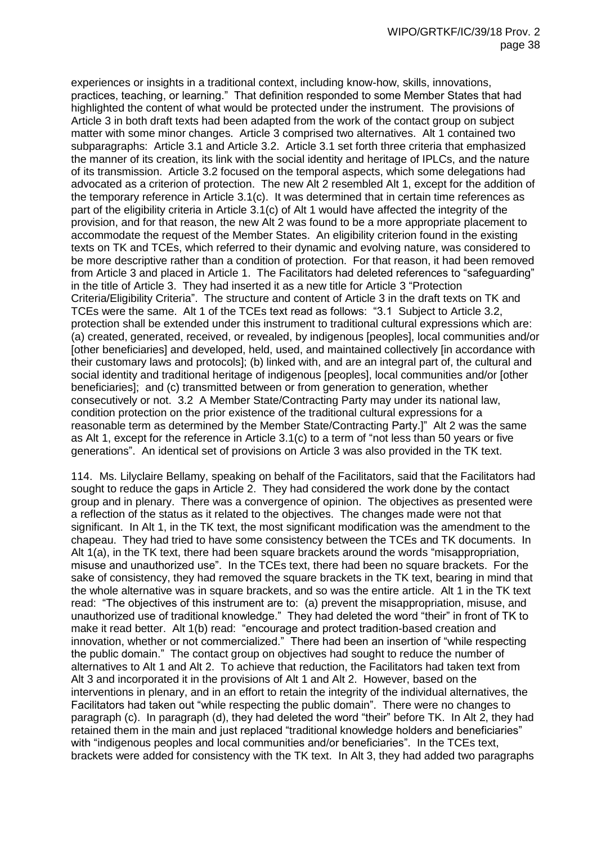experiences or insights in a traditional context, including know-how, skills, innovations, practices, teaching, or learning." That definition responded to some Member States that had highlighted the content of what would be protected under the instrument. The provisions of Article 3 in both draft texts had been adapted from the work of the contact group on subject matter with some minor changes. Article 3 comprised two alternatives. Alt 1 contained two subparagraphs: Article 3.1 and Article 3.2. Article 3.1 set forth three criteria that emphasized the manner of its creation, its link with the social identity and heritage of IPLCs, and the nature of its transmission. Article 3.2 focused on the temporal aspects, which some delegations had advocated as a criterion of protection. The new Alt 2 resembled Alt 1, except for the addition of the temporary reference in Article 3.1(c). It was determined that in certain time references as part of the eligibility criteria in Article 3.1(c) of Alt 1 would have affected the integrity of the provision, and for that reason, the new Alt 2 was found to be a more appropriate placement to accommodate the request of the Member States. An eligibility criterion found in the existing texts on TK and TCEs, which referred to their dynamic and evolving nature, was considered to be more descriptive rather than a condition of protection. For that reason, it had been removed from Article 3 and placed in Article 1. The Facilitators had deleted references to "safeguarding" in the title of Article 3. They had inserted it as a new title for Article 3 "Protection Criteria/Eligibility Criteria". The structure and content of Article 3 in the draft texts on TK and TCEs were the same. Alt 1 of the TCEs text read as follows: "3.1 Subject to Article 3.2, protection shall be extended under this instrument to traditional cultural expressions which are: (a) created, generated, received, or revealed, by indigenous [peoples], local communities and/or [other beneficiaries] and developed, held, used, and maintained collectively [in accordance with their customary laws and protocols]; (b) linked with, and are an integral part of, the cultural and social identity and traditional heritage of indigenous [peoples], local communities and/or [other beneficiaries]; and (c) transmitted between or from generation to generation, whether consecutively or not. 3.2 A Member State/Contracting Party may under its national law, condition protection on the prior existence of the traditional cultural expressions for a reasonable term as determined by the Member State/Contracting Party.]" Alt 2 was the same as Alt 1, except for the reference in Article 3.1(c) to a term of "not less than 50 years or five generations". An identical set of provisions on Article 3 was also provided in the TK text.

114. Ms. Lilyclaire Bellamy, speaking on behalf of the Facilitators, said that the Facilitators had sought to reduce the gaps in Article 2. They had considered the work done by the contact group and in plenary. There was a convergence of opinion. The objectives as presented were a reflection of the status as it related to the objectives. The changes made were not that significant. In Alt 1, in the TK text, the most significant modification was the amendment to the chapeau. They had tried to have some consistency between the TCEs and TK documents. In Alt 1(a), in the TK text, there had been square brackets around the words "misappropriation, misuse and unauthorized use". In the TCEs text, there had been no square brackets. For the sake of consistency, they had removed the square brackets in the TK text, bearing in mind that the whole alternative was in square brackets, and so was the entire article. Alt 1 in the TK text read: "The objectives of this instrument are to: (a) prevent the misappropriation, misuse, and unauthorized use of traditional knowledge." They had deleted the word "their" in front of TK to make it read better. Alt 1(b) read: "encourage and protect tradition-based creation and innovation, whether or not commercialized." There had been an insertion of "while respecting the public domain." The contact group on objectives had sought to reduce the number of alternatives to Alt 1 and Alt 2. To achieve that reduction, the Facilitators had taken text from Alt 3 and incorporated it in the provisions of Alt 1 and Alt 2. However, based on the interventions in plenary, and in an effort to retain the integrity of the individual alternatives, the Facilitators had taken out "while respecting the public domain". There were no changes to paragraph (c). In paragraph (d), they had deleted the word "their" before TK. In Alt 2, they had retained them in the main and just replaced "traditional knowledge holders and beneficiaries" with "indigenous peoples and local communities and/or beneficiaries". In the TCEs text, brackets were added for consistency with the TK text. In Alt 3, they had added two paragraphs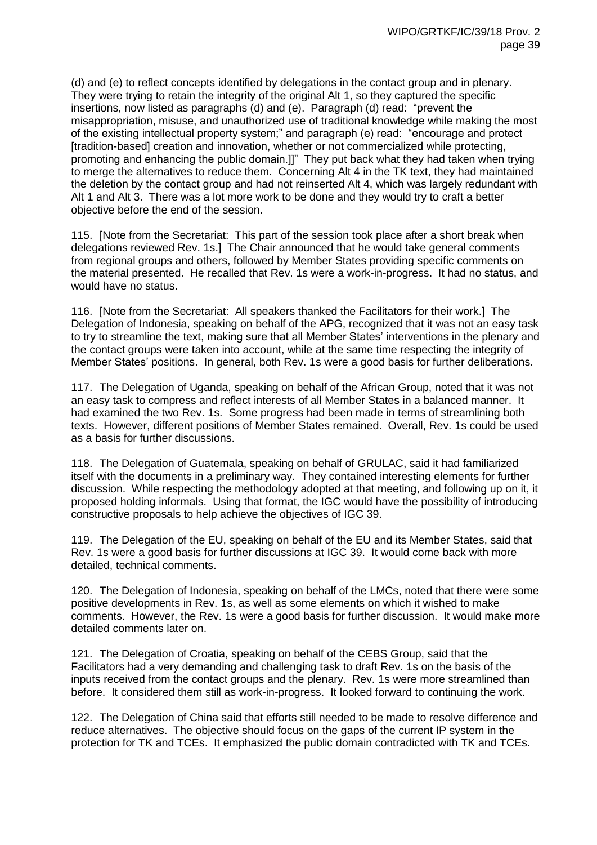(d) and (e) to reflect concepts identified by delegations in the contact group and in plenary. They were trying to retain the integrity of the original Alt 1, so they captured the specific insertions, now listed as paragraphs (d) and (e). Paragraph (d) read: "prevent the misappropriation, misuse, and unauthorized use of traditional knowledge while making the most of the existing intellectual property system;" and paragraph (e) read: "encourage and protect [tradition-based] creation and innovation, whether or not commercialized while protecting, promoting and enhancing the public domain.]]" They put back what they had taken when trying to merge the alternatives to reduce them. Concerning Alt 4 in the TK text, they had maintained the deletion by the contact group and had not reinserted Alt 4, which was largely redundant with Alt 1 and Alt 3. There was a lot more work to be done and they would try to craft a better objective before the end of the session.

115. [Note from the Secretariat: This part of the session took place after a short break when delegations reviewed Rev. 1s.] The Chair announced that he would take general comments from regional groups and others, followed by Member States providing specific comments on the material presented. He recalled that Rev. 1s were a work-in-progress. It had no status, and would have no status.

116. [Note from the Secretariat: All speakers thanked the Facilitators for their work.] The Delegation of Indonesia, speaking on behalf of the APG, recognized that it was not an easy task to try to streamline the text, making sure that all Member States' interventions in the plenary and the contact groups were taken into account, while at the same time respecting the integrity of Member States' positions. In general, both Rev. 1s were a good basis for further deliberations.

117. The Delegation of Uganda, speaking on behalf of the African Group, noted that it was not an easy task to compress and reflect interests of all Member States in a balanced manner. It had examined the two Rev. 1s. Some progress had been made in terms of streamlining both texts. However, different positions of Member States remained. Overall, Rev. 1s could be used as a basis for further discussions.

118. The Delegation of Guatemala, speaking on behalf of GRULAC, said it had familiarized itself with the documents in a preliminary way. They contained interesting elements for further discussion. While respecting the methodology adopted at that meeting, and following up on it, it proposed holding informals. Using that format, the IGC would have the possibility of introducing constructive proposals to help achieve the objectives of IGC 39.

119. The Delegation of the EU, speaking on behalf of the EU and its Member States, said that Rev. 1s were a good basis for further discussions at IGC 39. It would come back with more detailed, technical comments.

120. The Delegation of Indonesia, speaking on behalf of the LMCs, noted that there were some positive developments in Rev. 1s, as well as some elements on which it wished to make comments. However, the Rev. 1s were a good basis for further discussion. It would make more detailed comments later on.

121. The Delegation of Croatia, speaking on behalf of the CEBS Group, said that the Facilitators had a very demanding and challenging task to draft Rev. 1s on the basis of the inputs received from the contact groups and the plenary. Rev. 1s were more streamlined than before. It considered them still as work-in-progress. It looked forward to continuing the work.

122. The Delegation of China said that efforts still needed to be made to resolve difference and reduce alternatives. The objective should focus on the gaps of the current IP system in the protection for TK and TCEs. It emphasized the public domain contradicted with TK and TCEs.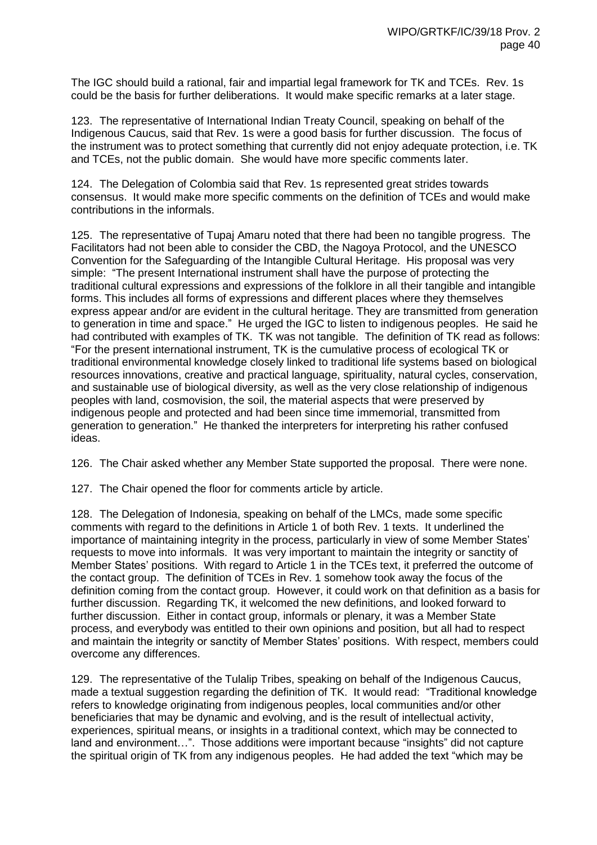The IGC should build a rational, fair and impartial legal framework for TK and TCEs. Rev. 1s could be the basis for further deliberations. It would make specific remarks at a later stage.

123. The representative of International Indian Treaty Council, speaking on behalf of the Indigenous Caucus, said that Rev. 1s were a good basis for further discussion. The focus of the instrument was to protect something that currently did not enjoy adequate protection, i.e. TK and TCEs, not the public domain. She would have more specific comments later.

124. The Delegation of Colombia said that Rev. 1s represented great strides towards consensus. It would make more specific comments on the definition of TCEs and would make contributions in the informals.

125. The representative of Tupaj Amaru noted that there had been no tangible progress. The Facilitators had not been able to consider the CBD, the Nagoya Protocol, and the UNESCO Convention for the Safeguarding of the Intangible Cultural Heritage. His proposal was very simple: "The present International instrument shall have the purpose of protecting the traditional cultural expressions and expressions of the folklore in all their tangible and intangible forms. This includes all forms of expressions and different places where they themselves express appear and/or are evident in the cultural heritage. They are transmitted from generation to generation in time and space." He urged the IGC to listen to indigenous peoples. He said he had contributed with examples of TK. TK was not tangible. The definition of TK read as follows: "For the present international instrument, TK is the cumulative process of ecological TK or traditional environmental knowledge closely linked to traditional life systems based on biological resources innovations, creative and practical language, spirituality, natural cycles, conservation, and sustainable use of biological diversity, as well as the very close relationship of indigenous peoples with land, cosmovision, the soil, the material aspects that were preserved by indigenous people and protected and had been since time immemorial, transmitted from generation to generation." He thanked the interpreters for interpreting his rather confused ideas.

126. The Chair asked whether any Member State supported the proposal. There were none.

127. The Chair opened the floor for comments article by article.

128. The Delegation of Indonesia, speaking on behalf of the LMCs, made some specific comments with regard to the definitions in Article 1 of both Rev. 1 texts. It underlined the importance of maintaining integrity in the process, particularly in view of some Member States' requests to move into informals. It was very important to maintain the integrity or sanctity of Member States' positions. With regard to Article 1 in the TCEs text, it preferred the outcome of the contact group. The definition of TCEs in Rev. 1 somehow took away the focus of the definition coming from the contact group. However, it could work on that definition as a basis for further discussion. Regarding TK, it welcomed the new definitions, and looked forward to further discussion. Either in contact group, informals or plenary, it was a Member State process, and everybody was entitled to their own opinions and position, but all had to respect and maintain the integrity or sanctity of Member States' positions. With respect, members could overcome any differences.

129. The representative of the Tulalip Tribes, speaking on behalf of the Indigenous Caucus, made a textual suggestion regarding the definition of TK. It would read: "Traditional knowledge refers to knowledge originating from indigenous peoples, local communities and/or other beneficiaries that may be dynamic and evolving, and is the result of intellectual activity, experiences, spiritual means, or insights in a traditional context, which may be connected to land and environment…". Those additions were important because "insights" did not capture the spiritual origin of TK from any indigenous peoples. He had added the text "which may be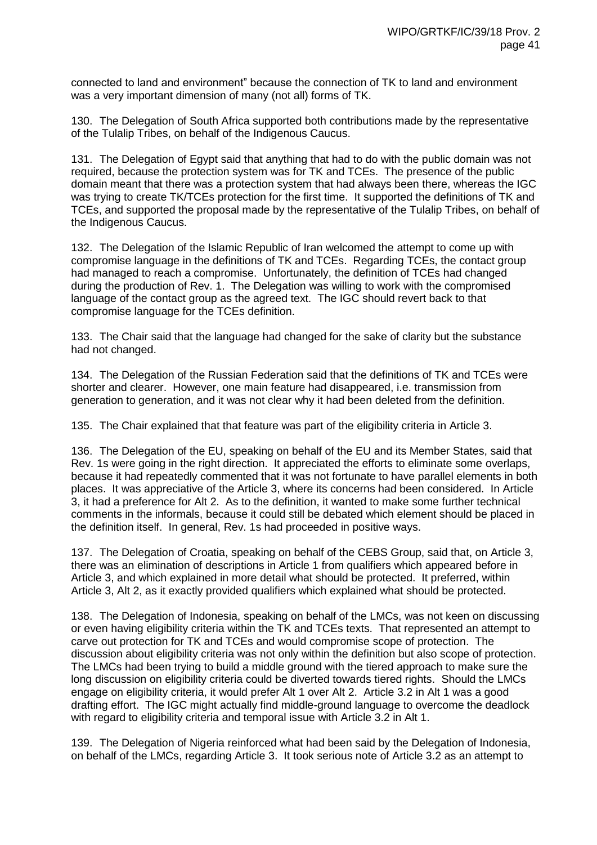connected to land and environment" because the connection of TK to land and environment was a very important dimension of many (not all) forms of TK.

130. The Delegation of South Africa supported both contributions made by the representative of the Tulalip Tribes, on behalf of the Indigenous Caucus.

131. The Delegation of Egypt said that anything that had to do with the public domain was not required, because the protection system was for TK and TCEs. The presence of the public domain meant that there was a protection system that had always been there, whereas the IGC was trying to create TK/TCEs protection for the first time. It supported the definitions of TK and TCEs, and supported the proposal made by the representative of the Tulalip Tribes, on behalf of the Indigenous Caucus.

132. The Delegation of the Islamic Republic of Iran welcomed the attempt to come up with compromise language in the definitions of TK and TCEs. Regarding TCEs, the contact group had managed to reach a compromise. Unfortunately, the definition of TCEs had changed during the production of Rev. 1. The Delegation was willing to work with the compromised language of the contact group as the agreed text. The IGC should revert back to that compromise language for the TCEs definition.

133. The Chair said that the language had changed for the sake of clarity but the substance had not changed.

134. The Delegation of the Russian Federation said that the definitions of TK and TCEs were shorter and clearer. However, one main feature had disappeared, i.e. transmission from generation to generation, and it was not clear why it had been deleted from the definition.

135. The Chair explained that that feature was part of the eligibility criteria in Article 3.

136. The Delegation of the EU, speaking on behalf of the EU and its Member States, said that Rev. 1s were going in the right direction. It appreciated the efforts to eliminate some overlaps, because it had repeatedly commented that it was not fortunate to have parallel elements in both places. It was appreciative of the Article 3, where its concerns had been considered. In Article 3, it had a preference for Alt 2. As to the definition, it wanted to make some further technical comments in the informals, because it could still be debated which element should be placed in the definition itself. In general, Rev. 1s had proceeded in positive ways.

137. The Delegation of Croatia, speaking on behalf of the CEBS Group, said that, on Article 3, there was an elimination of descriptions in Article 1 from qualifiers which appeared before in Article 3, and which explained in more detail what should be protected. It preferred, within Article 3, Alt 2, as it exactly provided qualifiers which explained what should be protected.

138. The Delegation of Indonesia, speaking on behalf of the LMCs, was not keen on discussing or even having eligibility criteria within the TK and TCEs texts. That represented an attempt to carve out protection for TK and TCEs and would compromise scope of protection. The discussion about eligibility criteria was not only within the definition but also scope of protection. The LMCs had been trying to build a middle ground with the tiered approach to make sure the long discussion on eligibility criteria could be diverted towards tiered rights. Should the LMCs engage on eligibility criteria, it would prefer Alt 1 over Alt 2. Article 3.2 in Alt 1 was a good drafting effort. The IGC might actually find middle-ground language to overcome the deadlock with regard to eligibility criteria and temporal issue with Article 3.2 in Alt 1.

139. The Delegation of Nigeria reinforced what had been said by the Delegation of Indonesia, on behalf of the LMCs, regarding Article 3. It took serious note of Article 3.2 as an attempt to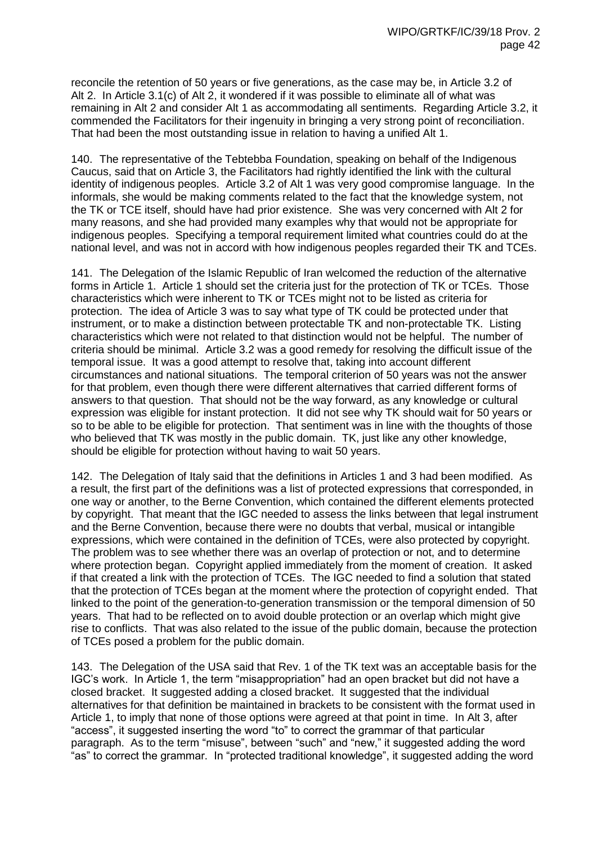reconcile the retention of 50 years or five generations, as the case may be, in Article 3.2 of Alt 2. In Article 3.1(c) of Alt 2, it wondered if it was possible to eliminate all of what was remaining in Alt 2 and consider Alt 1 as accommodating all sentiments. Regarding Article 3.2, it commended the Facilitators for their ingenuity in bringing a very strong point of reconciliation. That had been the most outstanding issue in relation to having a unified Alt 1.

140. The representative of the Tebtebba Foundation, speaking on behalf of the Indigenous Caucus, said that on Article 3, the Facilitators had rightly identified the link with the cultural identity of indigenous peoples. Article 3.2 of Alt 1 was very good compromise language. In the informals, she would be making comments related to the fact that the knowledge system, not the TK or TCE itself, should have had prior existence. She was very concerned with Alt 2 for many reasons, and she had provided many examples why that would not be appropriate for indigenous peoples. Specifying a temporal requirement limited what countries could do at the national level, and was not in accord with how indigenous peoples regarded their TK and TCEs.

141. The Delegation of the Islamic Republic of Iran welcomed the reduction of the alternative forms in Article 1. Article 1 should set the criteria just for the protection of TK or TCEs. Those characteristics which were inherent to TK or TCEs might not to be listed as criteria for protection. The idea of Article 3 was to say what type of TK could be protected under that instrument, or to make a distinction between protectable TK and non-protectable TK. Listing characteristics which were not related to that distinction would not be helpful. The number of criteria should be minimal. Article 3.2 was a good remedy for resolving the difficult issue of the temporal issue. It was a good attempt to resolve that, taking into account different circumstances and national situations. The temporal criterion of 50 years was not the answer for that problem, even though there were different alternatives that carried different forms of answers to that question. That should not be the way forward, as any knowledge or cultural expression was eligible for instant protection. It did not see why TK should wait for 50 years or so to be able to be eligible for protection. That sentiment was in line with the thoughts of those who believed that TK was mostly in the public domain. TK, just like any other knowledge, should be eligible for protection without having to wait 50 years.

142. The Delegation of Italy said that the definitions in Articles 1 and 3 had been modified. As a result, the first part of the definitions was a list of protected expressions that corresponded, in one way or another, to the Berne Convention, which contained the different elements protected by copyright. That meant that the IGC needed to assess the links between that legal instrument and the Berne Convention, because there were no doubts that verbal, musical or intangible expressions, which were contained in the definition of TCEs, were also protected by copyright. The problem was to see whether there was an overlap of protection or not, and to determine where protection began. Copyright applied immediately from the moment of creation. It asked if that created a link with the protection of TCEs. The IGC needed to find a solution that stated that the protection of TCEs began at the moment where the protection of copyright ended. That linked to the point of the generation-to-generation transmission or the temporal dimension of 50 years. That had to be reflected on to avoid double protection or an overlap which might give rise to conflicts. That was also related to the issue of the public domain, because the protection of TCEs posed a problem for the public domain.

143. The Delegation of the USA said that Rev. 1 of the TK text was an acceptable basis for the IGC's work. In Article 1, the term "misappropriation" had an open bracket but did not have a closed bracket. It suggested adding a closed bracket. It suggested that the individual alternatives for that definition be maintained in brackets to be consistent with the format used in Article 1, to imply that none of those options were agreed at that point in time. In Alt 3, after "access", it suggested inserting the word "to" to correct the grammar of that particular paragraph. As to the term "misuse", between "such" and "new," it suggested adding the word "as" to correct the grammar. In "protected traditional knowledge", it suggested adding the word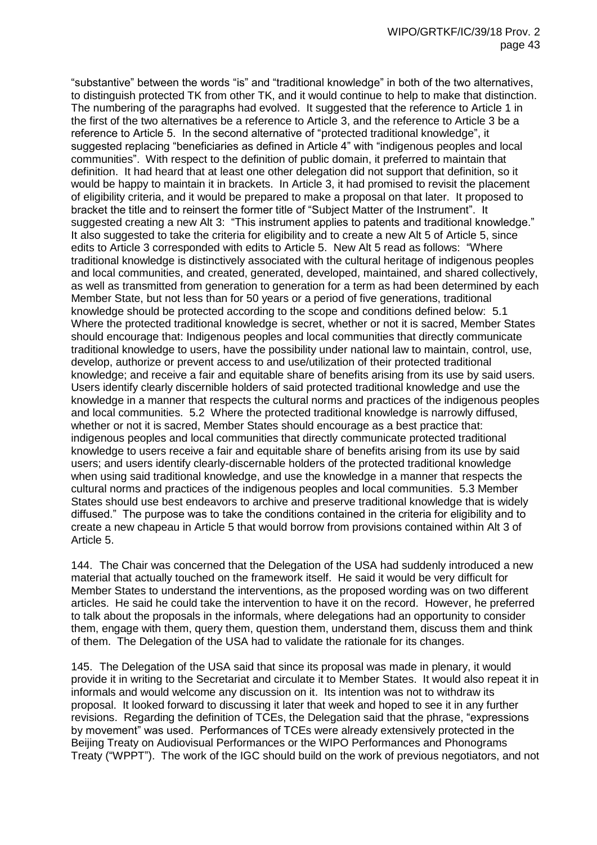"substantive" between the words "is" and "traditional knowledge" in both of the two alternatives, to distinguish protected TK from other TK, and it would continue to help to make that distinction. The numbering of the paragraphs had evolved. It suggested that the reference to Article 1 in the first of the two alternatives be a reference to Article 3, and the reference to Article 3 be a reference to Article 5. In the second alternative of "protected traditional knowledge", it suggested replacing "beneficiaries as defined in Article 4" with "indigenous peoples and local communities". With respect to the definition of public domain, it preferred to maintain that definition. It had heard that at least one other delegation did not support that definition, so it would be happy to maintain it in brackets. In Article 3, it had promised to revisit the placement of eligibility criteria, and it would be prepared to make a proposal on that later. It proposed to bracket the title and to reinsert the former title of "Subject Matter of the Instrument". It suggested creating a new Alt 3: "This instrument applies to patents and traditional knowledge." It also suggested to take the criteria for eligibility and to create a new Alt 5 of Article 5, since edits to Article 3 corresponded with edits to Article 5. New Alt 5 read as follows: "Where traditional knowledge is distinctively associated with the cultural heritage of indigenous peoples and local communities, and created, generated, developed, maintained, and shared collectively, as well as transmitted from generation to generation for a term as had been determined by each Member State, but not less than for 50 years or a period of five generations, traditional knowledge should be protected according to the scope and conditions defined below: 5.1 Where the protected traditional knowledge is secret, whether or not it is sacred, Member States should encourage that: Indigenous peoples and local communities that directly communicate traditional knowledge to users, have the possibility under national law to maintain, control, use, develop, authorize or prevent access to and use/utilization of their protected traditional knowledge; and receive a fair and equitable share of benefits arising from its use by said users. Users identify clearly discernible holders of said protected traditional knowledge and use the knowledge in a manner that respects the cultural norms and practices of the indigenous peoples and local communities. 5.2 Where the protected traditional knowledge is narrowly diffused, whether or not it is sacred, Member States should encourage as a best practice that: indigenous peoples and local communities that directly communicate protected traditional knowledge to users receive a fair and equitable share of benefits arising from its use by said users; and users identify clearly-discernable holders of the protected traditional knowledge when using said traditional knowledge, and use the knowledge in a manner that respects the cultural norms and practices of the indigenous peoples and local communities. 5.3 Member States should use best endeavors to archive and preserve traditional knowledge that is widely diffused." The purpose was to take the conditions contained in the criteria for eligibility and to create a new chapeau in Article 5 that would borrow from provisions contained within Alt 3 of Article 5.

144. The Chair was concerned that the Delegation of the USA had suddenly introduced a new material that actually touched on the framework itself. He said it would be very difficult for Member States to understand the interventions, as the proposed wording was on two different articles. He said he could take the intervention to have it on the record. However, he preferred to talk about the proposals in the informals, where delegations had an opportunity to consider them, engage with them, query them, question them, understand them, discuss them and think of them. The Delegation of the USA had to validate the rationale for its changes.

145. The Delegation of the USA said that since its proposal was made in plenary, it would provide it in writing to the Secretariat and circulate it to Member States. It would also repeat it in informals and would welcome any discussion on it. Its intention was not to withdraw its proposal. It looked forward to discussing it later that week and hoped to see it in any further revisions. Regarding the definition of TCEs, the Delegation said that the phrase, "expressions by movement" was used. Performances of TCEs were already extensively protected in the Beijing Treaty on Audiovisual Performances or the WIPO Performances and Phonograms Treaty ("WPPT"). The work of the IGC should build on the work of previous negotiators, and not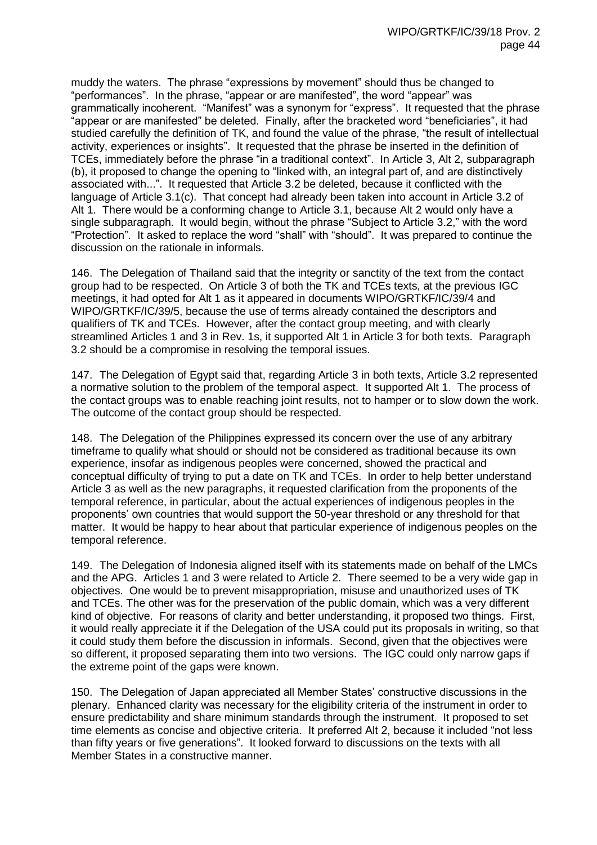muddy the waters. The phrase "expressions by movement" should thus be changed to "performances". In the phrase, "appear or are manifested", the word "appear" was grammatically incoherent. "Manifest" was a synonym for "express". It requested that the phrase "appear or are manifested" be deleted. Finally, after the bracketed word "beneficiaries", it had studied carefully the definition of TK, and found the value of the phrase, "the result of intellectual activity, experiences or insights". It requested that the phrase be inserted in the definition of TCEs, immediately before the phrase "in a traditional context". In Article 3, Alt 2, subparagraph (b), it proposed to change the opening to "linked with, an integral part of, and are distinctively associated with...". It requested that Article 3.2 be deleted, because it conflicted with the language of Article 3.1(c). That concept had already been taken into account in Article 3.2 of Alt 1. There would be a conforming change to Article 3.1, because Alt 2 would only have a single subparagraph. It would begin, without the phrase "Subject to Article 3.2," with the word "Protection". It asked to replace the word "shall" with "should". It was prepared to continue the discussion on the rationale in informals.

146. The Delegation of Thailand said that the integrity or sanctity of the text from the contact group had to be respected. On Article 3 of both the TK and TCEs texts, at the previous IGC meetings, it had opted for Alt 1 as it appeared in documents WIPO/GRTKF/IC/39/4 and WIPO/GRTKF/IC/39/5, because the use of terms already contained the descriptors and qualifiers of TK and TCEs. However, after the contact group meeting, and with clearly streamlined Articles 1 and 3 in Rev. 1s, it supported Alt 1 in Article 3 for both texts. Paragraph 3.2 should be a compromise in resolving the temporal issues.

147. The Delegation of Egypt said that, regarding Article 3 in both texts, Article 3.2 represented a normative solution to the problem of the temporal aspect. It supported Alt 1. The process of the contact groups was to enable reaching joint results, not to hamper or to slow down the work. The outcome of the contact group should be respected.

148. The Delegation of the Philippines expressed its concern over the use of any arbitrary timeframe to qualify what should or should not be considered as traditional because its own experience, insofar as indigenous peoples were concerned, showed the practical and conceptual difficulty of trying to put a date on TK and TCEs. In order to help better understand Article 3 as well as the new paragraphs, it requested clarification from the proponents of the temporal reference, in particular, about the actual experiences of indigenous peoples in the proponents' own countries that would support the 50-year threshold or any threshold for that matter. It would be happy to hear about that particular experience of indigenous peoples on the temporal reference.

149. The Delegation of Indonesia aligned itself with its statements made on behalf of the LMCs and the APG. Articles 1 and 3 were related to Article 2. There seemed to be a very wide gap in objectives. One would be to prevent misappropriation, misuse and unauthorized uses of TK and TCEs. The other was for the preservation of the public domain, which was a very different kind of objective. For reasons of clarity and better understanding, it proposed two things. First, it would really appreciate it if the Delegation of the USA could put its proposals in writing, so that it could study them before the discussion in informals. Second, given that the objectives were so different, it proposed separating them into two versions. The IGC could only narrow gaps if the extreme point of the gaps were known.

150. The Delegation of Japan appreciated all Member States' constructive discussions in the plenary. Enhanced clarity was necessary for the eligibility criteria of the instrument in order to ensure predictability and share minimum standards through the instrument. It proposed to set time elements as concise and objective criteria. It preferred Alt 2, because it included "not less than fifty years or five generations". It looked forward to discussions on the texts with all Member States in a constructive manner.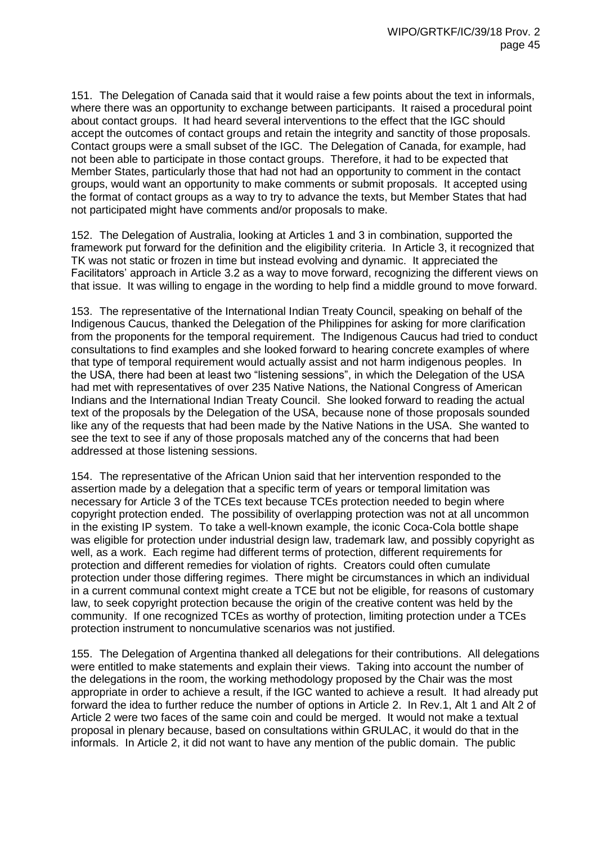151. The Delegation of Canada said that it would raise a few points about the text in informals, where there was an opportunity to exchange between participants. It raised a procedural point about contact groups. It had heard several interventions to the effect that the IGC should accept the outcomes of contact groups and retain the integrity and sanctity of those proposals. Contact groups were a small subset of the IGC. The Delegation of Canada, for example, had not been able to participate in those contact groups. Therefore, it had to be expected that Member States, particularly those that had not had an opportunity to comment in the contact groups, would want an opportunity to make comments or submit proposals. It accepted using the format of contact groups as a way to try to advance the texts, but Member States that had not participated might have comments and/or proposals to make.

152. The Delegation of Australia, looking at Articles 1 and 3 in combination, supported the framework put forward for the definition and the eligibility criteria. In Article 3, it recognized that TK was not static or frozen in time but instead evolving and dynamic. It appreciated the Facilitators' approach in Article 3.2 as a way to move forward, recognizing the different views on that issue. It was willing to engage in the wording to help find a middle ground to move forward.

153. The representative of the International Indian Treaty Council, speaking on behalf of the Indigenous Caucus, thanked the Delegation of the Philippines for asking for more clarification from the proponents for the temporal requirement. The Indigenous Caucus had tried to conduct consultations to find examples and she looked forward to hearing concrete examples of where that type of temporal requirement would actually assist and not harm indigenous peoples. In the USA, there had been at least two "listening sessions", in which the Delegation of the USA had met with representatives of over 235 Native Nations, the National Congress of American Indians and the International Indian Treaty Council. She looked forward to reading the actual text of the proposals by the Delegation of the USA, because none of those proposals sounded like any of the requests that had been made by the Native Nations in the USA. She wanted to see the text to see if any of those proposals matched any of the concerns that had been addressed at those listening sessions.

154. The representative of the African Union said that her intervention responded to the assertion made by a delegation that a specific term of years or temporal limitation was necessary for Article 3 of the TCEs text because TCEs protection needed to begin where copyright protection ended. The possibility of overlapping protection was not at all uncommon in the existing IP system. To take a well-known example, the iconic Coca-Cola bottle shape was eligible for protection under industrial design law, trademark law, and possibly copyright as well, as a work. Each regime had different terms of protection, different requirements for protection and different remedies for violation of rights. Creators could often cumulate protection under those differing regimes. There might be circumstances in which an individual in a current communal context might create a TCE but not be eligible, for reasons of customary law, to seek copyright protection because the origin of the creative content was held by the community. If one recognized TCEs as worthy of protection, limiting protection under a TCEs protection instrument to noncumulative scenarios was not justified.

155. The Delegation of Argentina thanked all delegations for their contributions. All delegations were entitled to make statements and explain their views. Taking into account the number of the delegations in the room, the working methodology proposed by the Chair was the most appropriate in order to achieve a result, if the IGC wanted to achieve a result. It had already put forward the idea to further reduce the number of options in Article 2. In Rev.1, Alt 1 and Alt 2 of Article 2 were two faces of the same coin and could be merged. It would not make a textual proposal in plenary because, based on consultations within GRULAC, it would do that in the informals. In Article 2, it did not want to have any mention of the public domain. The public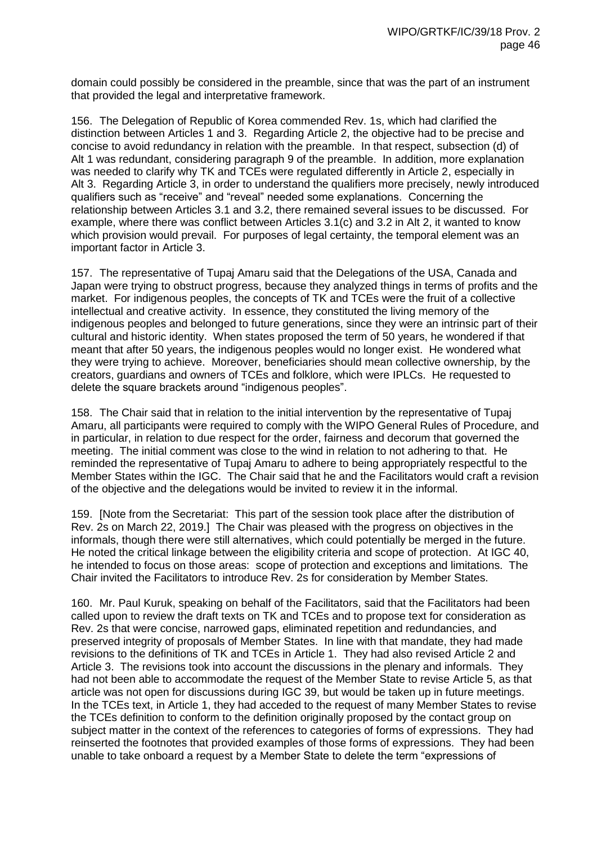domain could possibly be considered in the preamble, since that was the part of an instrument that provided the legal and interpretative framework.

156. The Delegation of Republic of Korea commended Rev. 1s, which had clarified the distinction between Articles 1 and 3. Regarding Article 2, the objective had to be precise and concise to avoid redundancy in relation with the preamble. In that respect, subsection (d) of Alt 1 was redundant, considering paragraph 9 of the preamble. In addition, more explanation was needed to clarify why TK and TCEs were regulated differently in Article 2, especially in Alt 3. Regarding Article 3, in order to understand the qualifiers more precisely, newly introduced qualifiers such as "receive" and "reveal" needed some explanations. Concerning the relationship between Articles 3.1 and 3.2, there remained several issues to be discussed. For example, where there was conflict between Articles 3.1(c) and 3.2 in Alt 2, it wanted to know which provision would prevail. For purposes of legal certainty, the temporal element was an important factor in Article 3.

157. The representative of Tupaj Amaru said that the Delegations of the USA, Canada and Japan were trying to obstruct progress, because they analyzed things in terms of profits and the market. For indigenous peoples, the concepts of TK and TCEs were the fruit of a collective intellectual and creative activity. In essence, they constituted the living memory of the indigenous peoples and belonged to future generations, since they were an intrinsic part of their cultural and historic identity. When states proposed the term of 50 years, he wondered if that meant that after 50 years, the indigenous peoples would no longer exist. He wondered what they were trying to achieve. Moreover, beneficiaries should mean collective ownership, by the creators, guardians and owners of TCEs and folklore, which were IPLCs. He requested to delete the square brackets around "indigenous peoples".

158. The Chair said that in relation to the initial intervention by the representative of Tupaj Amaru, all participants were required to comply with the WIPO General Rules of Procedure, and in particular, in relation to due respect for the order, fairness and decorum that governed the meeting. The initial comment was close to the wind in relation to not adhering to that. He reminded the representative of Tupaj Amaru to adhere to being appropriately respectful to the Member States within the IGC. The Chair said that he and the Facilitators would craft a revision of the objective and the delegations would be invited to review it in the informal.

159. [Note from the Secretariat: This part of the session took place after the distribution of Rev. 2s on March 22, 2019.] The Chair was pleased with the progress on objectives in the informals, though there were still alternatives, which could potentially be merged in the future. He noted the critical linkage between the eligibility criteria and scope of protection. At IGC 40, he intended to focus on those areas: scope of protection and exceptions and limitations. The Chair invited the Facilitators to introduce Rev. 2s for consideration by Member States.

160. Mr. Paul Kuruk, speaking on behalf of the Facilitators, said that the Facilitators had been called upon to review the draft texts on TK and TCEs and to propose text for consideration as Rev. 2s that were concise, narrowed gaps, eliminated repetition and redundancies, and preserved integrity of proposals of Member States. In line with that mandate, they had made revisions to the definitions of TK and TCEs in Article 1. They had also revised Article 2 and Article 3. The revisions took into account the discussions in the plenary and informals. They had not been able to accommodate the request of the Member State to revise Article 5, as that article was not open for discussions during IGC 39, but would be taken up in future meetings. In the TCEs text, in Article 1, they had acceded to the request of many Member States to revise the TCEs definition to conform to the definition originally proposed by the contact group on subject matter in the context of the references to categories of forms of expressions. They had reinserted the footnotes that provided examples of those forms of expressions. They had been unable to take onboard a request by a Member State to delete the term "expressions of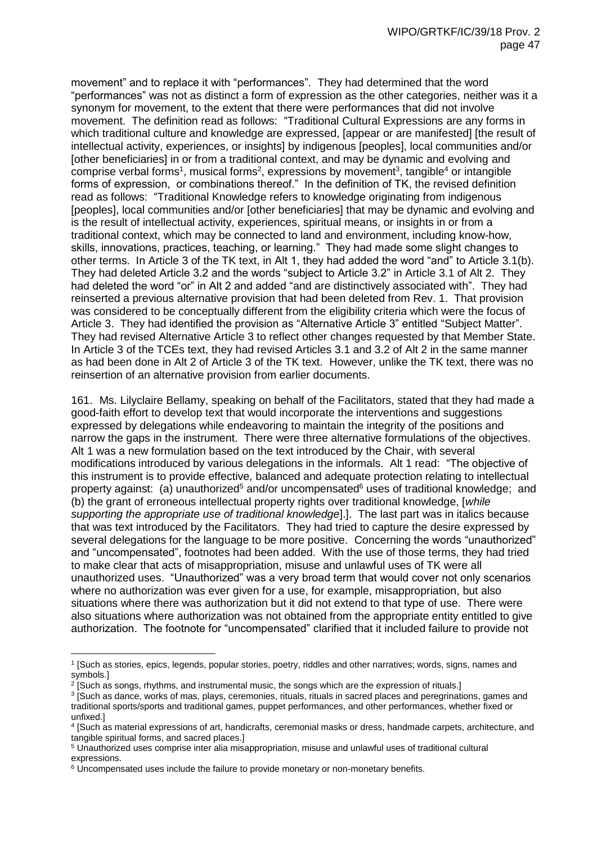movement" and to replace it with "performances". They had determined that the word "performances" was not as distinct a form of expression as the other categories, neither was it a synonym for movement, to the extent that there were performances that did not involve movement. The definition read as follows: "Traditional Cultural Expressions are any forms in which traditional culture and knowledge are expressed, [appear or are manifested] [the result of intellectual activity, experiences, or insights] by indigenous [peoples], local communities and/or [other beneficiaries] in or from a traditional context, and may be dynamic and evolving and comprise verbal forms<sup>1</sup>, musical forms<sup>2</sup>, expressions by movement<sup>3</sup>, tangible<sup>4</sup> or intangible forms of expression, or combinations thereof." In the definition of TK, the revised definition read as follows: "Traditional Knowledge refers to knowledge originating from indigenous [peoples], local communities and/or [other beneficiaries] that may be dynamic and evolving and is the result of intellectual activity, experiences, spiritual means, or insights in or from a traditional context, which may be connected to land and environment, including know-how, skills, innovations, practices, teaching, or learning." They had made some slight changes to other terms. In Article 3 of the TK text, in Alt 1, they had added the word "and" to Article 3.1(b). They had deleted Article 3.2 and the words "subject to Article 3.2" in Article 3.1 of Alt 2. They had deleted the word "or" in Alt 2 and added "and are distinctively associated with". They had reinserted a previous alternative provision that had been deleted from Rev. 1. That provision was considered to be conceptually different from the eligibility criteria which were the focus of Article 3. They had identified the provision as "Alternative Article 3" entitled "Subject Matter". They had revised Alternative Article 3 to reflect other changes requested by that Member State. In Article 3 of the TCEs text, they had revised Articles 3.1 and 3.2 of Alt 2 in the same manner as had been done in Alt 2 of Article 3 of the TK text. However, unlike the TK text, there was no reinsertion of an alternative provision from earlier documents.

161. Ms. Lilyclaire Bellamy, speaking on behalf of the Facilitators, stated that they had made a good-faith effort to develop text that would incorporate the interventions and suggestions expressed by delegations while endeavoring to maintain the integrity of the positions and narrow the gaps in the instrument. There were three alternative formulations of the objectives. Alt 1 was a new formulation based on the text introduced by the Chair, with several modifications introduced by various delegations in the informals. Alt 1 read: "The objective of this instrument is to provide effective, balanced and adequate protection relating to intellectual property against: (a) unauthorized<sup>5</sup> and/or uncompensated<sup>6</sup> uses of traditional knowledge; and (b) the grant of erroneous intellectual property rights over traditional knowledge, [*while supporting the appropriate use of traditional knowledge*].]. The last part was in italics because that was text introduced by the Facilitators. They had tried to capture the desire expressed by several delegations for the language to be more positive. Concerning the words "unauthorized" and "uncompensated", footnotes had been added. With the use of those terms, they had tried to make clear that acts of misappropriation, misuse and unlawful uses of TK were all unauthorized uses. "Unauthorized" was a very broad term that would cover not only scenarios where no authorization was ever given for a use, for example, misappropriation, but also situations where there was authorization but it did not extend to that type of use. There were also situations where authorization was not obtained from the appropriate entity entitled to give authorization. The footnote for "uncompensated" clarified that it included failure to provide not

 $\overline{a}$ 

<sup>1</sup> [Such as stories, epics, legends, popular stories, poetry, riddles and other narratives; words, signs, names and symbols.]

<sup>&</sup>lt;sup>2</sup> [Such as songs, rhythms, and instrumental music, the songs which are the expression of rituals.]

<sup>3</sup> [Such as dance, works of mas, plays, ceremonies, rituals, rituals in sacred places and peregrinations, games and traditional sports/sports and traditional games, puppet performances, and other performances, whether fixed or unfixed.]

<sup>4</sup> [Such as material expressions of art, handicrafts, ceremonial masks or dress, handmade carpets, architecture, and tangible spiritual forms, and sacred places.]

<sup>5</sup> Unauthorized uses comprise inter alia misappropriation, misuse and unlawful uses of traditional cultural expressions.

<sup>&</sup>lt;sup>6</sup> Uncompensated uses include the failure to provide monetary or non-monetary benefits.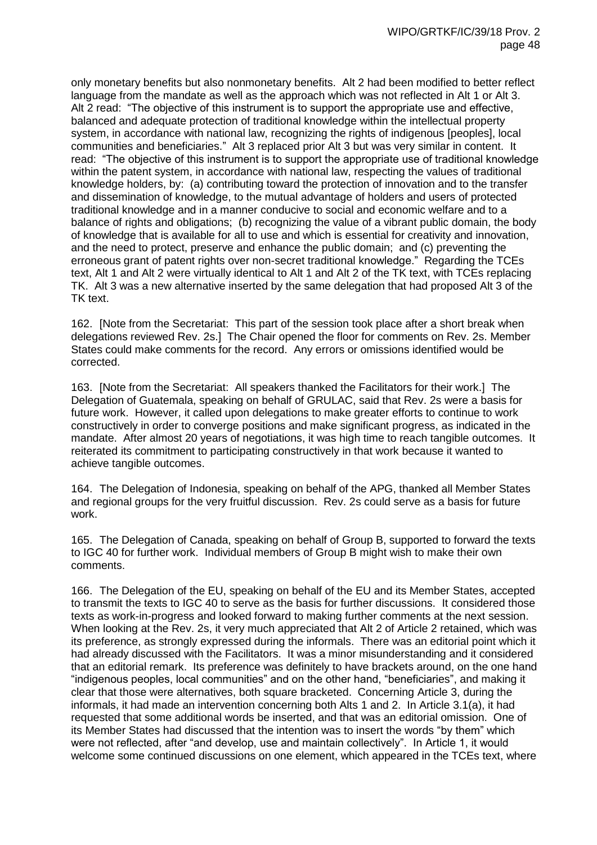only monetary benefits but also nonmonetary benefits. Alt 2 had been modified to better reflect language from the mandate as well as the approach which was not reflected in Alt 1 or Alt 3. Alt 2 read: "The objective of this instrument is to support the appropriate use and effective, balanced and adequate protection of traditional knowledge within the intellectual property system, in accordance with national law, recognizing the rights of indigenous [peoples], local communities and beneficiaries." Alt 3 replaced prior Alt 3 but was very similar in content. It read: "The objective of this instrument is to support the appropriate use of traditional knowledge within the patent system, in accordance with national law, respecting the values of traditional knowledge holders, by: (a) contributing toward the protection of innovation and to the transfer and dissemination of knowledge, to the mutual advantage of holders and users of protected traditional knowledge and in a manner conducive to social and economic welfare and to a balance of rights and obligations; (b) recognizing the value of a vibrant public domain, the body of knowledge that is available for all to use and which is essential for creativity and innovation, and the need to protect, preserve and enhance the public domain; and (c) preventing the erroneous grant of patent rights over non-secret traditional knowledge." Regarding the TCEs text, Alt 1 and Alt 2 were virtually identical to Alt 1 and Alt 2 of the TK text, with TCEs replacing TK. Alt 3 was a new alternative inserted by the same delegation that had proposed Alt 3 of the TK text.

162. [Note from the Secretariat: This part of the session took place after a short break when delegations reviewed Rev. 2s.] The Chair opened the floor for comments on Rev. 2s. Member States could make comments for the record. Any errors or omissions identified would be corrected.

163. [Note from the Secretariat: All speakers thanked the Facilitators for their work.] The Delegation of Guatemala, speaking on behalf of GRULAC, said that Rev. 2s were a basis for future work. However, it called upon delegations to make greater efforts to continue to work constructively in order to converge positions and make significant progress, as indicated in the mandate. After almost 20 years of negotiations, it was high time to reach tangible outcomes. It reiterated its commitment to participating constructively in that work because it wanted to achieve tangible outcomes.

164. The Delegation of Indonesia, speaking on behalf of the APG, thanked all Member States and regional groups for the very fruitful discussion. Rev. 2s could serve as a basis for future work.

165. The Delegation of Canada, speaking on behalf of Group B, supported to forward the texts to IGC 40 for further work. Individual members of Group B might wish to make their own comments.

166. The Delegation of the EU, speaking on behalf of the EU and its Member States, accepted to transmit the texts to IGC 40 to serve as the basis for further discussions. It considered those texts as work-in-progress and looked forward to making further comments at the next session. When looking at the Rev. 2s, it very much appreciated that Alt 2 of Article 2 retained, which was its preference, as strongly expressed during the informals. There was an editorial point which it had already discussed with the Facilitators. It was a minor misunderstanding and it considered that an editorial remark. Its preference was definitely to have brackets around, on the one hand "indigenous peoples, local communities" and on the other hand, "beneficiaries", and making it clear that those were alternatives, both square bracketed. Concerning Article 3, during the informals, it had made an intervention concerning both Alts 1 and 2. In Article 3.1(a), it had requested that some additional words be inserted, and that was an editorial omission. One of its Member States had discussed that the intention was to insert the words "by them" which were not reflected, after "and develop, use and maintain collectively". In Article 1, it would welcome some continued discussions on one element, which appeared in the TCEs text, where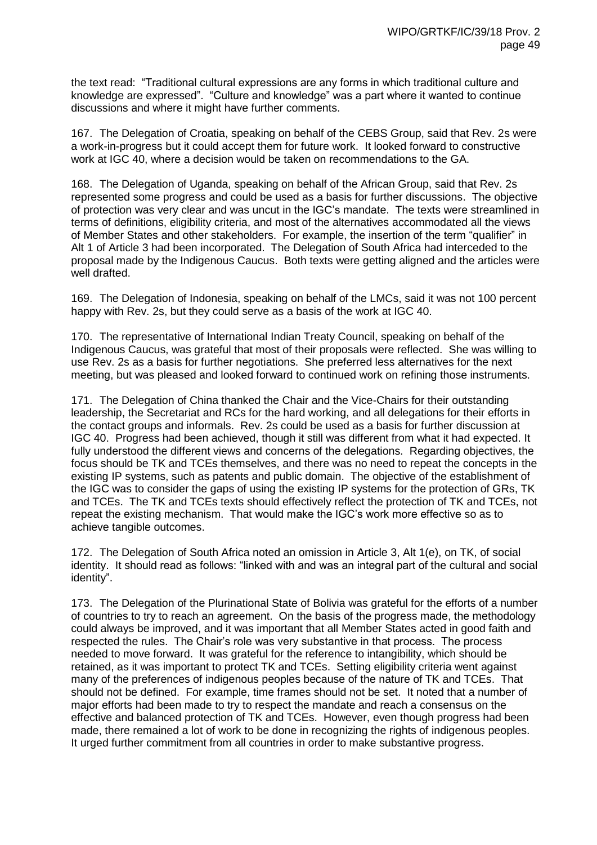the text read: "Traditional cultural expressions are any forms in which traditional culture and knowledge are expressed". "Culture and knowledge" was a part where it wanted to continue discussions and where it might have further comments.

167. The Delegation of Croatia, speaking on behalf of the CEBS Group, said that Rev. 2s were a work-in-progress but it could accept them for future work. It looked forward to constructive work at IGC 40, where a decision would be taken on recommendations to the GA.

168. The Delegation of Uganda, speaking on behalf of the African Group, said that Rev. 2s represented some progress and could be used as a basis for further discussions. The objective of protection was very clear and was uncut in the IGC's mandate. The texts were streamlined in terms of definitions, eligibility criteria, and most of the alternatives accommodated all the views of Member States and other stakeholders. For example, the insertion of the term "qualifier" in Alt 1 of Article 3 had been incorporated. The Delegation of South Africa had interceded to the proposal made by the Indigenous Caucus. Both texts were getting aligned and the articles were well drafted.

169. The Delegation of Indonesia, speaking on behalf of the LMCs, said it was not 100 percent happy with Rev. 2s, but they could serve as a basis of the work at IGC 40.

170. The representative of International Indian Treaty Council, speaking on behalf of the Indigenous Caucus, was grateful that most of their proposals were reflected. She was willing to use Rev. 2s as a basis for further negotiations. She preferred less alternatives for the next meeting, but was pleased and looked forward to continued work on refining those instruments.

171. The Delegation of China thanked the Chair and the Vice-Chairs for their outstanding leadership, the Secretariat and RCs for the hard working, and all delegations for their efforts in the contact groups and informals. Rev. 2s could be used as a basis for further discussion at IGC 40. Progress had been achieved, though it still was different from what it had expected. It fully understood the different views and concerns of the delegations. Regarding objectives, the focus should be TK and TCEs themselves, and there was no need to repeat the concepts in the existing IP systems, such as patents and public domain. The objective of the establishment of the IGC was to consider the gaps of using the existing IP systems for the protection of GRs, TK and TCEs. The TK and TCEs texts should effectively reflect the protection of TK and TCEs, not repeat the existing mechanism. That would make the IGC's work more effective so as to achieve tangible outcomes.

172. The Delegation of South Africa noted an omission in Article 3, Alt 1(e), on TK, of social identity. It should read as follows: "linked with and was an integral part of the cultural and social identity".

173. The Delegation of the Plurinational State of Bolivia was grateful for the efforts of a number of countries to try to reach an agreement. On the basis of the progress made, the methodology could always be improved, and it was important that all Member States acted in good faith and respected the rules. The Chair's role was very substantive in that process. The process needed to move forward. It was grateful for the reference to intangibility, which should be retained, as it was important to protect TK and TCEs. Setting eligibility criteria went against many of the preferences of indigenous peoples because of the nature of TK and TCEs. That should not be defined. For example, time frames should not be set. It noted that a number of major efforts had been made to try to respect the mandate and reach a consensus on the effective and balanced protection of TK and TCEs. However, even though progress had been made, there remained a lot of work to be done in recognizing the rights of indigenous peoples. It urged further commitment from all countries in order to make substantive progress.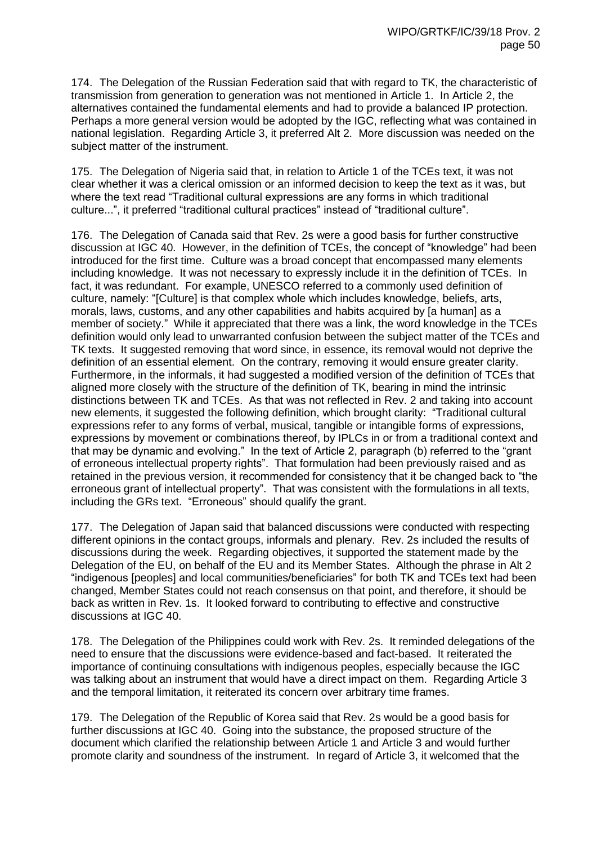174. The Delegation of the Russian Federation said that with regard to TK, the characteristic of transmission from generation to generation was not mentioned in Article 1. In Article 2, the alternatives contained the fundamental elements and had to provide a balanced IP protection. Perhaps a more general version would be adopted by the IGC, reflecting what was contained in national legislation. Regarding Article 3, it preferred Alt 2. More discussion was needed on the subject matter of the instrument.

175. The Delegation of Nigeria said that, in relation to Article 1 of the TCEs text, it was not clear whether it was a clerical omission or an informed decision to keep the text as it was, but where the text read "Traditional cultural expressions are any forms in which traditional culture...", it preferred "traditional cultural practices" instead of "traditional culture".

176. The Delegation of Canada said that Rev. 2s were a good basis for further constructive discussion at IGC 40. However, in the definition of TCEs, the concept of "knowledge" had been introduced for the first time. Culture was a broad concept that encompassed many elements including knowledge. It was not necessary to expressly include it in the definition of TCEs. In fact, it was redundant. For example, UNESCO referred to a commonly used definition of culture, namely: "[Culture] is that complex whole which includes knowledge, beliefs, arts, morals, laws, customs, and any other capabilities and habits acquired by [a human] as a member of society." While it appreciated that there was a link, the word knowledge in the TCEs definition would only lead to unwarranted confusion between the subject matter of the TCEs and TK texts. It suggested removing that word since, in essence, its removal would not deprive the definition of an essential element. On the contrary, removing it would ensure greater clarity. Furthermore, in the informals, it had suggested a modified version of the definition of TCEs that aligned more closely with the structure of the definition of TK, bearing in mind the intrinsic distinctions between TK and TCEs. As that was not reflected in Rev. 2 and taking into account new elements, it suggested the following definition, which brought clarity: "Traditional cultural expressions refer to any forms of verbal, musical, tangible or intangible forms of expressions, expressions by movement or combinations thereof, by IPLCs in or from a traditional context and that may be dynamic and evolving." In the text of Article 2, paragraph (b) referred to the "grant of erroneous intellectual property rights". That formulation had been previously raised and as retained in the previous version, it recommended for consistency that it be changed back to "the erroneous grant of intellectual property". That was consistent with the formulations in all texts, including the GRs text. "Erroneous" should qualify the grant.

177. The Delegation of Japan said that balanced discussions were conducted with respecting different opinions in the contact groups, informals and plenary. Rev. 2s included the results of discussions during the week. Regarding objectives, it supported the statement made by the Delegation of the EU, on behalf of the EU and its Member States. Although the phrase in Alt 2 "indigenous [peoples] and local communities/beneficiaries" for both TK and TCEs text had been changed, Member States could not reach consensus on that point, and therefore, it should be back as written in Rev. 1s. It looked forward to contributing to effective and constructive discussions at IGC 40.

178. The Delegation of the Philippines could work with Rev. 2s. It reminded delegations of the need to ensure that the discussions were evidence-based and fact-based. It reiterated the importance of continuing consultations with indigenous peoples, especially because the IGC was talking about an instrument that would have a direct impact on them. Regarding Article 3 and the temporal limitation, it reiterated its concern over arbitrary time frames.

179. The Delegation of the Republic of Korea said that Rev. 2s would be a good basis for further discussions at IGC 40. Going into the substance, the proposed structure of the document which clarified the relationship between Article 1 and Article 3 and would further promote clarity and soundness of the instrument. In regard of Article 3, it welcomed that the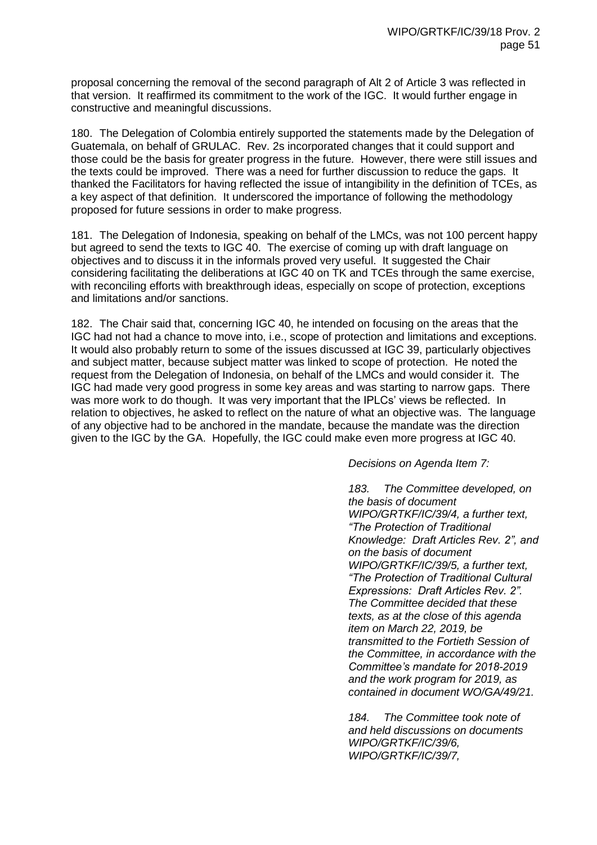proposal concerning the removal of the second paragraph of Alt 2 of Article 3 was reflected in that version. It reaffirmed its commitment to the work of the IGC. It would further engage in constructive and meaningful discussions.

180. The Delegation of Colombia entirely supported the statements made by the Delegation of Guatemala, on behalf of GRULAC. Rev. 2s incorporated changes that it could support and those could be the basis for greater progress in the future. However, there were still issues and the texts could be improved. There was a need for further discussion to reduce the gaps. It thanked the Facilitators for having reflected the issue of intangibility in the definition of TCEs, as a key aspect of that definition. It underscored the importance of following the methodology proposed for future sessions in order to make progress.

181. The Delegation of Indonesia, speaking on behalf of the LMCs, was not 100 percent happy but agreed to send the texts to IGC 40. The exercise of coming up with draft language on objectives and to discuss it in the informals proved very useful. It suggested the Chair considering facilitating the deliberations at IGC 40 on TK and TCEs through the same exercise, with reconciling efforts with breakthrough ideas, especially on scope of protection, exceptions and limitations and/or sanctions.

182. The Chair said that, concerning IGC 40, he intended on focusing on the areas that the IGC had not had a chance to move into, i.e., scope of protection and limitations and exceptions. It would also probably return to some of the issues discussed at IGC 39, particularly objectives and subject matter, because subject matter was linked to scope of protection. He noted the request from the Delegation of Indonesia, on behalf of the LMCs and would consider it. The IGC had made very good progress in some key areas and was starting to narrow gaps. There was more work to do though. It was very important that the IPLCs' views be reflected. In relation to objectives, he asked to reflect on the nature of what an objective was. The language of any objective had to be anchored in the mandate, because the mandate was the direction given to the IGC by the GA. Hopefully, the IGC could make even more progress at IGC 40.

*Decisions on Agenda Item 7:*

*183. The Committee developed, on the basis of document WIPO/GRTKF/IC/39/4, a further text, "The Protection of Traditional Knowledge: Draft Articles Rev. 2", and on the basis of document WIPO/GRTKF/IC/39/5, a further text, "The Protection of Traditional Cultural Expressions: Draft Articles Rev. 2". The Committee decided that these texts, as at the close of this agenda item on March 22, 2019, be transmitted to the Fortieth Session of the Committee, in accordance with the Committee's mandate for 2018-2019 and the work program for 2019, as contained in document WO/GA/49/21.*

*184. The Committee took note of and held discussions on documents WIPO/GRTKF/IC/39/6, WIPO/GRTKF/IC/39/7,*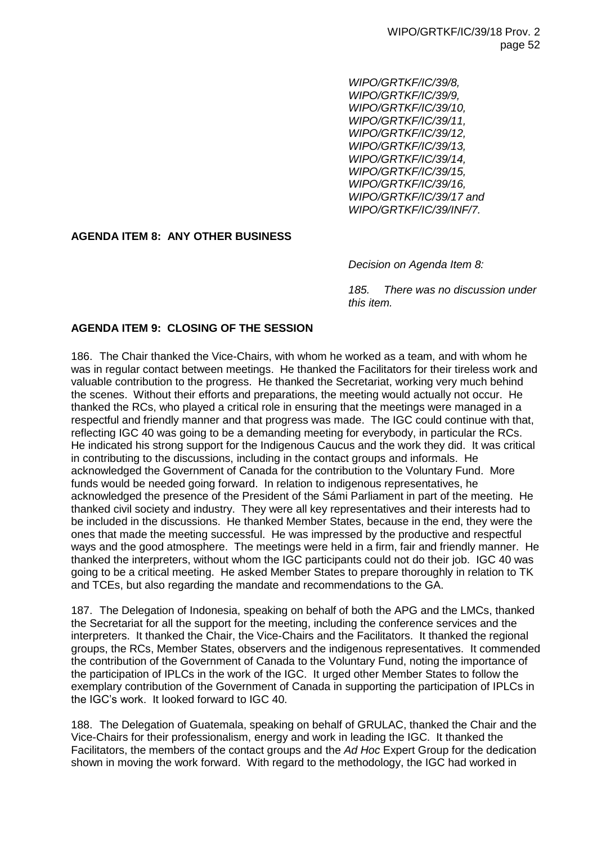*WIPO/GRTKF/IC/39/8, WIPO/GRTKF/IC/39/9, WIPO/GRTKF/IC/39/10, WIPO/GRTKF/IC/39/11, WIPO/GRTKF/IC/39/12, WIPO/GRTKF/IC/39/13, WIPO/GRTKF/IC/39/14, WIPO/GRTKF/IC/39/15, WIPO/GRTKF/IC/39/16, WIPO/GRTKF/IC/39/17 and WIPO/GRTKF/IC/39/INF/7.*

# **AGENDA ITEM 8: ANY OTHER BUSINESS**

*Decision on Agenda Item 8:* 

*185. There was no discussion under this item.* 

# **AGENDA ITEM 9: CLOSING OF THE SESSION**

186. The Chair thanked the Vice-Chairs, with whom he worked as a team, and with whom he was in regular contact between meetings. He thanked the Facilitators for their tireless work and valuable contribution to the progress. He thanked the Secretariat, working very much behind the scenes. Without their efforts and preparations, the meeting would actually not occur. He thanked the RCs, who played a critical role in ensuring that the meetings were managed in a respectful and friendly manner and that progress was made. The IGC could continue with that, reflecting IGC 40 was going to be a demanding meeting for everybody, in particular the RCs. He indicated his strong support for the Indigenous Caucus and the work they did. It was critical in contributing to the discussions, including in the contact groups and informals. He acknowledged the Government of Canada for the contribution to the Voluntary Fund. More funds would be needed going forward. In relation to indigenous representatives, he acknowledged the presence of the President of the Sámi Parliament in part of the meeting. He thanked civil society and industry. They were all key representatives and their interests had to be included in the discussions. He thanked Member States, because in the end, they were the ones that made the meeting successful. He was impressed by the productive and respectful ways and the good atmosphere. The meetings were held in a firm, fair and friendly manner. He thanked the interpreters, without whom the IGC participants could not do their job. IGC 40 was going to be a critical meeting. He asked Member States to prepare thoroughly in relation to TK and TCEs, but also regarding the mandate and recommendations to the GA.

187. The Delegation of Indonesia, speaking on behalf of both the APG and the LMCs, thanked the Secretariat for all the support for the meeting, including the conference services and the interpreters. It thanked the Chair, the Vice-Chairs and the Facilitators. It thanked the regional groups, the RCs, Member States, observers and the indigenous representatives. It commended the contribution of the Government of Canada to the Voluntary Fund, noting the importance of the participation of IPLCs in the work of the IGC. It urged other Member States to follow the exemplary contribution of the Government of Canada in supporting the participation of IPLCs in the IGC's work. It looked forward to IGC 40.

188. The Delegation of Guatemala, speaking on behalf of GRULAC, thanked the Chair and the Vice-Chairs for their professionalism, energy and work in leading the IGC. It thanked the Facilitators, the members of the contact groups and the *Ad Hoc* Expert Group for the dedication shown in moving the work forward. With regard to the methodology, the IGC had worked in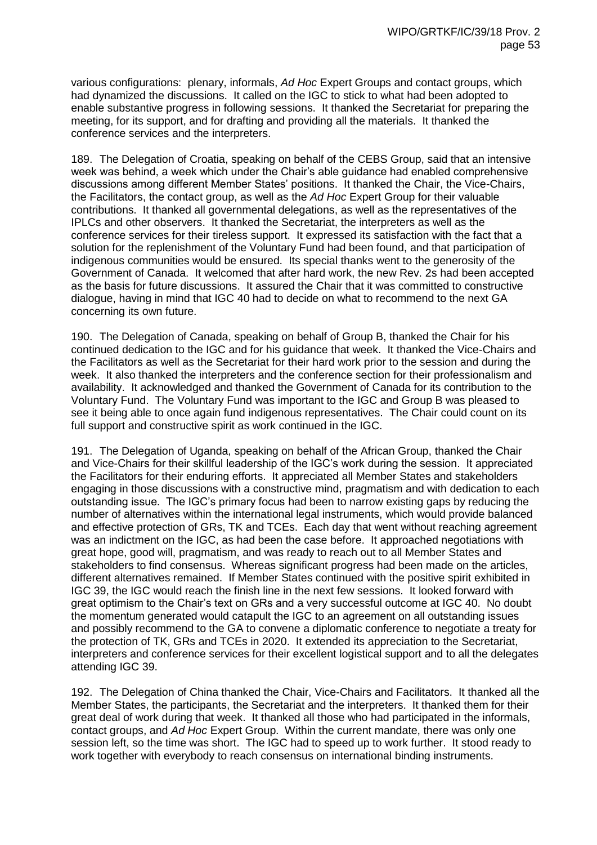various configurations: plenary, informals, *Ad Hoc* Expert Groups and contact groups, which had dynamized the discussions. It called on the IGC to stick to what had been adopted to enable substantive progress in following sessions. It thanked the Secretariat for preparing the meeting, for its support, and for drafting and providing all the materials. It thanked the conference services and the interpreters.

189. The Delegation of Croatia, speaking on behalf of the CEBS Group, said that an intensive week was behind, a week which under the Chair's able guidance had enabled comprehensive discussions among different Member States' positions. It thanked the Chair, the Vice-Chairs, the Facilitators, the contact group, as well as the *Ad Hoc* Expert Group for their valuable contributions. It thanked all governmental delegations, as well as the representatives of the IPLCs and other observers. It thanked the Secretariat, the interpreters as well as the conference services for their tireless support. It expressed its satisfaction with the fact that a solution for the replenishment of the Voluntary Fund had been found, and that participation of indigenous communities would be ensured. Its special thanks went to the generosity of the Government of Canada. It welcomed that after hard work, the new Rev. 2s had been accepted as the basis for future discussions. It assured the Chair that it was committed to constructive dialogue, having in mind that IGC 40 had to decide on what to recommend to the next GA concerning its own future.

190. The Delegation of Canada, speaking on behalf of Group B, thanked the Chair for his continued dedication to the IGC and for his guidance that week. It thanked the Vice-Chairs and the Facilitators as well as the Secretariat for their hard work prior to the session and during the week. It also thanked the interpreters and the conference section for their professionalism and availability. It acknowledged and thanked the Government of Canada for its contribution to the Voluntary Fund. The Voluntary Fund was important to the IGC and Group B was pleased to see it being able to once again fund indigenous representatives. The Chair could count on its full support and constructive spirit as work continued in the IGC.

191. The Delegation of Uganda, speaking on behalf of the African Group, thanked the Chair and Vice-Chairs for their skillful leadership of the IGC's work during the session. It appreciated the Facilitators for their enduring efforts. It appreciated all Member States and stakeholders engaging in those discussions with a constructive mind, pragmatism and with dedication to each outstanding issue. The IGC's primary focus had been to narrow existing gaps by reducing the number of alternatives within the international legal instruments, which would provide balanced and effective protection of GRs, TK and TCEs. Each day that went without reaching agreement was an indictment on the IGC, as had been the case before. It approached negotiations with great hope, good will, pragmatism, and was ready to reach out to all Member States and stakeholders to find consensus. Whereas significant progress had been made on the articles, different alternatives remained. If Member States continued with the positive spirit exhibited in IGC 39, the IGC would reach the finish line in the next few sessions. It looked forward with great optimism to the Chair's text on GRs and a very successful outcome at IGC 40. No doubt the momentum generated would catapult the IGC to an agreement on all outstanding issues and possibly recommend to the GA to convene a diplomatic conference to negotiate a treaty for the protection of TK, GRs and TCEs in 2020. It extended its appreciation to the Secretariat, interpreters and conference services for their excellent logistical support and to all the delegates attending IGC 39.

192. The Delegation of China thanked the Chair, Vice-Chairs and Facilitators. It thanked all the Member States, the participants, the Secretariat and the interpreters. It thanked them for their great deal of work during that week. It thanked all those who had participated in the informals, contact groups, and *Ad Hoc* Expert Group. Within the current mandate, there was only one session left, so the time was short. The IGC had to speed up to work further. It stood ready to work together with everybody to reach consensus on international binding instruments.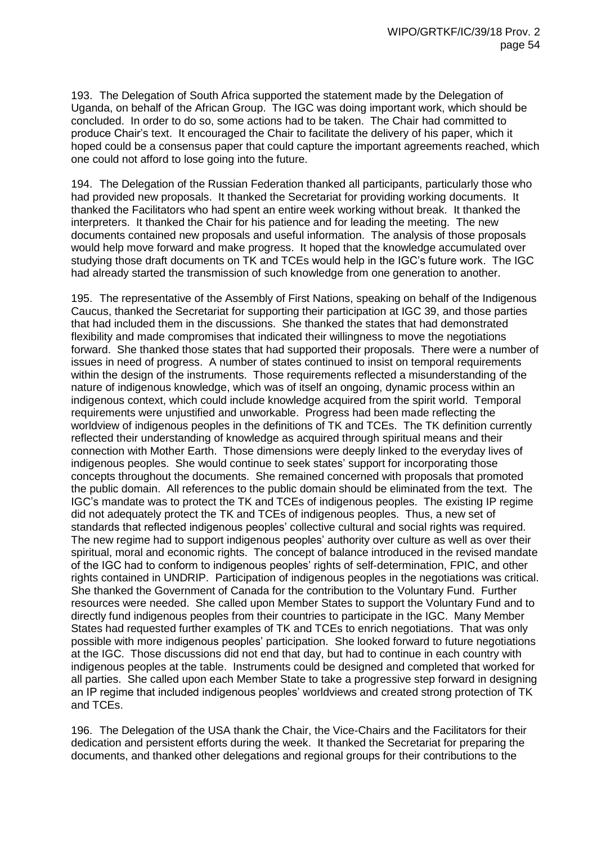193. The Delegation of South Africa supported the statement made by the Delegation of Uganda, on behalf of the African Group. The IGC was doing important work, which should be concluded. In order to do so, some actions had to be taken. The Chair had committed to produce Chair's text. It encouraged the Chair to facilitate the delivery of his paper, which it hoped could be a consensus paper that could capture the important agreements reached, which one could not afford to lose going into the future.

194. The Delegation of the Russian Federation thanked all participants, particularly those who had provided new proposals. It thanked the Secretariat for providing working documents. It thanked the Facilitators who had spent an entire week working without break. It thanked the interpreters. It thanked the Chair for his patience and for leading the meeting. The new documents contained new proposals and useful information. The analysis of those proposals would help move forward and make progress. It hoped that the knowledge accumulated over studying those draft documents on TK and TCEs would help in the IGC's future work. The IGC had already started the transmission of such knowledge from one generation to another.

195. The representative of the Assembly of First Nations, speaking on behalf of the Indigenous Caucus, thanked the Secretariat for supporting their participation at IGC 39, and those parties that had included them in the discussions. She thanked the states that had demonstrated flexibility and made compromises that indicated their willingness to move the negotiations forward. She thanked those states that had supported their proposals. There were a number of issues in need of progress. A number of states continued to insist on temporal requirements within the design of the instruments. Those requirements reflected a misunderstanding of the nature of indigenous knowledge, which was of itself an ongoing, dynamic process within an indigenous context, which could include knowledge acquired from the spirit world. Temporal requirements were unjustified and unworkable. Progress had been made reflecting the worldview of indigenous peoples in the definitions of TK and TCEs. The TK definition currently reflected their understanding of knowledge as acquired through spiritual means and their connection with Mother Earth. Those dimensions were deeply linked to the everyday lives of indigenous peoples. She would continue to seek states' support for incorporating those concepts throughout the documents. She remained concerned with proposals that promoted the public domain. All references to the public domain should be eliminated from the text. The IGC's mandate was to protect the TK and TCEs of indigenous peoples. The existing IP regime did not adequately protect the TK and TCEs of indigenous peoples. Thus, a new set of standards that reflected indigenous peoples' collective cultural and social rights was required. The new regime had to support indigenous peoples' authority over culture as well as over their spiritual, moral and economic rights. The concept of balance introduced in the revised mandate of the IGC had to conform to indigenous peoples' rights of self-determination, FPIC, and other rights contained in UNDRIP. Participation of indigenous peoples in the negotiations was critical. She thanked the Government of Canada for the contribution to the Voluntary Fund. Further resources were needed. She called upon Member States to support the Voluntary Fund and to directly fund indigenous peoples from their countries to participate in the IGC. Many Member States had requested further examples of TK and TCEs to enrich negotiations. That was only possible with more indigenous peoples' participation. She looked forward to future negotiations at the IGC. Those discussions did not end that day, but had to continue in each country with indigenous peoples at the table. Instruments could be designed and completed that worked for all parties. She called upon each Member State to take a progressive step forward in designing an IP regime that included indigenous peoples' worldviews and created strong protection of TK and TCEs.

196. The Delegation of the USA thank the Chair, the Vice-Chairs and the Facilitators for their dedication and persistent efforts during the week. It thanked the Secretariat for preparing the documents, and thanked other delegations and regional groups for their contributions to the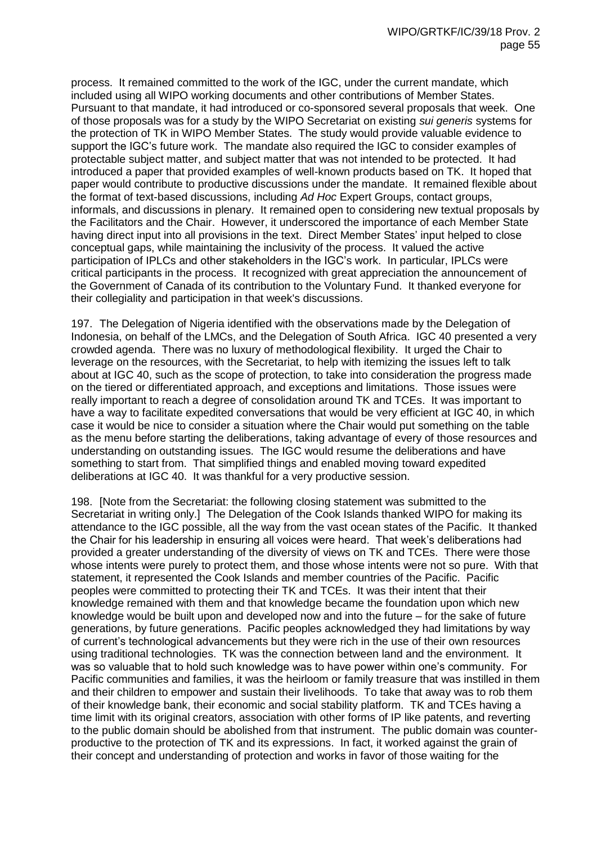process. It remained committed to the work of the IGC, under the current mandate, which included using all WIPO working documents and other contributions of Member States. Pursuant to that mandate, it had introduced or co-sponsored several proposals that week. One of those proposals was for a study by the WIPO Secretariat on existing *sui generis* systems for the protection of TK in WIPO Member States. The study would provide valuable evidence to support the IGC's future work. The mandate also required the IGC to consider examples of protectable subject matter, and subject matter that was not intended to be protected. It had introduced a paper that provided examples of well-known products based on TK. It hoped that paper would contribute to productive discussions under the mandate. It remained flexible about the format of text-based discussions, including *Ad Hoc* Expert Groups, contact groups, informals, and discussions in plenary. It remained open to considering new textual proposals by the Facilitators and the Chair. However, it underscored the importance of each Member State having direct input into all provisions in the text. Direct Member States' input helped to close conceptual gaps, while maintaining the inclusivity of the process. It valued the active participation of IPLCs and other stakeholders in the IGC's work. In particular, IPLCs were critical participants in the process. It recognized with great appreciation the announcement of the Government of Canada of its contribution to the Voluntary Fund. It thanked everyone for their collegiality and participation in that week's discussions.

197. The Delegation of Nigeria identified with the observations made by the Delegation of Indonesia, on behalf of the LMCs, and the Delegation of South Africa. IGC 40 presented a very crowded agenda. There was no luxury of methodological flexibility. It urged the Chair to leverage on the resources, with the Secretariat, to help with itemizing the issues left to talk about at IGC 40, such as the scope of protection, to take into consideration the progress made on the tiered or differentiated approach, and exceptions and limitations. Those issues were really important to reach a degree of consolidation around TK and TCEs. It was important to have a way to facilitate expedited conversations that would be very efficient at IGC 40, in which case it would be nice to consider a situation where the Chair would put something on the table as the menu before starting the deliberations, taking advantage of every of those resources and understanding on outstanding issues. The IGC would resume the deliberations and have something to start from. That simplified things and enabled moving toward expedited deliberations at IGC 40. It was thankful for a very productive session.

198. [Note from the Secretariat: the following closing statement was submitted to the Secretariat in writing only.] The Delegation of the Cook Islands thanked WIPO for making its attendance to the IGC possible, all the way from the vast ocean states of the Pacific. It thanked the Chair for his leadership in ensuring all voices were heard. That week's deliberations had provided a greater understanding of the diversity of views on TK and TCEs. There were those whose intents were purely to protect them, and those whose intents were not so pure. With that statement, it represented the Cook Islands and member countries of the Pacific. Pacific peoples were committed to protecting their TK and TCEs. It was their intent that their knowledge remained with them and that knowledge became the foundation upon which new knowledge would be built upon and developed now and into the future – for the sake of future generations, by future generations. Pacific peoples acknowledged they had limitations by way of current's technological advancements but they were rich in the use of their own resources using traditional technologies. TK was the connection between land and the environment. It was so valuable that to hold such knowledge was to have power within one's community. For Pacific communities and families, it was the heirloom or family treasure that was instilled in them and their children to empower and sustain their livelihoods. To take that away was to rob them of their knowledge bank, their economic and social stability platform. TK and TCEs having a time limit with its original creators, association with other forms of IP like patents, and reverting to the public domain should be abolished from that instrument. The public domain was counterproductive to the protection of TK and its expressions. In fact, it worked against the grain of their concept and understanding of protection and works in favor of those waiting for the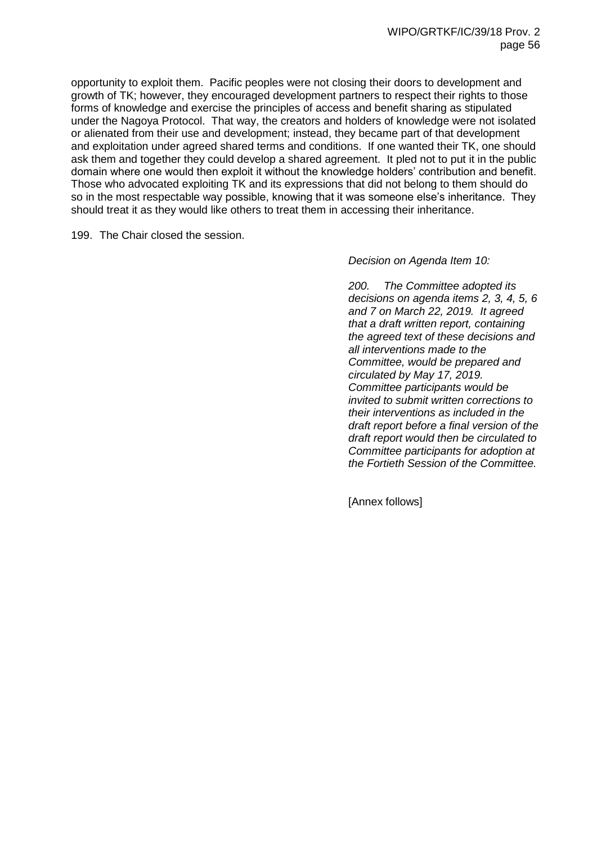opportunity to exploit them. Pacific peoples were not closing their doors to development and growth of TK; however, they encouraged development partners to respect their rights to those forms of knowledge and exercise the principles of access and benefit sharing as stipulated under the Nagoya Protocol. That way, the creators and holders of knowledge were not isolated or alienated from their use and development; instead, they became part of that development and exploitation under agreed shared terms and conditions. If one wanted their TK, one should ask them and together they could develop a shared agreement. It pled not to put it in the public domain where one would then exploit it without the knowledge holders' contribution and benefit. Those who advocated exploiting TK and its expressions that did not belong to them should do so in the most respectable way possible, knowing that it was someone else's inheritance. They should treat it as they would like others to treat them in accessing their inheritance.

199. The Chair closed the session.

*Decision on Agenda Item 10:*

*200. The Committee adopted its decisions on agenda items 2, 3, 4, 5, 6 and 7 on March 22, 2019. It agreed that a draft written report, containing the agreed text of these decisions and all interventions made to the Committee, would be prepared and circulated by May 17, 2019. Committee participants would be invited to submit written corrections to their interventions as included in the draft report before a final version of the draft report would then be circulated to Committee participants for adoption at the Fortieth Session of the Committee.*

[Annex follows]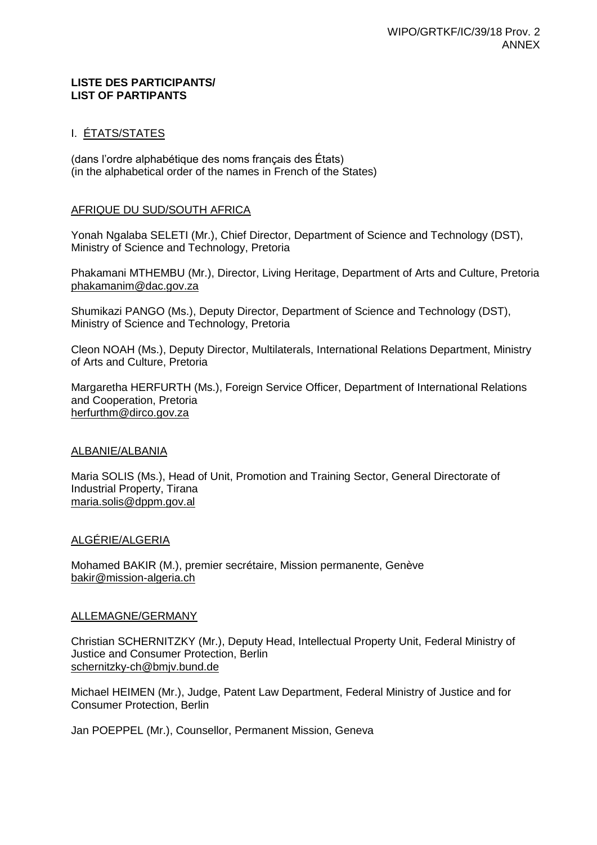### **LISTE DES PARTICIPANTS/ LIST OF PARTIPANTS**

# I. ÉTATS/STATES

(dans l'ordre alphabétique des noms français des États) (in the alphabetical order of the names in French of the States)

## AFRIQUE DU SUD/SOUTH AFRICA

Yonah Ngalaba SELETI (Mr.), Chief Director, Department of Science and Technology (DST), Ministry of Science and Technology, Pretoria

Phakamani MTHEMBU (Mr.), Director, Living Heritage, Department of Arts and Culture, Pretoria phakamanim@dac.gov.za

Shumikazi PANGO (Ms.), Deputy Director, Department of Science and Technology (DST), Ministry of Science and Technology, Pretoria

Cleon NOAH (Ms.), Deputy Director, Multilaterals, International Relations Department, Ministry of Arts and Culture, Pretoria

Margaretha HERFURTH (Ms.), Foreign Service Officer, Department of International Relations and Cooperation, Pretoria herfurthm@dirco.gov.za

# ALBANIE/ALBANIA

Maria SOLIS (Ms.), Head of Unit, Promotion and Training Sector, General Directorate of Industrial Property, Tirana maria.solis@dppm.gov.al

### ALGÉRIE/ALGERIA

Mohamed BAKIR (M.), premier secrétaire, Mission permanente, Genève bakir@mission-algeria.ch

### ALLEMAGNE/GERMANY

Christian SCHERNITZKY (Mr.), Deputy Head, Intellectual Property Unit, Federal Ministry of Justice and Consumer Protection, Berlin schernitzky-ch@bmjv.bund.de

Michael HEIMEN (Mr.), Judge, Patent Law Department, Federal Ministry of Justice and for Consumer Protection, Berlin

Jan POEPPEL (Mr.), Counsellor, Permanent Mission, Geneva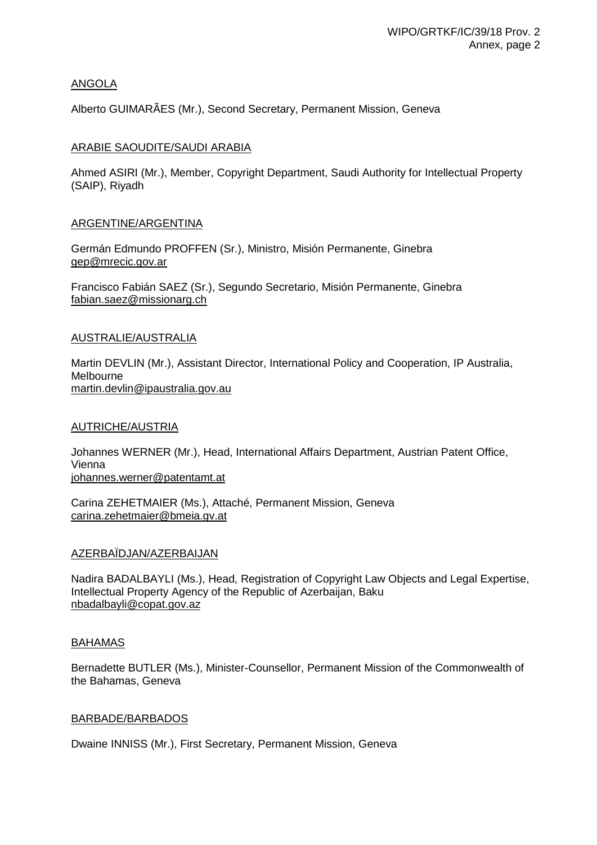# ANGOLA

Alberto GUIMARÃES (Mr.), Second Secretary, Permanent Mission, Geneva

## ARABIE SAOUDITE/SAUDI ARABIA

Ahmed ASIRI (Mr.), Member, Copyright Department, Saudi Authority for Intellectual Property (SAIP), Riyadh

## ARGENTINE/ARGENTINA

Germán Edmundo PROFFEN (Sr.), Ministro, Misión Permanente, Ginebra gep@mrecic.gov.ar

Francisco Fabián SAEZ (Sr.), Segundo Secretario, Misión Permanente, Ginebra fabian.saez@missionarg.ch

## AUSTRALIE/AUSTRALIA

Martin DEVLIN (Mr.), Assistant Director, International Policy and Cooperation, IP Australia, Melbourne martin.devlin@ipaustralia.gov.au

### AUTRICHE/AUSTRIA

Johannes WERNER (Mr.), Head, International Affairs Department, Austrian Patent Office, Vienna johannes.werner@patentamt.at

Carina ZEHETMAIER (Ms.), Attaché, Permanent Mission, Geneva carina.zehetmaier@bmeia.gv.at

# AZERBAÏDJAN/AZERBAIJAN

Nadira BADALBAYLI (Ms.), Head, Registration of Copyright Law Objects and Legal Expertise, Intellectual Property Agency of the Republic of Azerbaijan, Baku nbadalbayli@copat.gov.az

# BAHAMAS

Bernadette BUTLER (Ms.), Minister-Counsellor, Permanent Mission of the Commonwealth of the Bahamas, Geneva

### BARBADE/BARBADOS

Dwaine INNISS (Mr.), First Secretary, Permanent Mission, Geneva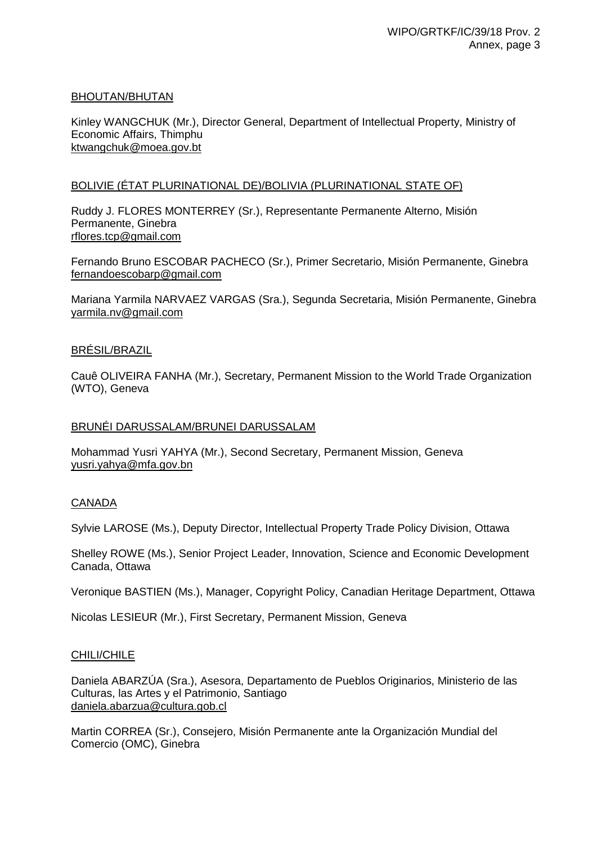# BHOUTAN/BHUTAN

Kinley WANGCHUK (Mr.), Director General, Department of Intellectual Property, Ministry of Economic Affairs, Thimphu ktwangchuk@moea.gov.bt

# BOLIVIE (ÉTAT PLURINATIONAL DE)/BOLIVIA (PLURINATIONAL STATE OF)

Ruddy J. FLORES MONTERREY (Sr.), Representante Permanente Alterno, Misión Permanente, Ginebra rflores.tcp@gmail.com

Fernando Bruno ESCOBAR PACHECO (Sr.), Primer Secretario, Misión Permanente, Ginebra fernandoescobarp@gmail.com

Mariana Yarmila NARVAEZ VARGAS (Sra.), Segunda Secretaria, Misión Permanente, Ginebra yarmila.nv@gmail.com

# BRÉSIL/BRAZIL

Cauê OLIVEIRA FANHA (Mr.), Secretary, Permanent Mission to the World Trade Organization (WTO), Geneva

## BRUNÉI DARUSSALAM/BRUNEI DARUSSALAM

Mohammad Yusri YAHYA (Mr.), Second Secretary, Permanent Mission, Geneva yusri.yahya@mfa.gov.bn

# CANADA

Sylvie LAROSE (Ms.), Deputy Director, Intellectual Property Trade Policy Division, Ottawa

Shelley ROWE (Ms.), Senior Project Leader, Innovation, Science and Economic Development Canada, Ottawa

Veronique BASTIEN (Ms.), Manager, Copyright Policy, Canadian Heritage Department, Ottawa

Nicolas LESIEUR (Mr.), First Secretary, Permanent Mission, Geneva

# CHILI/CHILE

Daniela ABARZÚA (Sra.), Asesora, Departamento de Pueblos Originarios, Ministerio de las Culturas, las Artes y el Patrimonio, Santiago daniela.abarzua@cultura.gob.cl

Martin CORREA (Sr.), Consejero, Misión Permanente ante la Organización Mundial del Comercio (OMC), Ginebra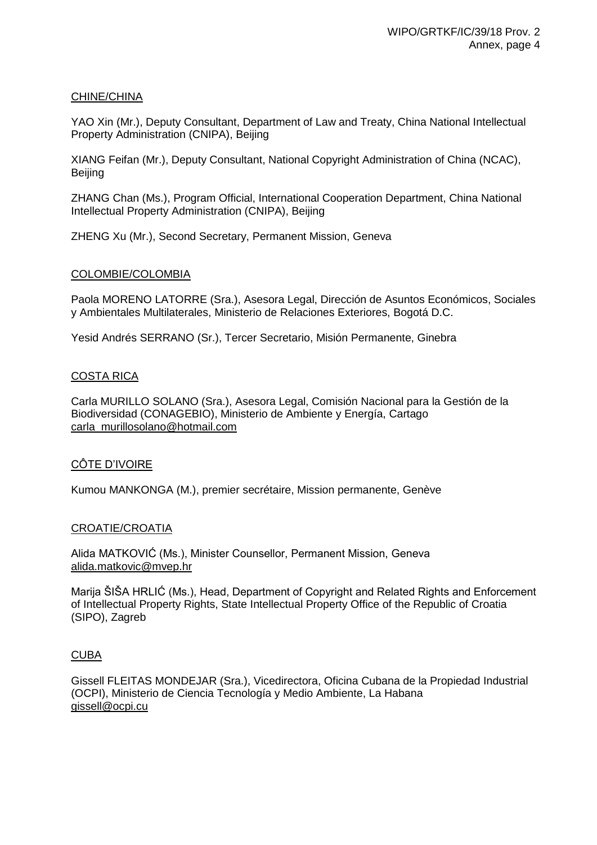# CHINE/CHINA

YAO Xin (Mr.), Deputy Consultant, Department of Law and Treaty, China National Intellectual Property Administration (CNIPA), Beijing

XIANG Feifan (Mr.), Deputy Consultant, National Copyright Administration of China (NCAC), Beijing

ZHANG Chan (Ms.), Program Official, International Cooperation Department, China National Intellectual Property Administration (CNIPA), Beijing

ZHENG Xu (Mr.), Second Secretary, Permanent Mission, Geneva

## COLOMBIE/COLOMBIA

Paola MORENO LATORRE (Sra.), Asesora Legal, Dirección de Asuntos Económicos, Sociales y Ambientales Multilaterales, Ministerio de Relaciones Exteriores, Bogotá D.C.

Yesid Andrés SERRANO (Sr.), Tercer Secretario, Misión Permanente, Ginebra

## COSTA RICA

Carla MURILLO SOLANO (Sra.), Asesora Legal, Comisión Nacional para la Gestión de la Biodiversidad (CONAGEBIO), Ministerio de Ambiente y Energía, Cartago carla\_murillosolano@hotmail.com

# CÔTE D'IVOIRE

Kumou MANKONGA (M.), premier secrétaire, Mission permanente, Genève

### CROATIE/CROATIA

Alida MATKOVIĆ (Ms.), Minister Counsellor, Permanent Mission, Geneva alida.matkovic@mvep.hr

Marija ŠIŠA HRLIĆ (Ms.), Head, Department of Copyright and Related Rights and Enforcement of Intellectual Property Rights, State Intellectual Property Office of the Republic of Croatia (SIPO), Zagreb

# CUBA

Gissell FLEITAS MONDEJAR (Sra.), Vicedirectora, Oficina Cubana de la Propiedad Industrial (OCPI), Ministerio de Ciencia Tecnología y Medio Ambiente, La Habana gissell@ocpi.cu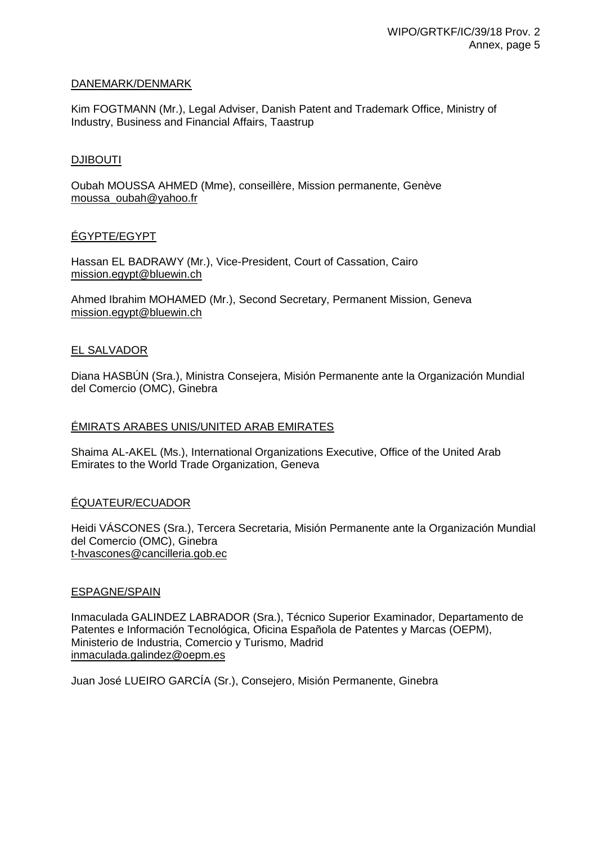## DANEMARK/DENMARK

Kim FOGTMANN (Mr.), Legal Adviser, Danish Patent and Trademark Office, Ministry of Industry, Business and Financial Affairs, Taastrup

### DJIBOUTI

Oubah MOUSSA AHMED (Mme), conseillère, Mission permanente, Genève moussa\_oubah@yahoo.fr

## ÉGYPTE/EGYPT

Hassan EL BADRAWY (Mr.), Vice-President, Court of Cassation, Cairo mission.egypt@bluewin.ch

Ahmed Ibrahim MOHAMED (Mr.), Second Secretary, Permanent Mission, Geneva mission.egypt@bluewin.ch

## EL SALVADOR

Diana HASBÚN (Sra.), Ministra Consejera, Misión Permanente ante la Organización Mundial del Comercio (OMC), Ginebra

## ÉMIRATS ARABES UNIS/UNITED ARAB EMIRATES

Shaima AL-AKEL (Ms.), International Organizations Executive, Office of the United Arab Emirates to the World Trade Organization, Geneva

# ÉQUATEUR/ECUADOR

Heidi VÁSCONES (Sra.), Tercera Secretaria, Misión Permanente ante la Organización Mundial del Comercio (OMC), Ginebra t-hvascones@cancilleria.gob.ec

### ESPAGNE/SPAIN

Inmaculada GALINDEZ LABRADOR (Sra.), Técnico Superior Examinador, Departamento de Patentes e Información Tecnológica, Oficina Española de Patentes y Marcas (OEPM), Ministerio de Industria, Comercio y Turismo, Madrid inmaculada.galindez@oepm.es

Juan José LUEIRO GARCÍA (Sr.), Consejero, Misión Permanente, Ginebra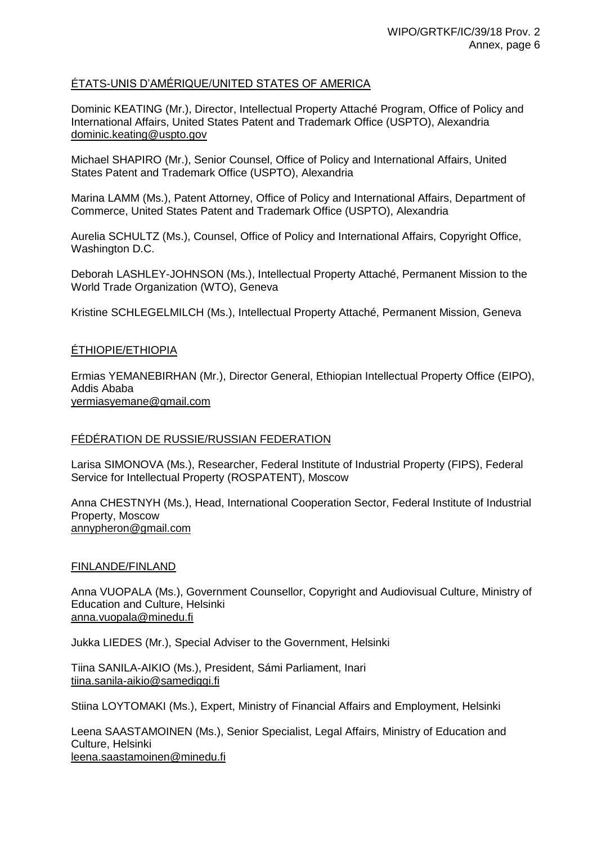# ÉTATS-UNIS D'AMÉRIQUE/UNITED STATES OF AMERICA

Dominic KEATING (Mr.), Director, Intellectual Property Attaché Program, Office of Policy and International Affairs, United States Patent and Trademark Office (USPTO), Alexandria dominic.keating@uspto.gov

Michael SHAPIRO (Mr.), Senior Counsel, Office of Policy and International Affairs, United States Patent and Trademark Office (USPTO), Alexandria

Marina LAMM (Ms.), Patent Attorney, Office of Policy and International Affairs, Department of Commerce, United States Patent and Trademark Office (USPTO), Alexandria

Aurelia SCHULTZ (Ms.), Counsel, Office of Policy and International Affairs, Copyright Office, Washington D.C.

Deborah LASHLEY-JOHNSON (Ms.), Intellectual Property Attaché, Permanent Mission to the World Trade Organization (WTO), Geneva

Kristine SCHLEGELMILCH (Ms.), Intellectual Property Attaché, Permanent Mission, Geneva

# ÉTHIOPIE/ETHIOPIA

Ermias YEMANEBIRHAN (Mr.), Director General, Ethiopian Intellectual Property Office (EIPO), Addis Ababa yermiasyemane@gmail.com

# FÉDÉRATION DE RUSSIE/RUSSIAN FEDERATION

Larisa SIMONOVA (Ms.), Researcher, Federal Institute of Industrial Property (FIPS), Federal Service for Intellectual Property (ROSPATENT), Moscow

Anna CHESTNYH (Ms.), Head, International Cooperation Sector, Federal Institute of Industrial Property, Moscow annypheron@gmail.com

### FINLANDE/FINLAND

Anna VUOPALA (Ms.), Government Counsellor, Copyright and Audiovisual Culture, Ministry of Education and Culture, Helsinki anna.vuopala@minedu.fi

Jukka LIEDES (Mr.), Special Adviser to the Government, Helsinki

Tiina SANILA-AIKIO (Ms.), President, Sámi Parliament, Inari tiina.sanila-aikio@samediggi.fi

Stiina LOYTOMAKI (Ms.), Expert, Ministry of Financial Affairs and Employment, Helsinki

Leena SAASTAMOINEN (Ms.), Senior Specialist, Legal Affairs, Ministry of Education and Culture, Helsinki leena.saastamoinen@minedu.fi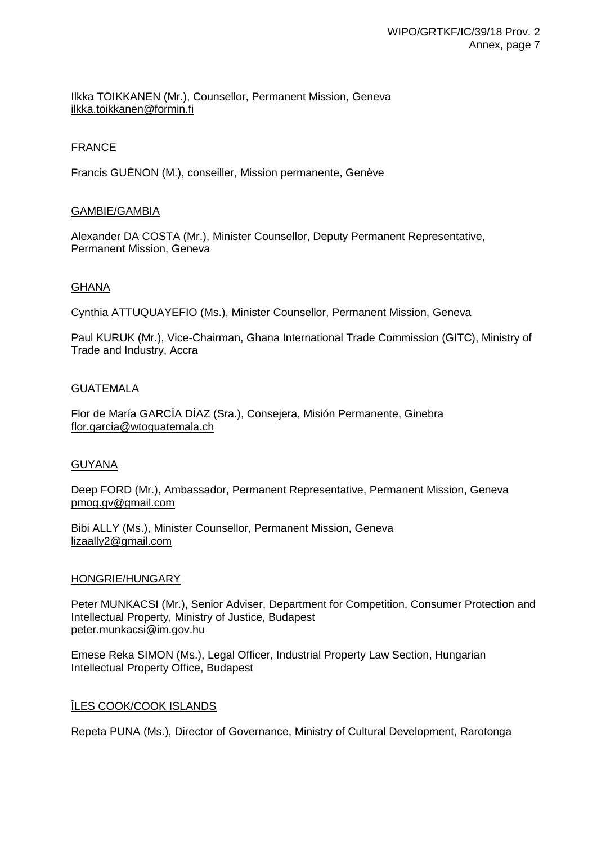Ilkka TOIKKANEN (Mr.), Counsellor, Permanent Mission, Geneva ilkka.toikkanen@formin.fi

# **FRANCE**

Francis GUÉNON (M.), conseiller, Mission permanente, Genève

## GAMBIE/GAMBIA

Alexander DA COSTA (Mr.), Minister Counsellor, Deputy Permanent Representative, Permanent Mission, Geneva

## GHANA

Cynthia ATTUQUAYEFIO (Ms.), Minister Counsellor, Permanent Mission, Geneva

Paul KURUK (Mr.), Vice-Chairman, Ghana International Trade Commission (GITC), Ministry of Trade and Industry, Accra

### GUATEMALA

Flor de María GARCÍA DÍAZ (Sra.), Consejera, Misión Permanente, Ginebra flor.garcia@wtoguatemala.ch

### GUYANA

Deep FORD (Mr.), Ambassador, Permanent Representative, Permanent Mission, Geneva pmog.gv@gmail.com

Bibi ALLY (Ms.), Minister Counsellor, Permanent Mission, Geneva lizaally2@gmail.com

### HONGRIE/HUNGARY

Peter MUNKACSI (Mr.), Senior Adviser, Department for Competition, Consumer Protection and Intellectual Property, Ministry of Justice, Budapest peter.munkacsi@im.gov.hu

Emese Reka SIMON (Ms.), Legal Officer, Industrial Property Law Section, Hungarian Intellectual Property Office, Budapest

### ÎLES COOK/COOK ISLANDS

Repeta PUNA (Ms.), Director of Governance, Ministry of Cultural Development, Rarotonga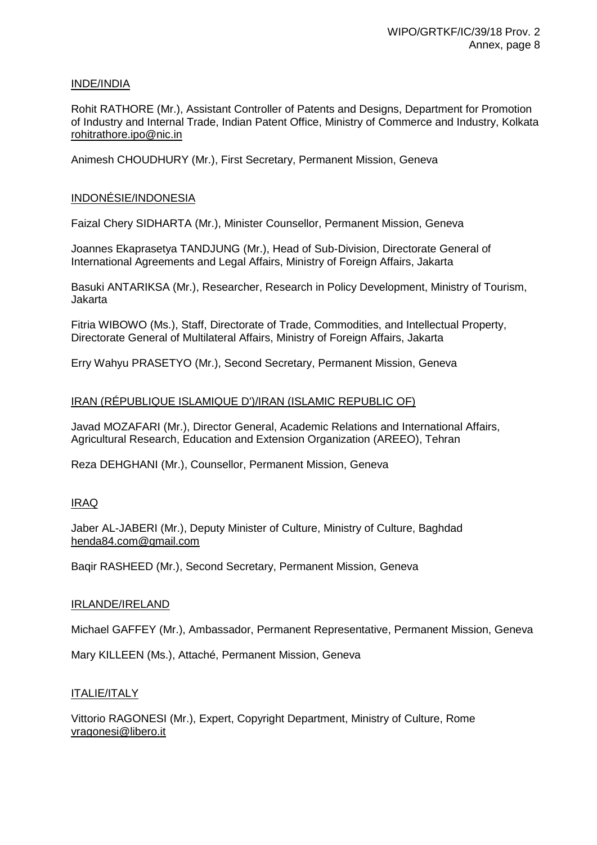# INDE/INDIA

Rohit RATHORE (Mr.), Assistant Controller of Patents and Designs, Department for Promotion of Industry and Internal Trade, Indian Patent Office, Ministry of Commerce and Industry, Kolkata rohitrathore.ipo@nic.in

Animesh CHOUDHURY (Mr.), First Secretary, Permanent Mission, Geneva

# INDONÉSIE/INDONESIA

Faizal Chery SIDHARTA (Mr.), Minister Counsellor, Permanent Mission, Geneva

Joannes Ekaprasetya TANDJUNG (Mr.), Head of Sub-Division, Directorate General of International Agreements and Legal Affairs, Ministry of Foreign Affairs, Jakarta

Basuki ANTARIKSA (Mr.), Researcher, Research in Policy Development, Ministry of Tourism, Jakarta

Fitria WIBOWO (Ms.), Staff, Directorate of Trade, Commodities, and Intellectual Property, Directorate General of Multilateral Affairs, Ministry of Foreign Affairs, Jakarta

Erry Wahyu PRASETYO (Mr.), Second Secretary, Permanent Mission, Geneva

# IRAN (RÉPUBLIQUE ISLAMIQUE D')/IRAN (ISLAMIC REPUBLIC OF)

Javad MOZAFARI (Mr.), Director General, Academic Relations and International Affairs, Agricultural Research, Education and Extension Organization (AREEO), Tehran

Reza DEHGHANI (Mr.), Counsellor, Permanent Mission, Geneva

# IRAQ

Jaber AL-JABERI (Mr.), Deputy Minister of Culture, Ministry of Culture, Baghdad henda84.com@gmail.com

Baqir RASHEED (Mr.), Second Secretary, Permanent Mission, Geneva

# IRLANDE/IRELAND

Michael GAFFEY (Mr.), Ambassador, Permanent Representative, Permanent Mission, Geneva

Mary KILLEEN (Ms.), Attaché, Permanent Mission, Geneva

# ITALIE/ITALY

Vittorio RAGONESI (Mr.), Expert, Copyright Department, Ministry of Culture, Rome vragonesi@libero.it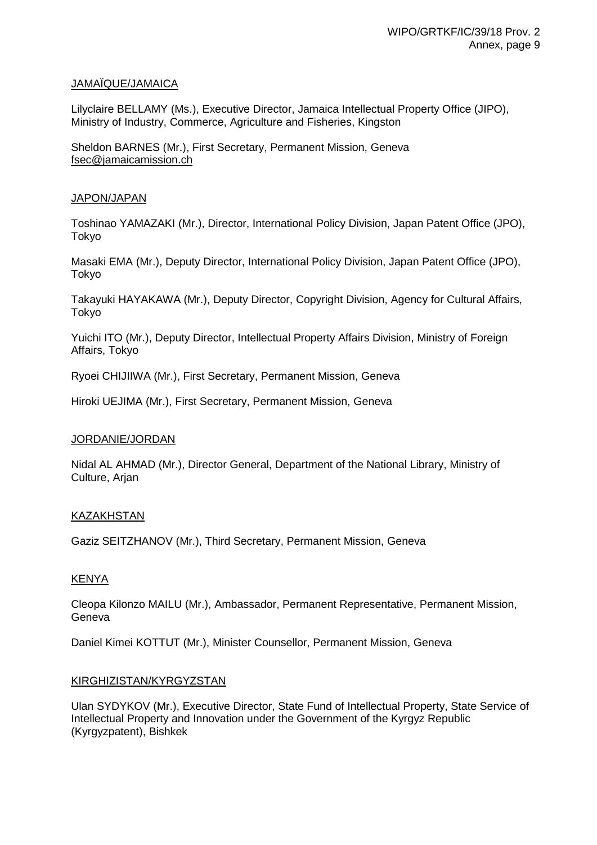# JAMAÏQUE/JAMAICA

Lilyclaire BELLAMY (Ms.), Executive Director, Jamaica Intellectual Property Office (JIPO), Ministry of Industry, Commerce, Agriculture and Fisheries, Kingston

Sheldon BARNES (Mr.), First Secretary, Permanent Mission, Geneva fsec@jamaicamission.ch

### JAPON/JAPAN

Toshinao YAMAZAKI (Mr.), Director, International Policy Division, Japan Patent Office (JPO), Tokyo

Masaki EMA (Mr.), Deputy Director, International Policy Division, Japan Patent Office (JPO), Tokyo

Takayuki HAYAKAWA (Mr.), Deputy Director, Copyright Division, Agency for Cultural Affairs, Tokyo

Yuichi ITO (Mr.), Deputy Director, Intellectual Property Affairs Division, Ministry of Foreign Affairs, Tokyo

Ryoei CHIJIIWA (Mr.), First Secretary, Permanent Mission, Geneva

Hiroki UEJIMA (Mr.), First Secretary, Permanent Mission, Geneva

# JORDANIE/JORDAN

Nidal AL AHMAD (Mr.), Director General, Department of the National Library, Ministry of Culture, Arjan

# KAZAKHSTAN

Gaziz SEITZHANOV (Mr.), Third Secretary, Permanent Mission, Geneva

# KENYA

Cleopa Kilonzo MAILU (Mr.), Ambassador, Permanent Representative, Permanent Mission, Geneva

Daniel Kimei KOTTUT (Mr.), Minister Counsellor, Permanent Mission, Geneva

### KIRGHIZISTAN/KYRGYZSTAN

Ulan SYDYKOV (Mr.), Executive Director, State Fund of Intellectual Property, State Service of Intellectual Property and Innovation under the Government of the Kyrgyz Republic (Kyrgyzpatent), Bishkek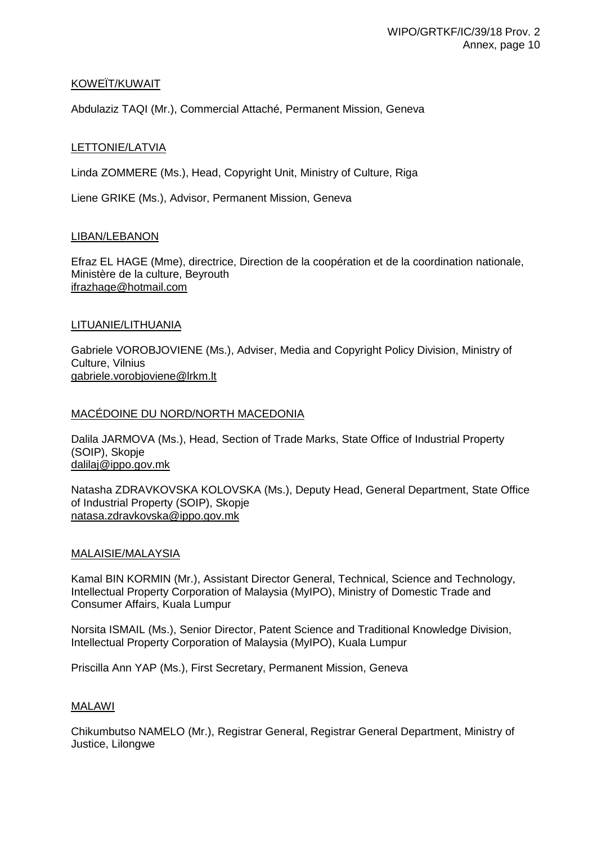# KOWEÏT/KUWAIT

Abdulaziz TAQI (Mr.), Commercial Attaché, Permanent Mission, Geneva

## LETTONIE/LATVIA

Linda ZOMMERE (Ms.), Head, Copyright Unit, Ministry of Culture, Riga

Liene GRIKE (Ms.), Advisor, Permanent Mission, Geneva

## LIBAN/LEBANON

Efraz EL HAGE (Mme), directrice, Direction de la coopération et de la coordination nationale, Ministère de la culture, Beyrouth ifrazhage@hotmail.com

## LITUANIE/LITHUANIA

Gabriele VOROBJOVIENE (Ms.), Adviser, Media and Copyright Policy Division, Ministry of Culture, Vilnius gabriele.vorobjoviene@lrkm.lt

# MACÉDOINE DU NORD/NORTH MACEDONIA

Dalila JARMOVA (Ms.), Head, Section of Trade Marks, State Office of Industrial Property (SOIP), Skopje dalilaj@ippo.gov.mk

Natasha ZDRAVKOVSKA KOLOVSKA (Ms.), Deputy Head, General Department, State Office of Industrial Property (SOIP), Skopje natasa.zdravkovska@ippo.gov.mk

### MALAISIE/MALAYSIA

Kamal BIN KORMIN (Mr.), Assistant Director General, Technical, Science and Technology, Intellectual Property Corporation of Malaysia (MyIPO), Ministry of Domestic Trade and Consumer Affairs, Kuala Lumpur

Norsita ISMAIL (Ms.), Senior Director, Patent Science and Traditional Knowledge Division, Intellectual Property Corporation of Malaysia (MyIPO), Kuala Lumpur

Priscilla Ann YAP (Ms.), First Secretary, Permanent Mission, Geneva

### MALAWI

Chikumbutso NAMELO (Mr.), Registrar General, Registrar General Department, Ministry of Justice, Lilongwe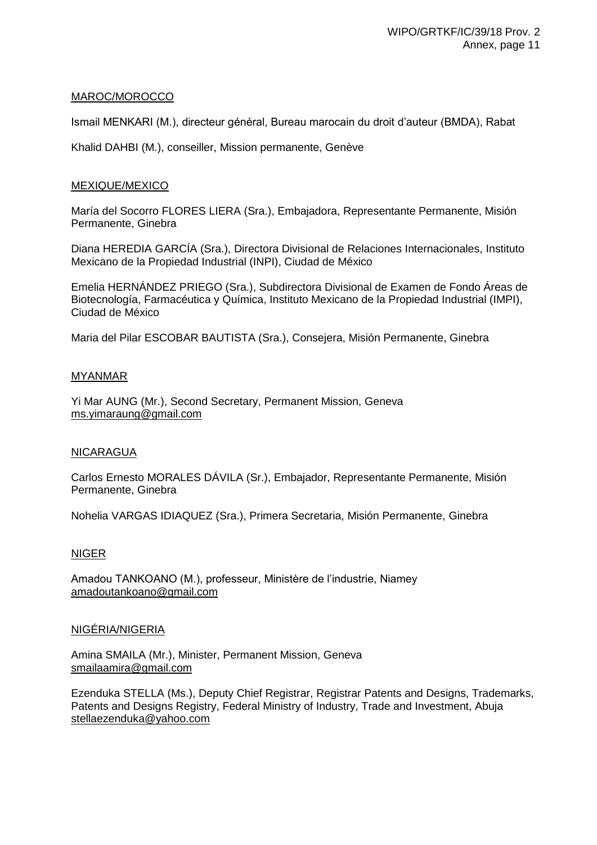# MAROC/MOROCCO

Ismail MENKARI (M.), directeur général, Bureau marocain du droit d'auteur (BMDA), Rabat

Khalid DAHBI (M.), conseiller, Mission permanente, Genève

## MEXIQUE/MEXICO

María del Socorro FLORES LIERA (Sra.), Embajadora, Representante Permanente, Misión Permanente, Ginebra

Diana HEREDIA GARCÍA (Sra.), Directora Divisional de Relaciones Internacionales, Instituto Mexicano de la Propiedad Industrial (INPI), Ciudad de México

Emelia HERNÁNDEZ PRIEGO (Sra.), Subdirectora Divisional de Examen de Fondo Áreas de Biotecnología, Farmacéutica y Química, Instituto Mexicano de la Propiedad Industrial (IMPI), Ciudad de México

Maria del Pilar ESCOBAR BAUTISTA (Sra.), Consejera, Misión Permanente, Ginebra

## MYANMAR

Yi Mar AUNG (Mr.), Second Secretary, Permanent Mission, Geneva ms.yimaraung@gmail.com

### NICARAGUA

Carlos Ernesto MORALES DÁVILA (Sr.), Embajador, Representante Permanente, Misión Permanente, Ginebra

Nohelia VARGAS IDIAQUEZ (Sra.), Primera Secretaria, Misión Permanente, Ginebra

# NIGER

Amadou TANKOANO (M.), professeur, Ministère de l'industrie, Niamey amadoutankoano@gmail.com

### NIGÉRIA/NIGERIA

Amina SMAILA (Mr.), Minister, Permanent Mission, Geneva smailaamira@gmail.com

Ezenduka STELLA (Ms.), Deputy Chief Registrar, Registrar Patents and Designs, Trademarks, Patents and Designs Registry, Federal Ministry of Industry, Trade and Investment, Abuja stellaezenduka@yahoo.com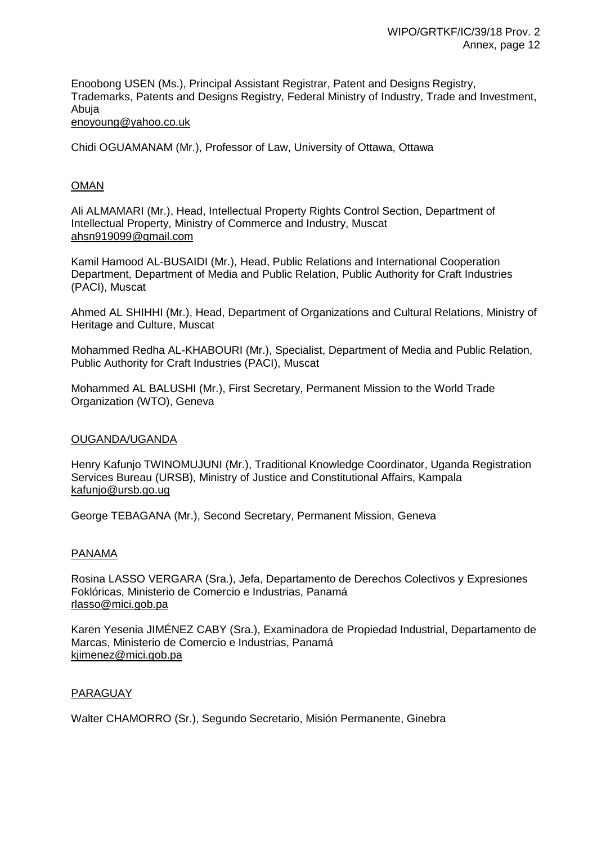Enoobong USEN (Ms.), Principal Assistant Registrar, Patent and Designs Registry, Trademarks, Patents and Designs Registry, Federal Ministry of Industry, Trade and Investment, Abuja enoyoung@yahoo.co.uk

Chidi OGUAMANAM (Mr.), Professor of Law, University of Ottawa, Ottawa

## OMAN

Ali ALMAMARI (Mr.), Head, Intellectual Property Rights Control Section, Department of Intellectual Property, Ministry of Commerce and Industry, Muscat ahsn919099@gmail.com

Kamil Hamood AL-BUSAIDI (Mr.), Head, Public Relations and International Cooperation Department, Department of Media and Public Relation, Public Authority for Craft Industries (PACI), Muscat

Ahmed AL SHIHHI (Mr.), Head, Department of Organizations and Cultural Relations, Ministry of Heritage and Culture, Muscat

Mohammed Redha AL-KHABOURI (Mr.), Specialist, Department of Media and Public Relation, Public Authority for Craft Industries (PACI), Muscat

Mohammed AL BALUSHI (Mr.), First Secretary, Permanent Mission to the World Trade Organization (WTO), Geneva

### OUGANDA/UGANDA

Henry Kafunjo TWINOMUJUNI (Mr.), Traditional Knowledge Coordinator, Uganda Registration Services Bureau (URSB), Ministry of Justice and Constitutional Affairs, Kampala kafunjo@ursb.go.ug

George TEBAGANA (Mr.), Second Secretary, Permanent Mission, Geneva

### PANAMA

Rosina LASSO VERGARA (Sra.), Jefa, Departamento de Derechos Colectivos y Expresiones Foklóricas, Ministerio de Comercio e Industrias, Panamá rlasso@mici.gob.pa

Karen Yesenia JIMÉNEZ CABY (Sra.), Examinadora de Propiedad Industrial, Departamento de Marcas, Ministerio de Comercio e Industrias, Panamá kjimenez@mici.gob.pa

### PARAGUAY

Walter CHAMORRO (Sr.), Segundo Secretario, Misión Permanente, Ginebra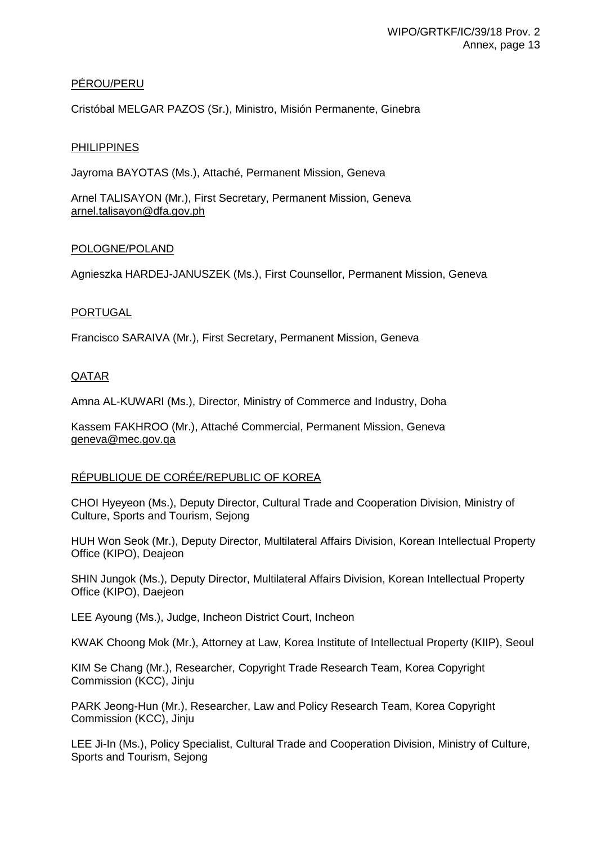# PÉROU/PERU

Cristóbal MELGAR PAZOS (Sr.), Ministro, Misión Permanente, Ginebra

## **PHILIPPINES**

Jayroma BAYOTAS (Ms.), Attaché, Permanent Mission, Geneva

Arnel TALISAYON (Mr.), First Secretary, Permanent Mission, Geneva arnel.talisayon@dfa.gov.ph

## POLOGNE/POLAND

Agnieszka HARDEJ-JANUSZEK (Ms.), First Counsellor, Permanent Mission, Geneva

## PORTUGAL

Francisco SARAIVA (Mr.), First Secretary, Permanent Mission, Geneva

# QATAR

Amna AL-KUWARI (Ms.), Director, Ministry of Commerce and Industry, Doha

Kassem FAKHROO (Mr.), Attaché Commercial, Permanent Mission, Geneva geneva@mec.gov.qa

# RÉPUBLIQUE DE CORÉE/REPUBLIC OF KOREA

CHOI Hyeyeon (Ms.), Deputy Director, Cultural Trade and Cooperation Division, Ministry of Culture, Sports and Tourism, Sejong

HUH Won Seok (Mr.), Deputy Director, Multilateral Affairs Division, Korean Intellectual Property Office (KIPO), Deajeon

SHIN Jungok (Ms.), Deputy Director, Multilateral Affairs Division, Korean Intellectual Property Office (KIPO), Daejeon

LEE Ayoung (Ms.), Judge, Incheon District Court, Incheon

KWAK Choong Mok (Mr.), Attorney at Law, Korea Institute of Intellectual Property (KIIP), Seoul

KIM Se Chang (Mr.), Researcher, Copyright Trade Research Team, Korea Copyright Commission (KCC), Jinju

PARK Jeong-Hun (Mr.), Researcher, Law and Policy Research Team, Korea Copyright Commission (KCC), Jinju

LEE Ji-In (Ms.), Policy Specialist, Cultural Trade and Cooperation Division, Ministry of Culture, Sports and Tourism, Sejong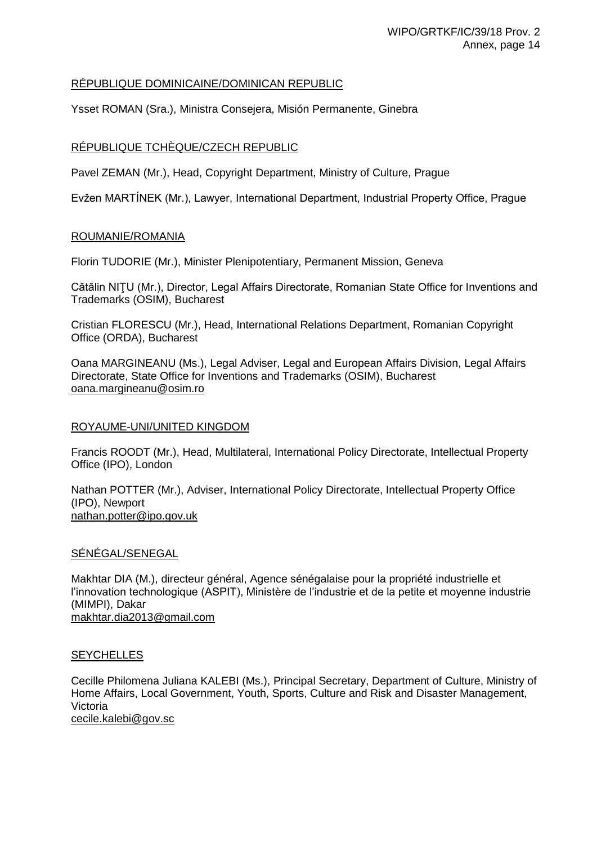# RÉPUBLIQUE DOMINICAINE/DOMINICAN REPUBLIC

Ysset ROMAN (Sra.), Ministra Consejera, Misión Permanente, Ginebra

# RÉPUBLIQUE TCHÈQUE/CZECH REPUBLIC

Pavel ZEMAN (Mr.), Head, Copyright Department, Ministry of Culture, Prague

Evžen MARTÍNEK (Mr.), Lawyer, International Department, Industrial Property Office, Prague

# ROUMANIE/ROMANIA

Florin TUDORIE (Mr.), Minister Plenipotentiary, Permanent Mission, Geneva

Cătălin NIŢU (Mr.), Director, Legal Affairs Directorate, Romanian State Office for Inventions and Trademarks (OSIM), Bucharest

Cristian FLORESCU (Mr.), Head, International Relations Department, Romanian Copyright Office (ORDA), Bucharest

Oana MARGINEANU (Ms.), Legal Adviser, Legal and European Affairs Division, Legal Affairs Directorate, State Office for Inventions and Trademarks (OSIM), Bucharest oana.margineanu@osim.ro

## ROYAUME-UNI/UNITED KINGDOM

Francis ROODT (Mr.), Head, Multilateral, International Policy Directorate, Intellectual Property Office (IPO), London

Nathan POTTER (Mr.), Adviser, International Policy Directorate, Intellectual Property Office (IPO), Newport nathan.potter@ipo.gov.uk

# SÉNÉGAL/SENEGAL

Makhtar DIA (M.), directeur général, Agence sénégalaise pour la propriété industrielle et l'innovation technologique (ASPIT), Ministère de l'industrie et de la petite et moyenne industrie (MIMPI), Dakar makhtar.dia2013@gmail.com

# **SEYCHELLES**

Cecille Philomena Juliana KALEBI (Ms.), Principal Secretary, Department of Culture, Ministry of Home Affairs, Local Government, Youth, Sports, Culture and Risk and Disaster Management, Victoria cecile.kalebi@gov.sc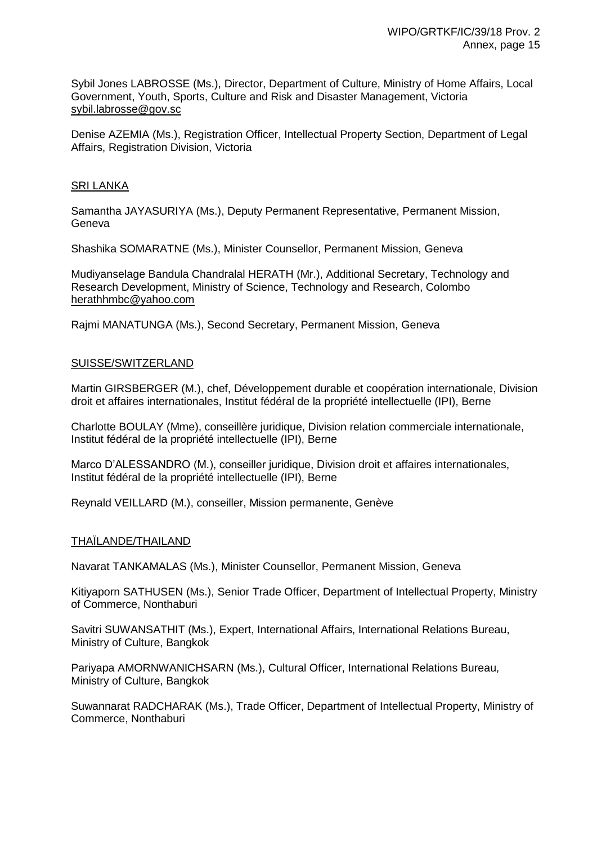Sybil Jones LABROSSE (Ms.), Director, Department of Culture, Ministry of Home Affairs, Local Government, Youth, Sports, Culture and Risk and Disaster Management, Victoria sybil.labrosse@gov.sc

Denise AZEMIA (Ms.), Registration Officer, Intellectual Property Section, Department of Legal Affairs, Registration Division, Victoria

## SRI LANKA

Samantha JAYASURIYA (Ms.), Deputy Permanent Representative, Permanent Mission, Geneva

Shashika SOMARATNE (Ms.), Minister Counsellor, Permanent Mission, Geneva

Mudiyanselage Bandula Chandralal HERATH (Mr.), Additional Secretary, Technology and Research Development, Ministry of Science, Technology and Research, Colombo herathhmbc@yahoo.com

Rajmi MANATUNGA (Ms.), Second Secretary, Permanent Mission, Geneva

## SUISSE/SWITZERLAND

Martin GIRSBERGER (M.), chef, Développement durable et coopération internationale, Division droit et affaires internationales, Institut fédéral de la propriété intellectuelle (IPI), Berne

Charlotte BOULAY (Mme), conseillère juridique, Division relation commerciale internationale, Institut fédéral de la propriété intellectuelle (IPI), Berne

Marco D'ALESSANDRO (M.), conseiller juridique, Division droit et affaires internationales, Institut fédéral de la propriété intellectuelle (IPI), Berne

Reynald VEILLARD (M.), conseiller, Mission permanente, Genève

### THAÏLANDE/THAILAND

Navarat TANKAMALAS (Ms.), Minister Counsellor, Permanent Mission, Geneva

Kitiyaporn SATHUSEN (Ms.), Senior Trade Officer, Department of Intellectual Property, Ministry of Commerce, Nonthaburi

Savitri SUWANSATHIT (Ms.), Expert, International Affairs, International Relations Bureau, Ministry of Culture, Bangkok

Pariyapa AMORNWANICHSARN (Ms.), Cultural Officer, International Relations Bureau, Ministry of Culture, Bangkok

Suwannarat RADCHARAK (Ms.), Trade Officer, Department of Intellectual Property, Ministry of Commerce, Nonthaburi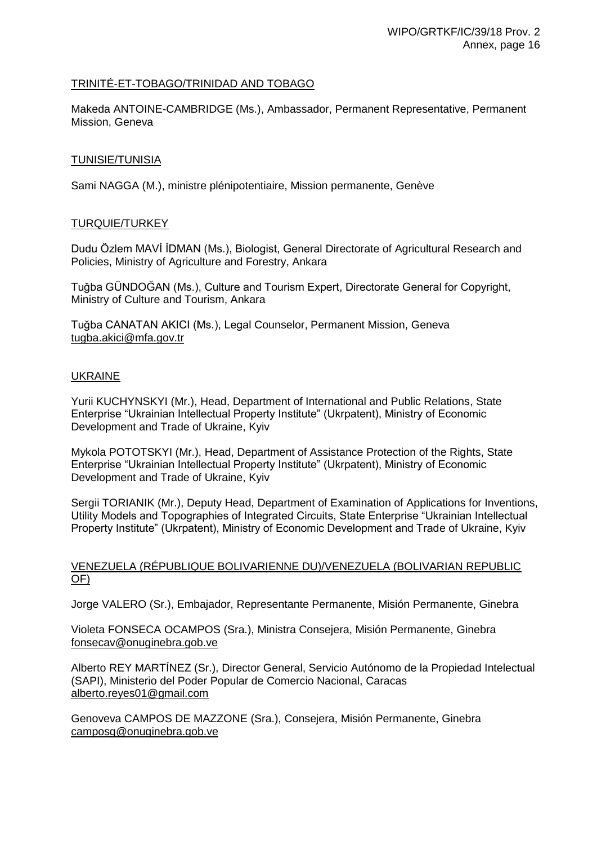# TRINITÉ-ET-TOBAGO/TRINIDAD AND TOBAGO

Makeda ANTOINE-CAMBRIDGE (Ms.), Ambassador, Permanent Representative, Permanent Mission, Geneva

## TUNISIE/TUNISIA

Sami NAGGA (M.), ministre plénipotentiaire, Mission permanente, Genève

## TURQUIE/TURKEY

Dudu Özlem MAVİ İDMAN (Ms.), Biologist, General Directorate of Agricultural Research and Policies, Ministry of Agriculture and Forestry, Ankara

Tuğba GÜNDOĞAN (Ms.), Culture and Tourism Expert, Directorate General for Copyright, Ministry of Culture and Tourism, Ankara

Tuğba CANATAN AKICI (Ms.), Legal Counselor, Permanent Mission, Geneva tugba.akici@mfa.gov.tr

## UKRAINE

Yurii KUCHYNSKYI (Mr.), Head, Department of International and Public Relations, State Enterprise "Ukrainian Intellectual Property Institute" (Ukrpatent), Ministry of Economic Development and Trade of Ukraine, Kyiv

Mykola POTOTSKYI (Mr.), Head, Department of Assistance Protection of the Rights, State Enterprise "Ukrainian Intellectual Property Institute" (Ukrpatent), Ministry of Economic Development and Trade of Ukraine, Kyiv

Sergii TORIANIK (Mr.), Deputy Head, Department of Examination of Applications for Inventions, Utility Models and Topographies of Integrated Circuits, State Enterprise "Ukrainian Intellectual Property Institute" (Ukrpatent), Ministry of Economic Development and Trade of Ukraine, Kyiv

## VENEZUELA (RÉPUBLIQUE BOLIVARIENNE DU)/VENEZUELA (BOLIVARIAN REPUBLIC OF)

Jorge VALERO (Sr.), Embajador, Representante Permanente, Misión Permanente, Ginebra

Violeta FONSECA OCAMPOS (Sra.), Ministra Consejera, Misión Permanente, Ginebra fonsecav@onuginebra.gob.ve

Alberto REY MARTÍNEZ (Sr.), Director General, Servicio Autónomo de la Propiedad Intelectual (SAPI), Ministerio del Poder Popular de Comercio Nacional, Caracas alberto.reyes01@gmail.com

Genoveva CAMPOS DE MAZZONE (Sra.), Consejera, Misión Permanente, Ginebra camposg@onuginebra.gob.ve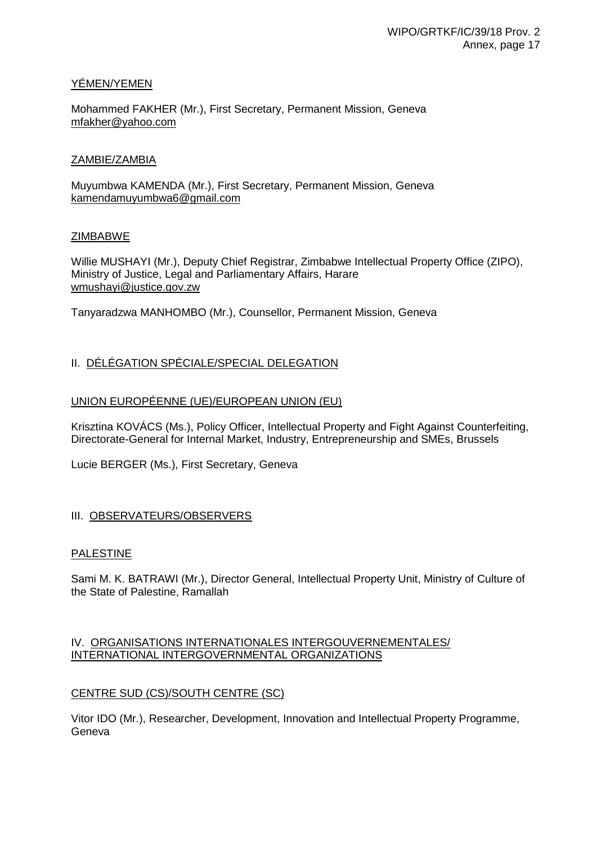# YÉMEN/YEMEN

Mohammed FAKHER (Mr.), First Secretary, Permanent Mission, Geneva mfakher@yahoo.com

#### ZAMBIE/ZAMBIA

Muyumbwa KAMENDA (Mr.), First Secretary, Permanent Mission, Geneva kamendamuyumbwa6@gmail.com

#### ZIMBABWE

Willie MUSHAYI (Mr.), Deputy Chief Registrar, Zimbabwe Intellectual Property Office (ZIPO), Ministry of Justice, Legal and Parliamentary Affairs, Harare wmushayi@justice.gov.zw

Tanyaradzwa MANHOMBO (Mr.), Counsellor, Permanent Mission, Geneva

# II. DÉLÉGATION SPÉCIALE/SPECIAL DELEGATION

# UNION EUROPÉENNE (UE)/EUROPEAN UNION (EU)

Krisztina KOVÁCS (Ms.), Policy Officer, Intellectual Property and Fight Against Counterfeiting, Directorate-General for Internal Market, Industry, Entrepreneurship and SMEs, Brussels

Lucie BERGER (Ms.), First Secretary, Geneva

# III. OBSERVATEURS/OBSERVERS

# **PALESTINE**

Sami M. K. BATRAWI (Mr.), Director General, Intellectual Property Unit, Ministry of Culture of the State of Palestine, Ramallah

# IV. ORGANISATIONS INTERNATIONALES INTERGOUVERNEMENTALES/ INTERNATIONAL INTERGOVERNMENTAL ORGANIZATIONS

# CENTRE SUD (CS)/SOUTH CENTRE (SC)

Vitor IDO (Mr.), Researcher, Development, Innovation and Intellectual Property Programme, Geneva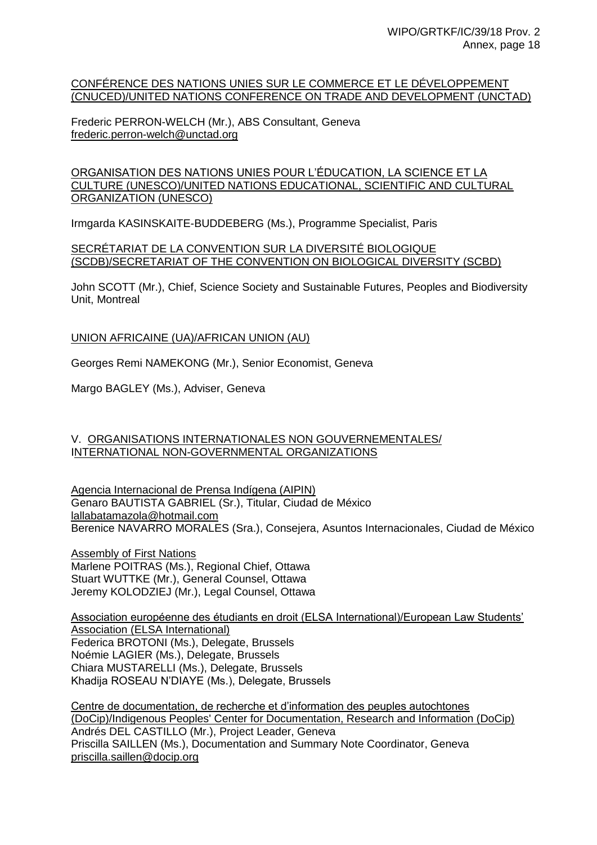#### CONFÉRENCE DES NATIONS UNIES SUR LE COMMERCE ET LE DÉVELOPPEMENT (CNUCED)/UNITED NATIONS CONFERENCE ON TRADE AND DEVELOPMENT (UNCTAD)

Frederic PERRON-WELCH (Mr.), ABS Consultant, Geneva frederic.perron-welch@unctad.org

#### ORGANISATION DES NATIONS UNIES POUR L'ÉDUCATION, LA SCIENCE ET LA CULTURE (UNESCO)/UNITED NATIONS EDUCATIONAL, SCIENTIFIC AND CULTURAL ORGANIZATION (UNESCO)

Irmgarda KASINSKAITE-BUDDEBERG (Ms.), Programme Specialist, Paris

#### SECRÉTARIAT DE LA CONVENTION SUR LA DIVERSITÉ BIOLOGIQUE (SCDB)/SECRETARIAT OF THE CONVENTION ON BIOLOGICAL DIVERSITY (SCBD)

John SCOTT (Mr.), Chief, Science Society and Sustainable Futures, Peoples and Biodiversity Unit, Montreal

UNION AFRICAINE (UA)/AFRICAN UNION (AU)

Georges Remi NAMEKONG (Mr.), Senior Economist, Geneva

Margo BAGLEY (Ms.), Adviser, Geneva

# V. ORGANISATIONS INTERNATIONALES NON GOUVERNEMENTALES/ INTERNATIONAL NON-GOVERNMENTAL ORGANIZATIONS

Agencia Internacional de Prensa Indígena (AIPIN) Genaro BAUTISTA GABRIEL (Sr.), Titular, Ciudad de México lallabatamazola@hotmail.com Berenice NAVARRO MORALES (Sra.), Consejera, Asuntos Internacionales, Ciudad de México

Assembly of First Nations Marlene POITRAS (Ms.), Regional Chief, Ottawa Stuart WUTTKE (Mr.), General Counsel, Ottawa Jeremy KOLODZIEJ (Mr.), Legal Counsel, Ottawa

Association européenne des étudiants en droit (ELSA International)/European Law Students' Association (ELSA International) Federica BROTONI (Ms.), Delegate, Brussels Noémie LAGIER (Ms.), Delegate, Brussels Chiara MUSTARELLI (Ms.), Delegate, Brussels Khadija ROSEAU N'DIAYE (Ms.), Delegate, Brussels

Centre de documentation, de recherche et d'information des peuples autochtones (DoCip)/Indigenous Peoples' Center for Documentation, Research and Information (DoCip) Andrés DEL CASTILLO (Mr.), Project Leader, Geneva Priscilla SAILLEN (Ms.), Documentation and Summary Note Coordinator, Geneva priscilla.saillen@docip.org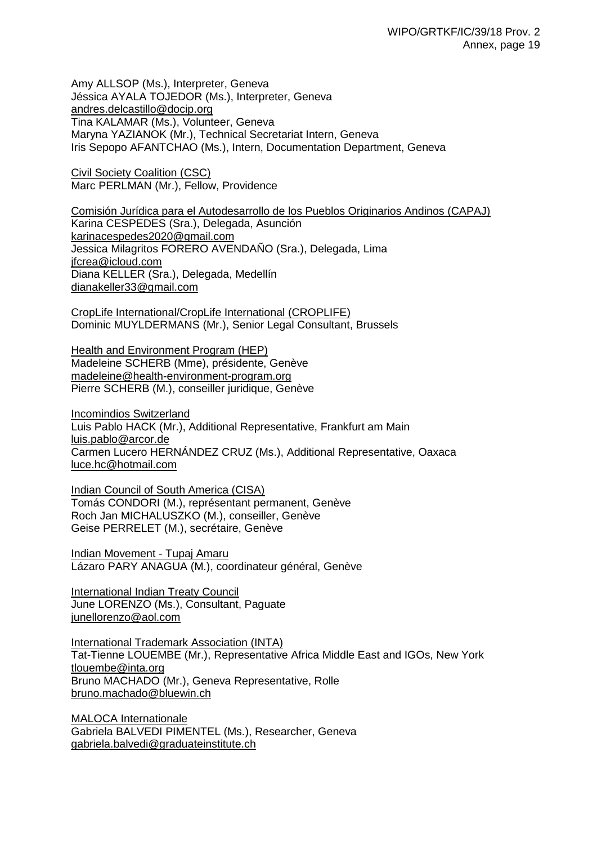Amy ALLSOP (Ms.), Interpreter, Geneva Jéssica AYALA TOJEDOR (Ms.), Interpreter, Geneva andres.delcastillo@docip.org Tina KALAMAR (Ms.), Volunteer, Geneva Maryna YAZIANOK (Mr.), Technical Secretariat Intern, Geneva Iris Sepopo AFANTCHAO (Ms.), Intern, Documentation Department, Geneva

Civil Society Coalition (CSC) Marc PERLMAN (Mr.), Fellow, Providence

Comisión Jurídica para el Autodesarrollo de los Pueblos Originarios Andinos (CAPAJ) Karina CESPEDES (Sra.), Delegada, Asunción karinacespedes2020@gmail.com Jessica Milagritos FORERO AVENDAÑO (Sra.), Delegada, Lima jfcrea@icloud.com Diana KELLER (Sra.), Delegada, Medellín dianakeller33@gmail.com

CropLife International/CropLife International (CROPLIFE) Dominic MUYLDERMANS (Mr.), Senior Legal Consultant, Brussels

Health and Environment Program (HEP) Madeleine SCHERB (Mme), présidente, Genève madeleine@health-environment-program.org Pierre SCHERB (M.), conseiller juridique, Genève

Incomindios Switzerland Luis Pablo HACK (Mr.), Additional Representative, Frankfurt am Main luis.pablo@arcor.de Carmen Lucero HERNÁNDEZ CRUZ (Ms.), Additional Representative, Oaxaca luce.hc@hotmail.com

Indian Council of South America (CISA) Tomás CONDORI (M.), représentant permanent, Genève Roch Jan MICHALUSZKO (M.), conseiller, Genève Geise PERRELET (M.), secrétaire, Genève

Indian Movement - Tupaj Amaru Lázaro PARY ANAGUA (M.), coordinateur général, Genève

International Indian Treaty Council June LORENZO (Ms.), Consultant, Paguate junellorenzo@aol.com

International Trademark Association (INTA) Tat-Tienne LOUEMBE (Mr.), Representative Africa Middle East and IGOs, New York tlouembe@inta.org Bruno MACHADO (Mr.), Geneva Representative, Rolle bruno.machado@bluewin.ch

MALOCA Internationale Gabriela BALVEDI PIMENTEL (Ms.), Researcher, Geneva gabriela.balvedi@graduateinstitute.ch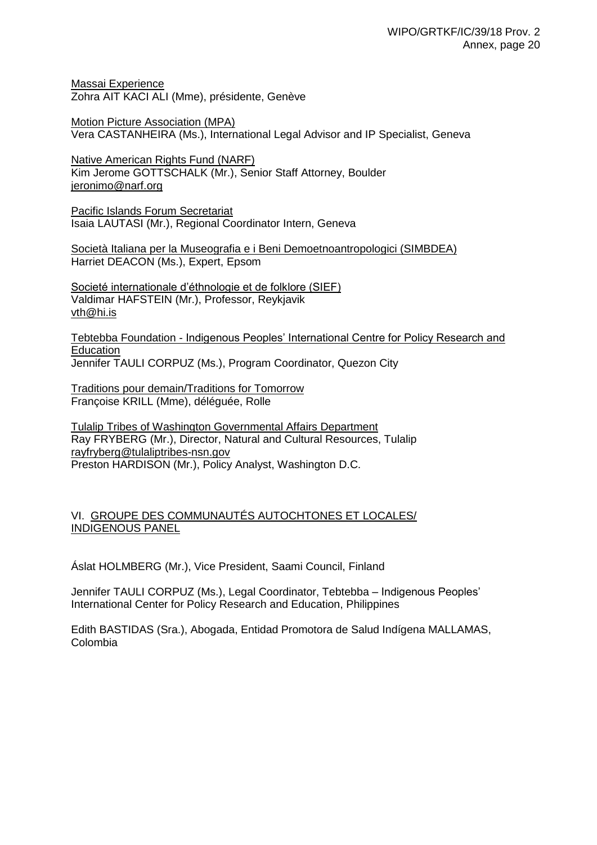Massai Experience Zohra AIT KACI ALI (Mme), présidente, Genève

Motion Picture Association (MPA) Vera CASTANHEIRA (Ms.), International Legal Advisor and IP Specialist, Geneva

Native American Rights Fund (NARF) Kim Jerome GOTTSCHALK (Mr.), Senior Staff Attorney, Boulder jeronimo@narf.org

Pacific Islands Forum Secretariat Isaia LAUTASI (Mr.), Regional Coordinator Intern, Geneva

Società Italiana per la Museografia e i Beni Demoetnoantropologici (SIMBDEA) Harriet DEACON (Ms.), Expert, Epsom

Societé internationale d'éthnologie et de folklore (SIEF) Valdimar HAFSTEIN (Mr.), Professor, Reykjavik vth@hi.is

Tebtebba Foundation - Indigenous Peoples' International Centre for Policy Research and Education Jennifer TAULI CORPUZ (Ms.), Program Coordinator, Quezon City

Traditions pour demain/Traditions for Tomorrow Françoise KRILL (Mme), déléguée, Rolle

Tulalip Tribes of Washington Governmental Affairs Department Ray FRYBERG (Mr.), Director, Natural and Cultural Resources, Tulalip rayfryberg@tulaliptribes-nsn.gov Preston HARDISON (Mr.), Policy Analyst, Washington D.C.

# VI. GROUPE DES COMMUNAUTÉS AUTOCHTONES ET LOCALES/ INDIGENOUS PANEL

Áslat HOLMBERG (Mr.), Vice President, Saami Council, Finland

Jennifer TAULI CORPUZ (Ms.), Legal Coordinator, Tebtebba – Indigenous Peoples' International Center for Policy Research and Education, Philippines

Edith BASTIDAS (Sra.), Abogada, Entidad Promotora de Salud Indígena MALLAMAS, Colombia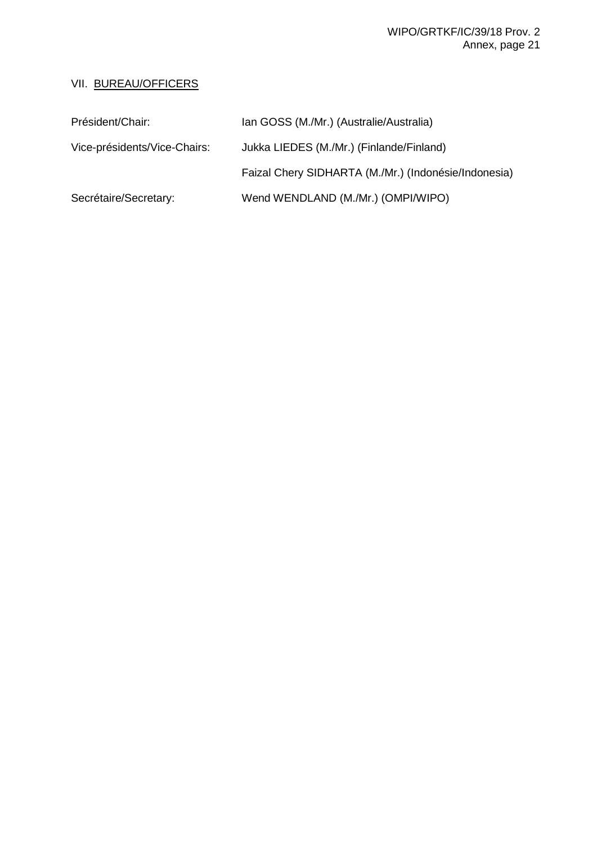# WIPO/GRTKF/IC/39/18 Prov. 2 Annex, page 21

# VII. BUREAU/OFFICERS

| Président/Chair:             | Ian GOSS (M./Mr.) (Australie/Australia)              |
|------------------------------|------------------------------------------------------|
| Vice-présidents/Vice-Chairs: | Jukka LIEDES (M./Mr.) (Finlande/Finland)             |
|                              | Faizal Chery SIDHARTA (M./Mr.) (Indonésie/Indonesia) |
| Secrétaire/Secretary:        | Wend WENDLAND (M./Mr.) (OMPI/WIPO)                   |